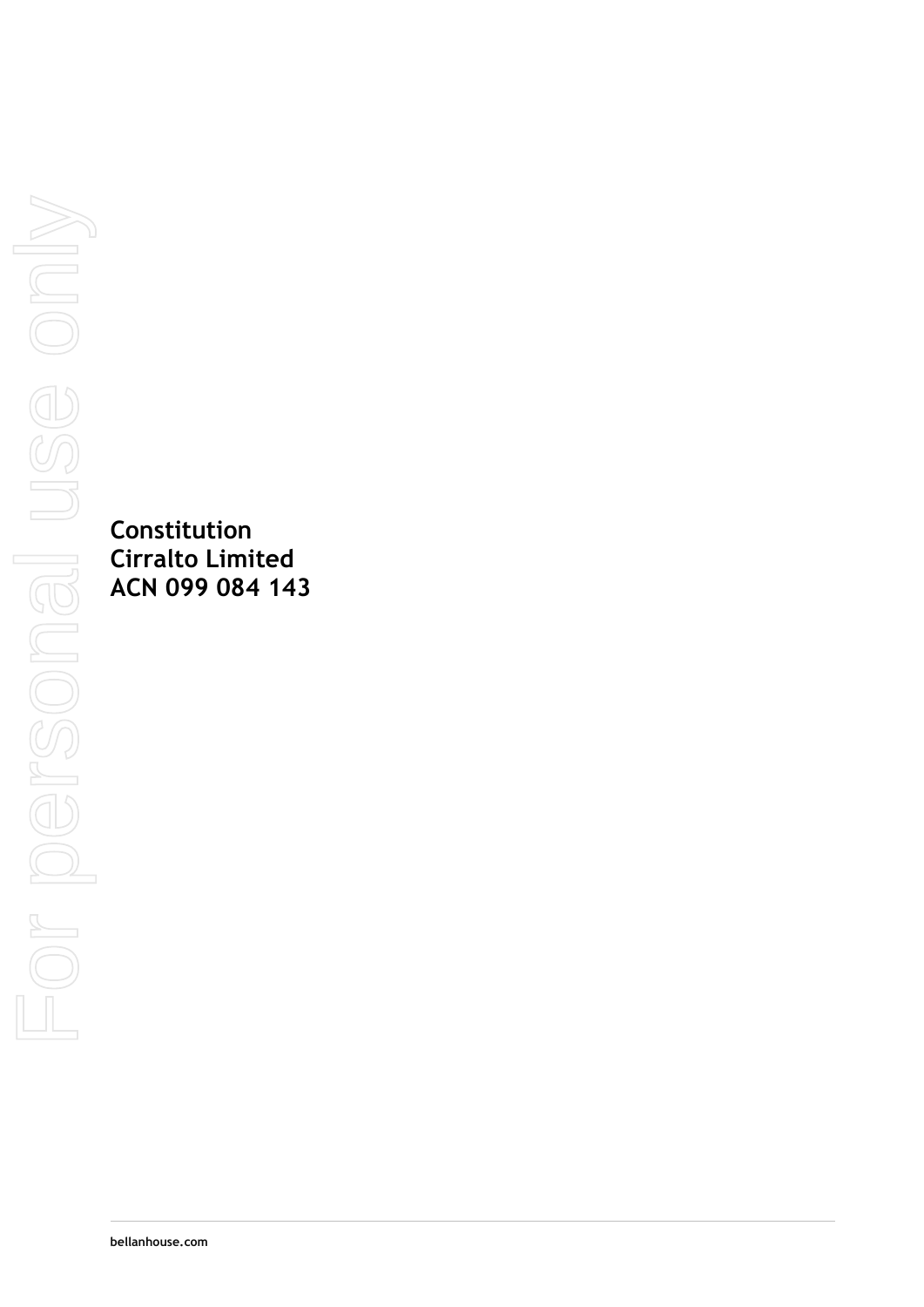**Constitution Cirralto Limited ACN 099 084 143**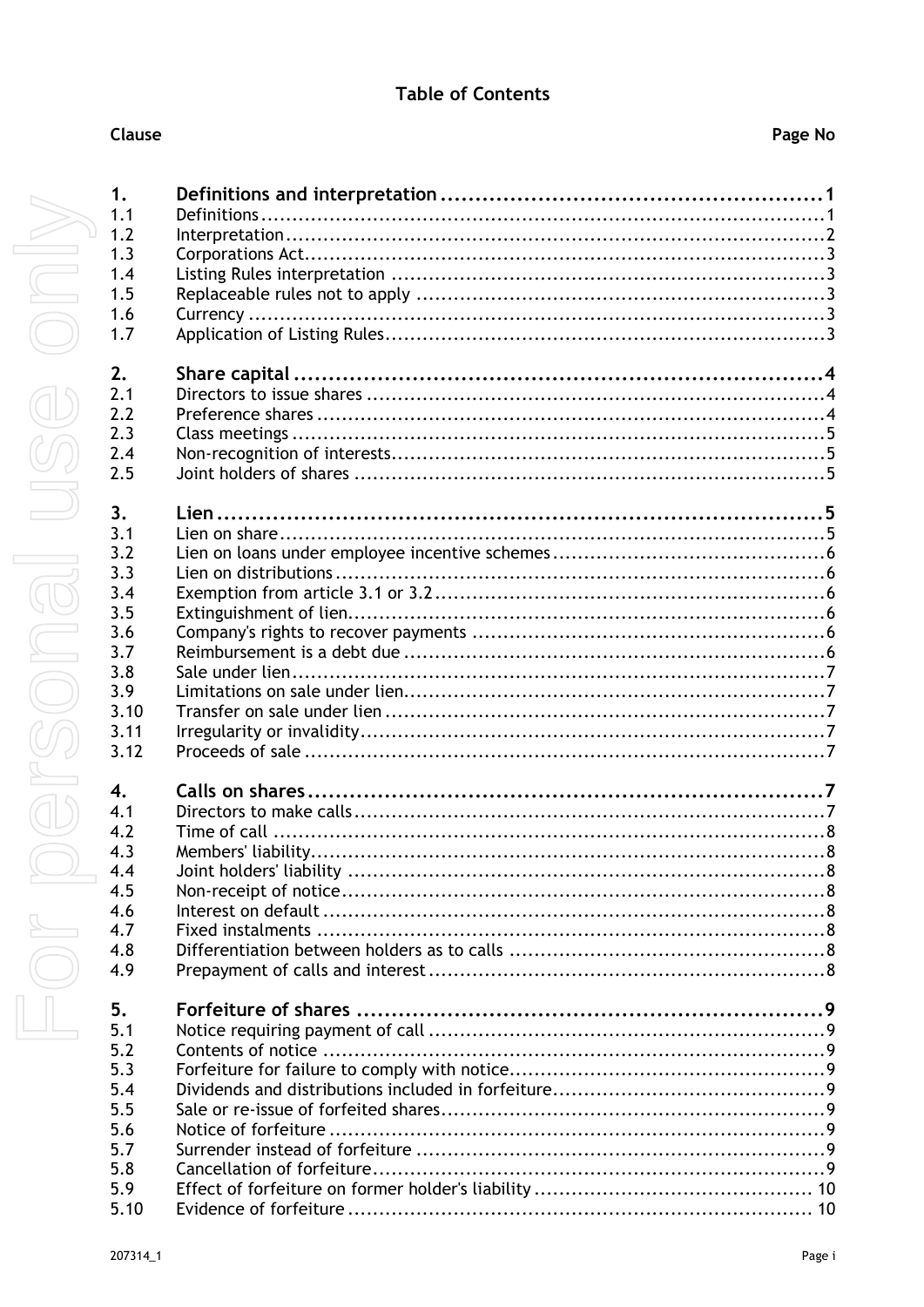|        | 1.4          |  |
|--------|--------------|--|
|        | 1.5          |  |
|        | 1.6          |  |
|        | 1.7          |  |
|        |              |  |
|        | 2.           |  |
|        | 2.1          |  |
|        | 2.2          |  |
|        | 2.3          |  |
|        | 2.4          |  |
|        | 2.5          |  |
|        |              |  |
|        | 3.           |  |
|        | 3.1          |  |
|        | 3.2          |  |
|        | 3.3          |  |
|        | 3.4          |  |
|        | 3.5          |  |
|        | 3.6          |  |
|        | 3.7          |  |
|        | 3.8          |  |
|        | 3.9          |  |
|        | 3.10         |  |
|        |              |  |
|        | 3.11         |  |
|        | 3.12         |  |
|        |              |  |
|        | $\mathbf{4}$ |  |
|        | 4.1          |  |
|        | 4.2          |  |
|        | 4.3          |  |
| $\Box$ | 4.4          |  |
|        | 4.5          |  |
|        | 4.6          |  |
|        | 4.7          |  |
|        | 4.8          |  |
|        | 4.9          |  |
|        |              |  |
|        | 5.           |  |
|        | 5.1          |  |
|        | 5.2          |  |
|        | 5.3          |  |
|        | 5.4          |  |
|        | 5.5          |  |
|        | 5.6          |  |
|        | 5.7          |  |
|        | 5.8          |  |
|        | 5.9          |  |
|        | 5.10         |  |

#### Clause

1.

 $1.1$ 

 $1.2$ 

 $1.3$ 

 $\overline{1}$ 

 $\mathbf{R}$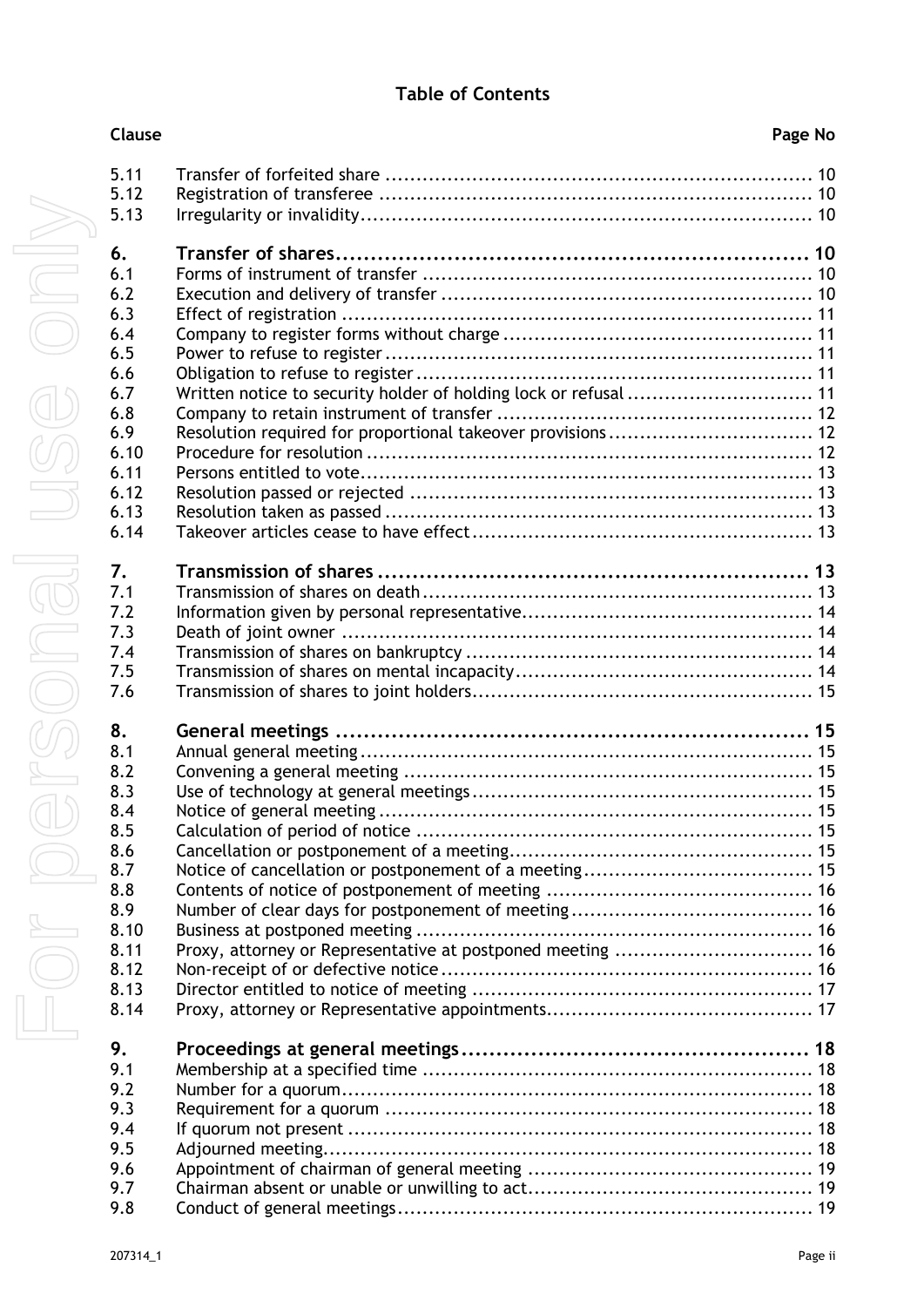| Clause      |                                                                  | Page No |
|-------------|------------------------------------------------------------------|---------|
| 5.11        |                                                                  |         |
| 5.12        |                                                                  |         |
| 5.13        |                                                                  |         |
| 6.          |                                                                  |         |
| 6.1         |                                                                  |         |
| 6.2         |                                                                  |         |
| 6.3         |                                                                  |         |
| 6.4         |                                                                  |         |
| 6.5         |                                                                  |         |
| 6.6         |                                                                  |         |
| 6.7         | Written notice to security holder of holding lock or refusal  11 |         |
| 6.8         |                                                                  |         |
| 6.9         |                                                                  |         |
| 6.10        |                                                                  |         |
| 6.11        |                                                                  |         |
| 6.12        |                                                                  |         |
| 6.13        |                                                                  |         |
| 6.14        |                                                                  |         |
| 7.          |                                                                  |         |
| 7.1         |                                                                  |         |
| 7.2         |                                                                  |         |
| 7.3         |                                                                  |         |
| 7.4         |                                                                  |         |
| 7.5<br>7.6  |                                                                  |         |
|             |                                                                  |         |
| 8.          |                                                                  |         |
| 8.1         |                                                                  |         |
| 8.2         |                                                                  |         |
| 8.3         |                                                                  |         |
| 8.4         |                                                                  |         |
| 8.5         |                                                                  |         |
| 8.6         |                                                                  |         |
| 8.7         |                                                                  |         |
| 8.8         |                                                                  |         |
| 8.9<br>8.10 |                                                                  |         |
| 8.11        |                                                                  |         |
| 8.12        | Proxy, attorney or Representative at postponed meeting  16       |         |
| 8.13        |                                                                  |         |
| 8.14        |                                                                  |         |
|             |                                                                  |         |
| 9.          |                                                                  |         |
| 9.1         |                                                                  |         |
| 9.2         |                                                                  |         |
| 9.3         |                                                                  |         |
| 9.4         |                                                                  |         |
| 9.5         |                                                                  |         |
| 9.6         |                                                                  |         |
| 9.7         |                                                                  |         |
| 9.8         |                                                                  |         |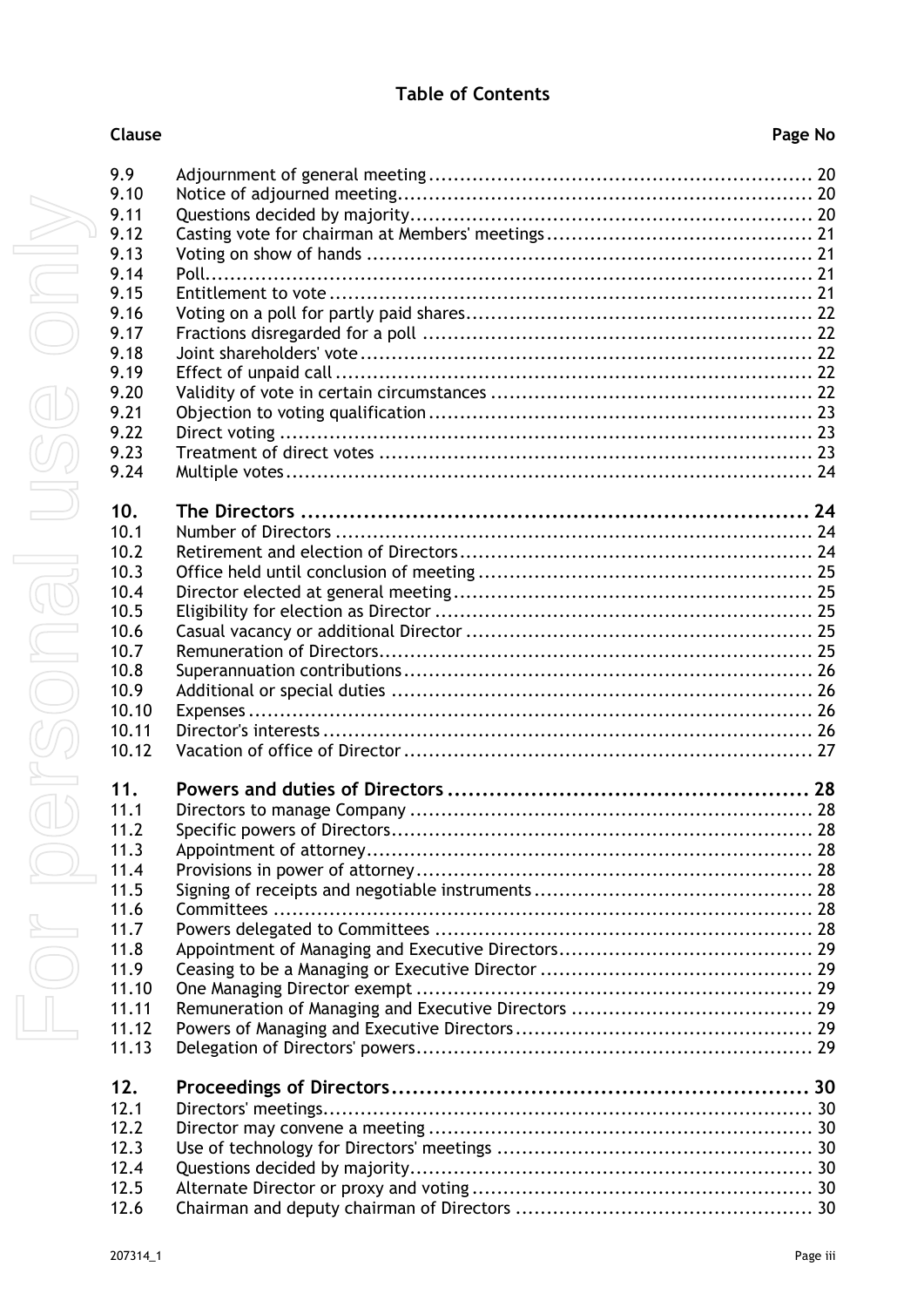| I<br>1<br>J<br>I<br>l | 9.9<br>9.10<br>9.11<br>9.12<br>9.13<br>9.14<br>9.15<br>9.16<br>9.17<br>9.18<br>9.19<br>9.20<br>9.21<br>9.22<br>9.23<br>9.24 |
|-----------------------|-----------------------------------------------------------------------------------------------------------------------------|
| I                     | 10.<br>10.1<br>10.2<br>10.3<br>10.4<br>10.5<br>10.6<br>10.7<br>10.8<br>10.9<br>10.1<br>10.1<br>10.1                         |
| Į                     | 11.<br>1.1<br>1<br>11.7<br>11.3<br>11.4<br>11.5<br>11.6<br>11.7<br>11.8<br>11.9<br>11.1<br>11.1<br>11.1                     |

| 9.9<br>9.10 |  |
|-------------|--|
| 9.11        |  |
| 9.12        |  |
| 9.13        |  |
| 9.14        |  |
| 9.15        |  |
| 9.16        |  |
| 9.17        |  |
| 9.18        |  |
| 9.19        |  |
| 9.20        |  |
| 9.21        |  |
| 9.22        |  |
|             |  |
| 9.23        |  |
| 9.24        |  |
| 10.         |  |
| 10.1        |  |
| 10.2        |  |
| 10.3        |  |
| 10.4        |  |
| 10.5        |  |
| 10.6        |  |
| 10.7        |  |
| 10.8        |  |
| 10.9        |  |
| 10.10       |  |
| 10.11       |  |
| 10.12       |  |
| 11.         |  |
| 11.1        |  |
| 11.2        |  |
| 11.3        |  |
| 11.4        |  |
| 11.5        |  |
| 11.6        |  |
| 11.7        |  |
| 11.8        |  |
| 11.9        |  |
| 11.10       |  |
| 11.11       |  |
| 11.12       |  |
| 11.13       |  |
|             |  |
| 12.         |  |
| 12.1        |  |
| 12.2        |  |
| 12.3        |  |
| 12.4        |  |
| 12.5        |  |
| 12.6        |  |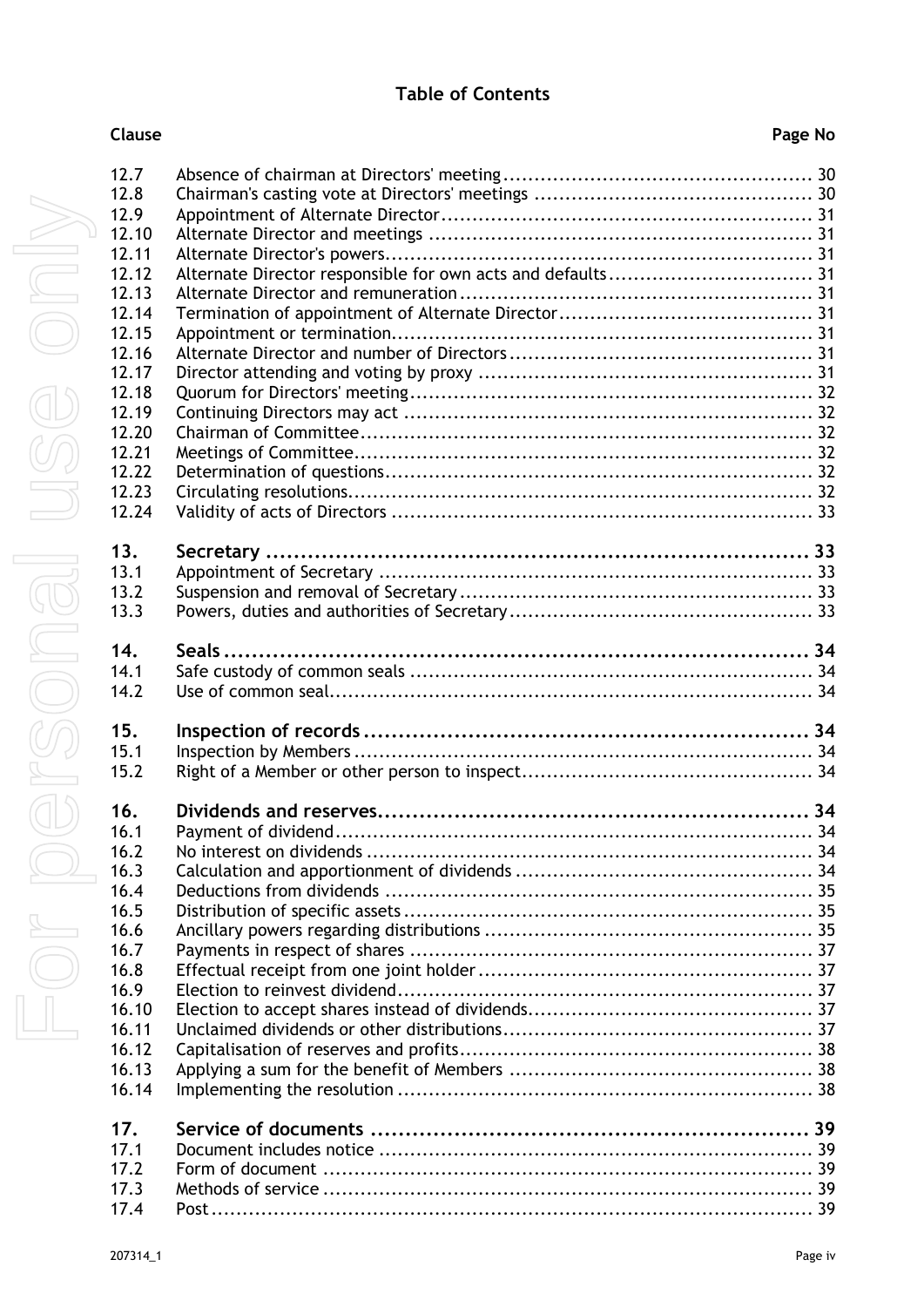| <b>Clause</b> | Page No |
|---------------|---------|
|               |         |

| 12.7           |  |
|----------------|--|
| 12.8           |  |
| 12.9           |  |
| 12.10          |  |
| 12.11          |  |
| 12.12          |  |
| 12.13          |  |
| 12.14          |  |
| 12.15          |  |
| 12.16          |  |
| 12.17          |  |
| 12.18          |  |
| 12.19          |  |
| 12.20          |  |
| 12.21          |  |
| 12.22<br>12.23 |  |
| 12.24          |  |
|                |  |
| 13.            |  |
| 13.1           |  |
| 13.2           |  |
| 13.3           |  |
|                |  |
| 14.            |  |
| 14.1           |  |
| 14.2           |  |
|                |  |
| 15.            |  |
| 15.1           |  |
| 15.2           |  |
| 16.            |  |
| 16.1           |  |
| 16.2           |  |
| 16.3           |  |
| 16.4           |  |
| 16.5           |  |
| 16.6           |  |
| 16.7           |  |
| 16.8           |  |
| 16.9           |  |
| 16.10          |  |
| 16.11          |  |
| 16.12          |  |
| 16.13          |  |
| 16.14          |  |
|                |  |
| 17.            |  |
| 17.1           |  |
| 17.2           |  |
| 17.3<br>17.4   |  |
|                |  |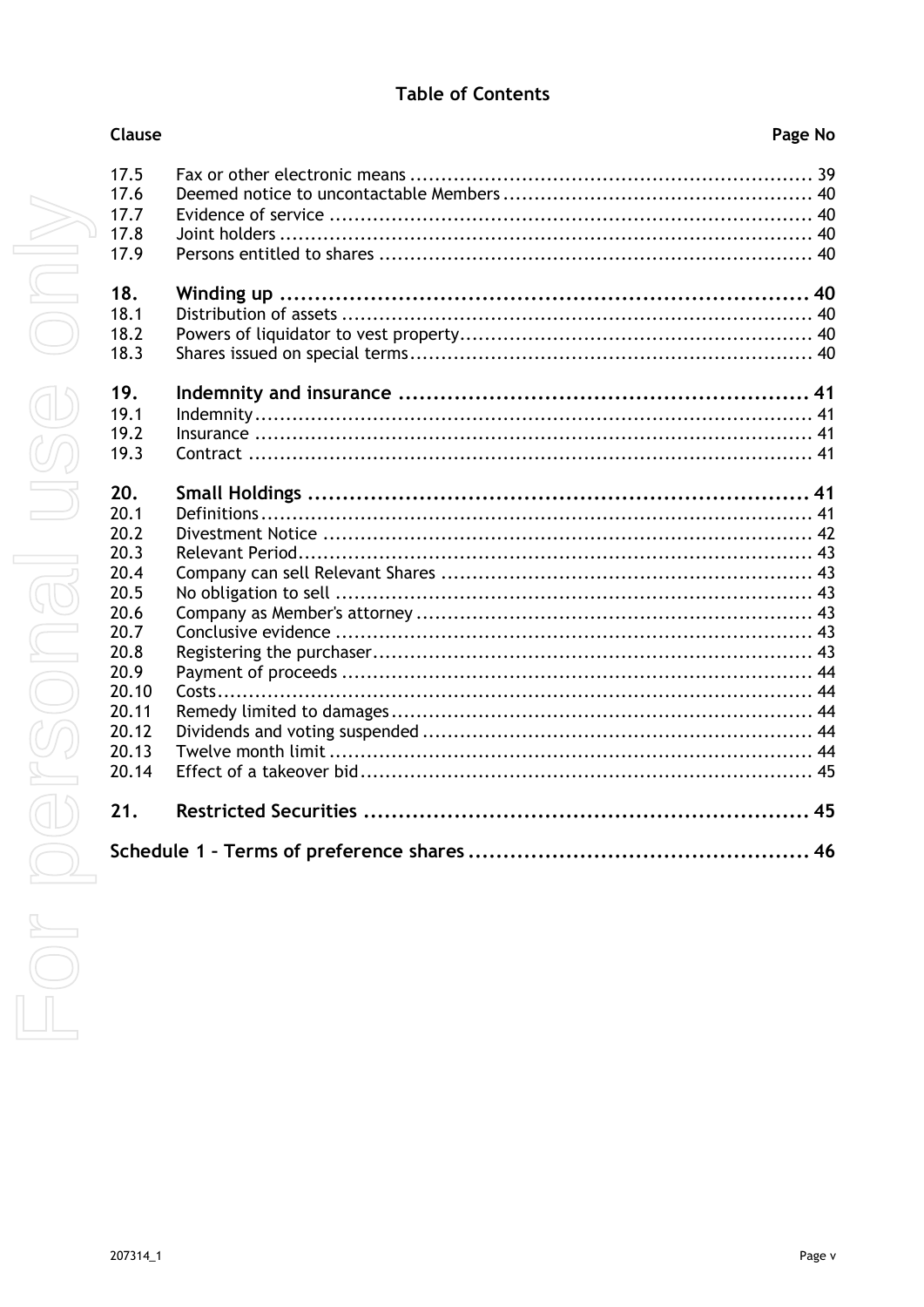| Clause                                                                                                                   | Page No |
|--------------------------------------------------------------------------------------------------------------------------|---------|
| 17.5<br>17.6<br>17.7<br>17.8<br>17.9                                                                                     |         |
| 18.<br>18.1<br>18.2<br>18.3                                                                                              |         |
| 19.<br>19.1<br>19.2<br>19.3                                                                                              |         |
| 20.<br>20.1<br>20.2<br>20.3<br>20.4<br>20.5<br>20.6<br>20.7<br>20.8<br>20.9<br>20.10<br>20.11<br>20.12<br>20.13<br>20.14 |         |
| 21.                                                                                                                      |         |
|                                                                                                                          |         |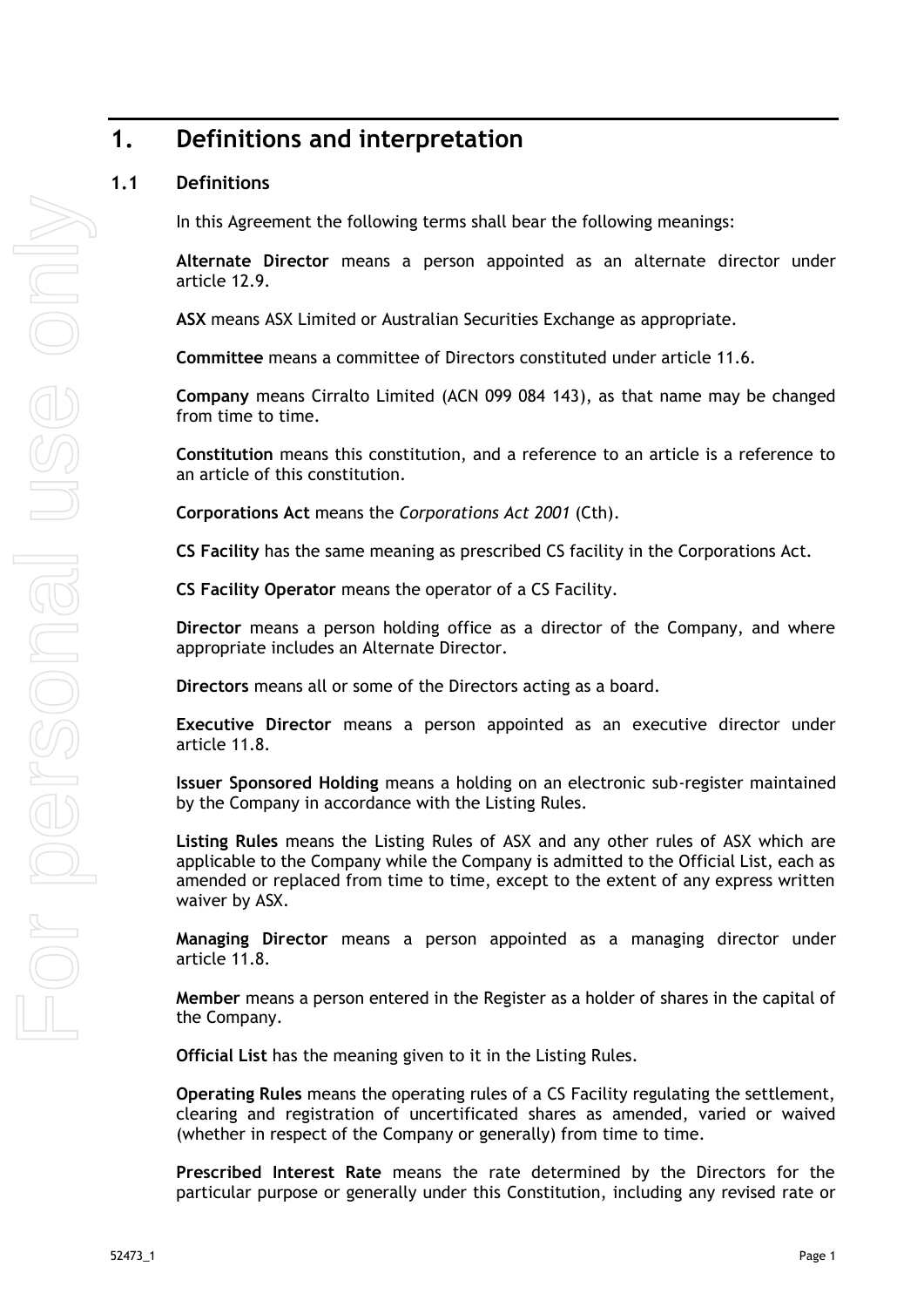# <span id="page-6-0"></span>**1. Definitions and interpretation**

#### <span id="page-6-1"></span>**1.1 Definitions**

In this Agreement the following terms shall bear the following meanings:

**Alternate Director** means a person appointed as an alternate director under article [12.9.](#page-36-0)

**ASX** means ASX Limited or Australian Securities Exchange as appropriate.

**Committee** means a committee of Directors constituted under article [11.6.](#page-33-6)

**Company** means Cirralto Limited (ACN 099 084 143), as that name may be changed from time to time.

**Constitution** means this constitution, and a reference to an article is a reference to an article of this constitution.

**Corporations Act** means the *Corporations Act 2001* (Cth).

**CS Facility** has the same meaning as prescribed CS facility in the Corporations Act.

**CS Facility Operator** means the operator of a CS Facility.

**Director** means a person holding office as a director of the Company, and where appropriate includes an Alternate Director.

**Directors** means all or some of the Directors acting as a board.

**Executive Director** means a person appointed as an executive director under article [11.8.](#page-34-0)

**Issuer Sponsored Holding** means a holding on an electronic sub-register maintained by the Company in accordance with the Listing Rules.

**Listing Rules** means the Listing Rules of ASX and any other rules of ASX which are applicable to the Company while the Company is admitted to the Official List, each as amended or replaced from time to time, except to the extent of any express written waiver by ASX.

**Managing Director** means a person appointed as a managing director under article [11.8.](#page-34-0)

**Member** means a person entered in the Register as a holder of shares in the capital of the Company.

**Official List** has the meaning given to it in the Listing Rules.

**Operating Rules** means the operating rules of a CS Facility regulating the settlement, clearing and registration of uncertificated shares as amended, varied or waived (whether in respect of the Company or generally) from time to time.

**Prescribed Interest Rate** means the rate determined by the Directors for the particular purpose or generally under this Constitution, including any revised rate or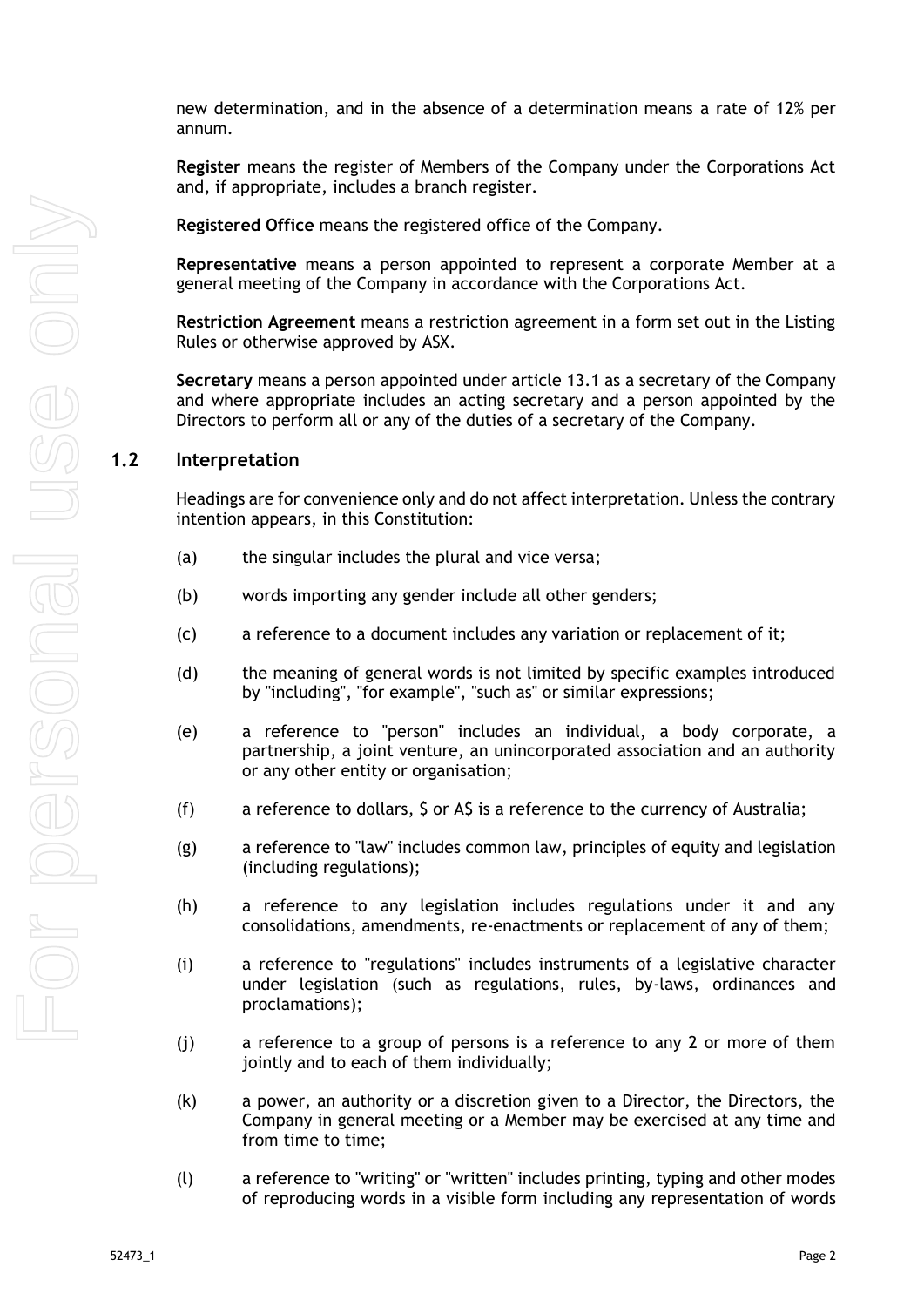new determination, and in the absence of a determination means a rate of 12% per annum*.*

**Register** means the register of Members of the Company under the Corporations Act and, if appropriate, includes a branch register.

**Registered Office** means the registered office of the Company.

**Representative** means a person appointed to represent a corporate Member at a general meeting of the Company in accordance with the Corporations Act.

**Restriction Agreement** means a restriction agreement in a form set out in the Listing Rules or otherwise approved by ASX.

**Secretary** means a person appointed under article [13.1](#page-38-2) as a secretary of the Company and where appropriate includes an acting secretary and a person appointed by the Directors to perform all or any of the duties of a secretary of the Company.

#### <span id="page-7-0"></span>**1.2 Interpretation**

Headings are for convenience only and do not affect interpretation. Unless the contrary intention appears, in this Constitution:

- (a) the singular includes the plural and vice versa;
- (b) words importing any gender include all other genders;
- (c) a reference to a document includes any variation or replacement of it;
- (d) the meaning of general words is not limited by specific examples introduced by "including", "for example", "such as" or similar expressions;
- (e) a reference to "person" includes an individual, a body corporate, a partnership, a joint venture, an unincorporated association and an authority or any other entity or organisation;
- (f) a reference to dollars, \$ or A\$ is a reference to the currency of Australia;
- (g) a reference to "law" includes common law, principles of equity and legislation (including regulations);
- (h) a reference to any legislation includes regulations under it and any consolidations, amendments, re-enactments or replacement of any of them;
- (i) a reference to "regulations" includes instruments of a legislative character under legislation (such as regulations, rules, by-laws, ordinances and proclamations);
- (j) a reference to a group of persons is a reference to any 2 or more of them jointly and to each of them individually;
- (k) a power, an authority or a discretion given to a Director, the Directors, the Company in general meeting or a Member may be exercised at any time and from time to time;
- (l) a reference to "writing" or "written" includes printing, typing and other modes of reproducing words in a visible form including any representation of words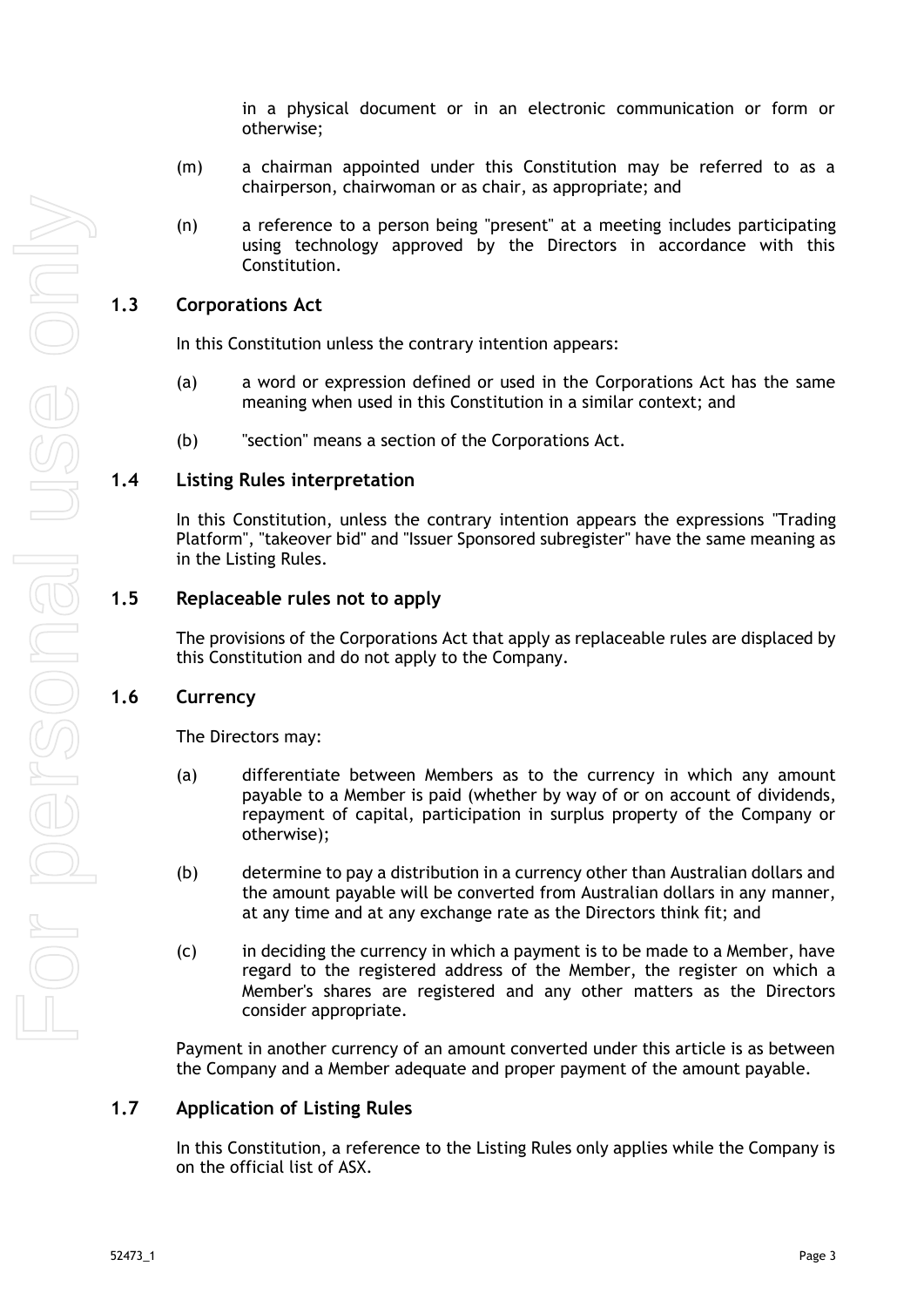in a physical document or in an electronic communication or form or otherwise;

- (m) a chairman appointed under this Constitution may be referred to as a chairperson, chairwoman or as chair, as appropriate; and
- (n) a reference to a person being "present" at a meeting includes participating using technology approved by the Directors in accordance with this Constitution.

### <span id="page-8-0"></span>**1.3 Corporations Act**

In this Constitution unless the contrary intention appears:

- (a) a word or expression defined or used in the Corporations Act has the same meaning when used in this Constitution in a similar context; and
- (b) "section" means a section of the Corporations Act.

#### <span id="page-8-1"></span>**1.4 Listing Rules interpretation**

In this Constitution, unless the contrary intention appears the expressions "Trading Platform", "takeover bid" and "Issuer Sponsored subregister" have the same meaning as in the Listing Rules.

#### <span id="page-8-2"></span>**1.5 Replaceable rules not to apply**

The provisions of the Corporations Act that apply as replaceable rules are displaced by this Constitution and do not apply to the Company.

#### <span id="page-8-3"></span>**1.6 Currency**

The Directors may:

- (a) differentiate between Members as to the currency in which any amount payable to a Member is paid (whether by way of or on account of dividends, repayment of capital, participation in surplus property of the Company or otherwise);
- (b) determine to pay a distribution in a currency other than Australian dollars and the amount payable will be converted from Australian dollars in any manner, at any time and at any exchange rate as the Directors think fit; and
- (c) in deciding the currency in which a payment is to be made to a Member, have regard to the registered address of the Member, the register on which a Member's shares are registered and any other matters as the Directors consider appropriate.

Payment in another currency of an amount converted under this article is as between the Company and a Member adequate and proper payment of the amount payable.

#### <span id="page-8-4"></span>**1.7 Application of Listing Rules**

In this Constitution, a reference to the Listing Rules only applies while the Company is on the official list of ASX.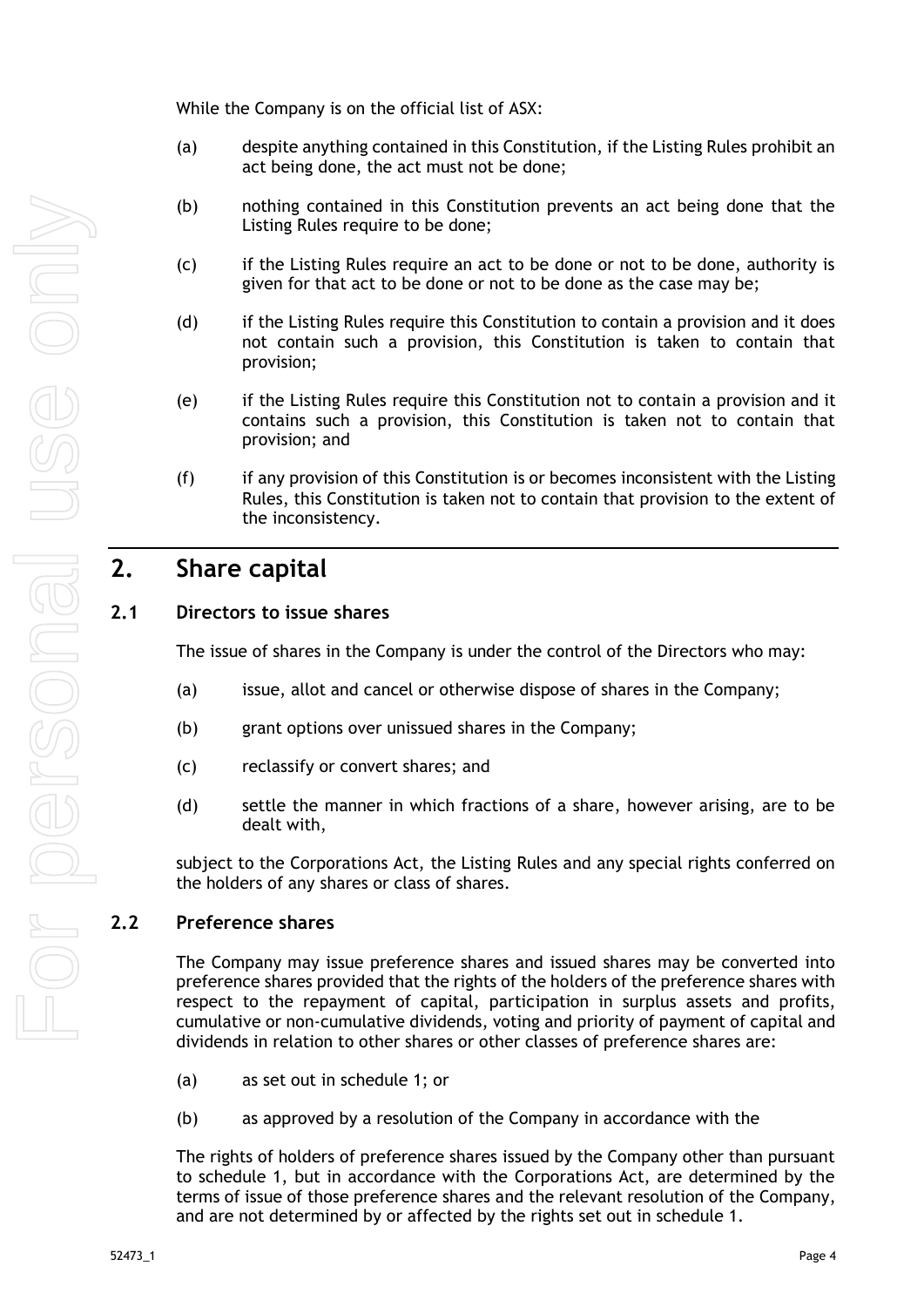While the Company is on the official list of ASX:

- (a) despite anything contained in this Constitution, if the Listing Rules prohibit an act being done, the act must not be done;
- (b) nothing contained in this Constitution prevents an act being done that the Listing Rules require to be done;
- (c) if the Listing Rules require an act to be done or not to be done, authority is given for that act to be done or not to be done as the case may be;
- (d) if the Listing Rules require this Constitution to contain a provision and it does not contain such a provision, this Constitution is taken to contain that provision;
- (e) if the Listing Rules require this Constitution not to contain a provision and it contains such a provision, this Constitution is taken not to contain that provision; and
- (f) if any provision of this Constitution is or becomes inconsistent with the Listing Rules, this Constitution is taken not to contain that provision to the extent of the inconsistency.

# <span id="page-9-0"></span>**2. Share capital**

## <span id="page-9-1"></span>**2.1 Directors to issue shares**

The issue of shares in the Company is under the control of the Directors who may:

- (a) issue, allot and cancel or otherwise dispose of shares in the Company;
- (b) grant options over unissued shares in the Company;
- (c) reclassify or convert shares; and
- (d) settle the manner in which fractions of a share, however arising, are to be dealt with,

subject to the Corporations Act, the Listing Rules and any special rights conferred on the holders of any shares or class of shares.

## <span id="page-9-2"></span>**2.2 Preference shares**

The Company may issue preference shares and issued shares may be converted into preference shares provided that the rights of the holders of the preference shares with respect to the repayment of capital, participation in surplus assets and profits, cumulative or non-cumulative dividends, voting and priority of payment of capital and dividends in relation to other shares or other classes of preference shares are:

- (a) as set out in schedule 1; or
- (b) as approved by a resolution of the Company in accordance with the

The rights of holders of preference shares issued by the Company other than pursuant to schedule 1, but in accordance with the Corporations Act, are determined by the terms of issue of those preference shares and the relevant resolution of the Company, and are not determined by or affected by the rights set out in schedule 1.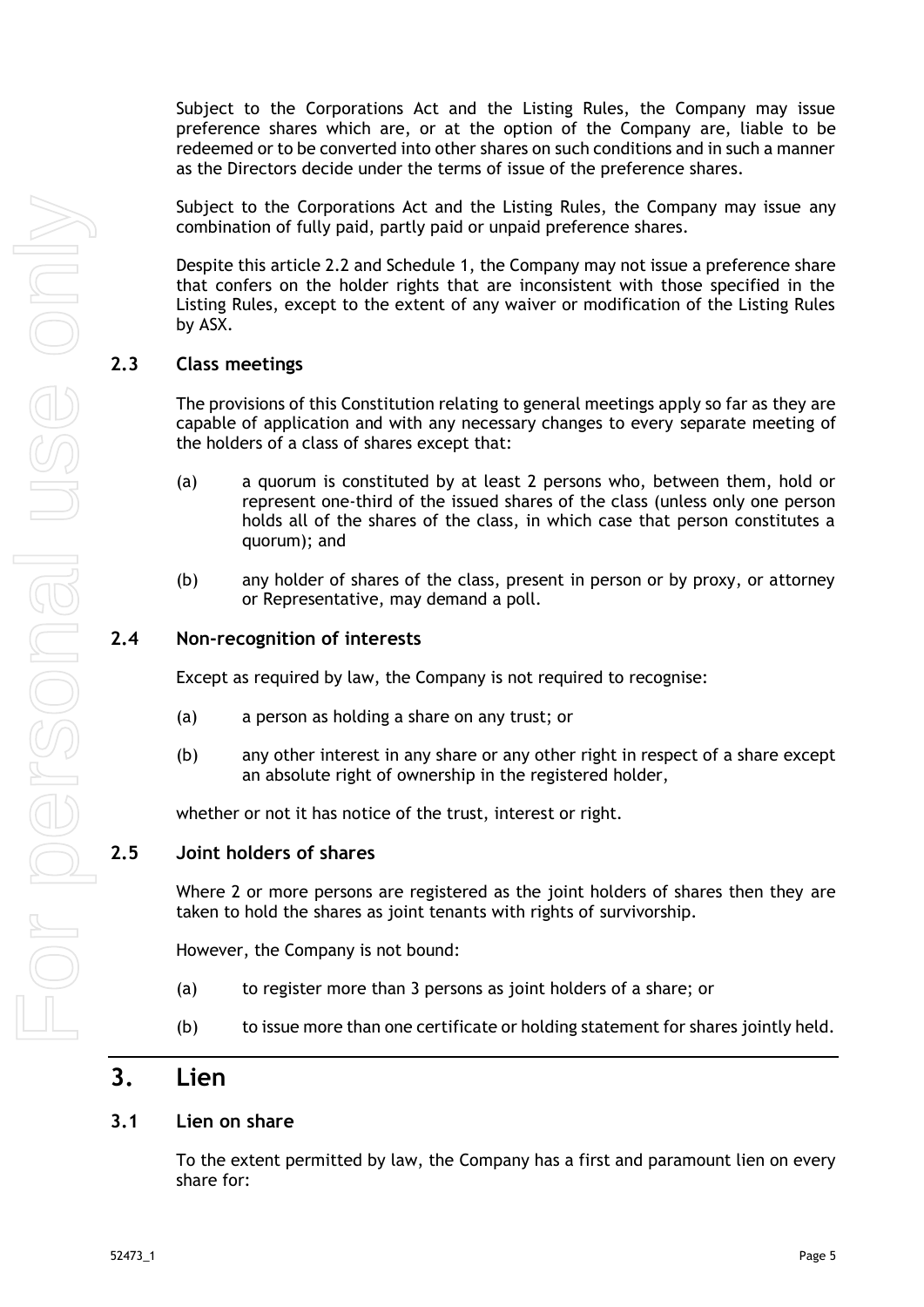Subject to the Corporations Act and the Listing Rules, the Company may issue preference shares which are, or at the option of the Company are, liable to be redeemed or to be converted into other shares on such conditions and in such a manner as the Directors decide under the terms of issue of the preference shares.

Subject to the Corporations Act and the Listing Rules, the Company may issue any combination of fully paid, partly paid or unpaid preference shares.

Despite this article 2.2 and [Schedule](#page-51-0) [1,](#page-51-0) the Company may not issue a preference share that confers on the holder rights that are inconsistent with those specified in the Listing Rules, except to the extent of any waiver or modification of the Listing Rules by ASX.

#### <span id="page-10-0"></span>**2.3 Class meetings**

The provisions of this Constitution relating to general meetings apply so far as they are capable of application and with any necessary changes to every separate meeting of the holders of a class of shares except that:

- (a) a quorum is constituted by at least 2 persons who, between them, hold or represent one-third of the issued shares of the class (unless only one person holds all of the shares of the class, in which case that person constitutes a quorum); and
- (b) any holder of shares of the class, present in person or by proxy, or attorney or Representative, may demand a poll.

#### <span id="page-10-1"></span>**2.4 Non-recognition of interests**

Except as required by law, the Company is not required to recognise:

- (a) a person as holding a share on any trust; or
- (b) any other interest in any share or any other right in respect of a share except an absolute right of ownership in the registered holder,

whether or not it has notice of the trust, interest or right.

#### <span id="page-10-2"></span>**2.5 Joint holders of shares**

Where 2 or more persons are registered as the joint holders of shares then they are taken to hold the shares as joint tenants with rights of survivorship.

However, the Company is not bound:

- (a) to register more than 3 persons as joint holders of a share; or
- (b) to issue more than one certificate or holding statement for shares jointly held.

## <span id="page-10-3"></span>**3. Lien**

#### <span id="page-10-4"></span>**3.1 Lien on share**

To the extent permitted by law, the Company has a first and paramount lien on every share for: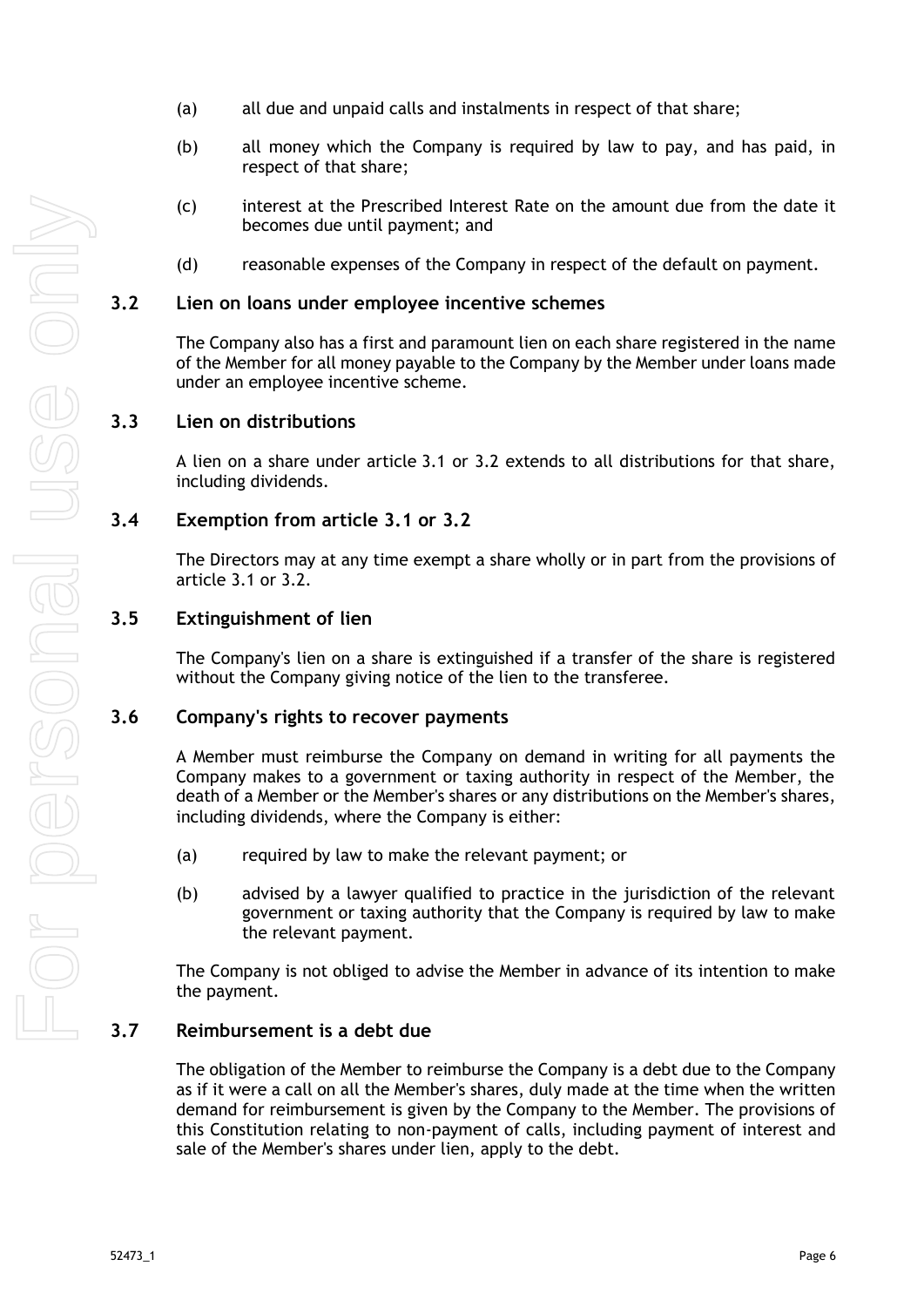- (a) all due and unpaid calls and instalments in respect of that share;
- (b) all money which the Company is required by law to pay, and has paid, in respect of that share;
- (c) interest at the Prescribed Interest Rate on the amount due from the date it becomes due until payment; and
- (d) reasonable expenses of the Company in respect of the default on payment.

#### <span id="page-11-0"></span>**3.2 Lien on loans under employee incentive schemes**

The Company also has a first and paramount lien on each share registered in the name of the Member for all money payable to the Company by the Member under loans made under an employee incentive scheme.

#### <span id="page-11-1"></span>**3.3 Lien on distributions**

A lien on a share under article [3.1](#page-10-4) or [3.2](#page-11-0) extends to all distributions for that share, including dividends.

### <span id="page-11-2"></span>**3.4 Exemption from article 3.1 or 3.2**

The Directors may at any time exempt a share wholly or in part from the provisions of article [3.1](#page-10-4) or [3.2.](#page-11-0)

#### <span id="page-11-3"></span>**3.5 Extinguishment of lien**

The Company's lien on a share is extinguished if a transfer of the share is registered without the Company giving notice of the lien to the transferee.

#### <span id="page-11-4"></span>**3.6 Company's rights to recover payments**

A Member must reimburse the Company on demand in writing for all payments the Company makes to a government or taxing authority in respect of the Member, the death of a Member or the Member's shares or any distributions on the Member's shares, including dividends, where the Company is either:

- (a) required by law to make the relevant payment; or
- (b) advised by a lawyer qualified to practice in the jurisdiction of the relevant government or taxing authority that the Company is required by law to make the relevant payment.

The Company is not obliged to advise the Member in advance of its intention to make the payment.

### <span id="page-11-5"></span>**3.7 Reimbursement is a debt due**

The obligation of the Member to reimburse the Company is a debt due to the Company as if it were a call on all the Member's shares, duly made at the time when the written demand for reimbursement is given by the Company to the Member. The provisions of this Constitution relating to non-payment of calls, including payment of interest and sale of the Member's shares under lien, apply to the debt.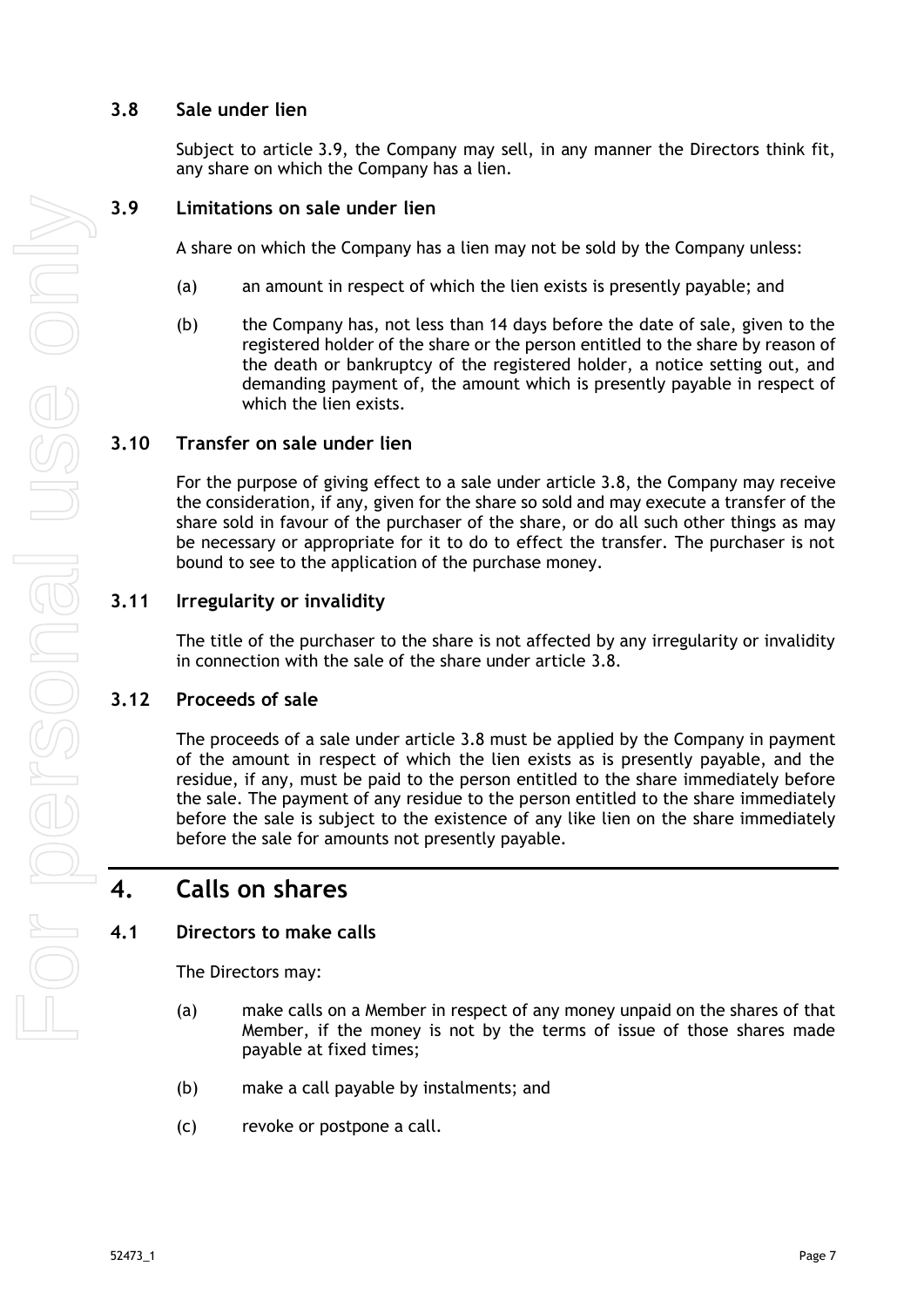## <span id="page-12-0"></span>**3.8 Sale under lien**

Subject to article [3.9,](#page-12-1) the Company may sell, in any manner the Directors think fit, any share on which the Company has a lien.

## <span id="page-12-1"></span>**3.9 Limitations on sale under lien**

A share on which the Company has a lien may not be sold by the Company unless:

- (a) an amount in respect of which the lien exists is presently payable; and
- (b) the Company has, not less than 14 days before the date of sale, given to the registered holder of the share or the person entitled to the share by reason of the death or bankruptcy of the registered holder, a notice setting out, and demanding payment of, the amount which is presently payable in respect of which the lien exists.

## <span id="page-12-2"></span>**3.10 Transfer on sale under lien**

For the purpose of giving effect to a sale under article [3.8,](#page-12-0) the Company may receive the consideration, if any, given for the share so sold and may execute a transfer of the share sold in favour of the purchaser of the share, or do all such other things as may be necessary or appropriate for it to do to effect the transfer. The purchaser is not bound to see to the application of the purchase money.

## <span id="page-12-3"></span>**3.11 Irregularity or invalidity**

The title of the purchaser to the share is not affected by any irregularity or invalidity in connection with the sale of the share under article [3.8.](#page-12-0)

## <span id="page-12-4"></span>**3.12 Proceeds of sale**

The proceeds of a sale under article [3.8](#page-12-0) must be applied by the Company in payment of the amount in respect of which the lien exists as is presently payable, and the residue, if any, must be paid to the person entitled to the share immediately before the sale. The payment of any residue to the person entitled to the share immediately before the sale is subject to the existence of any like lien on the share immediately before the sale for amounts not presently payable.

# <span id="page-12-5"></span>**4. Calls on shares**

## <span id="page-12-6"></span>**4.1 Directors to make calls**

The Directors may:

- (a) make calls on a Member in respect of any money unpaid on the shares of that Member, if the money is not by the terms of issue of those shares made payable at fixed times;
- (b) make a call payable by instalments; and
- (c) revoke or postpone a call.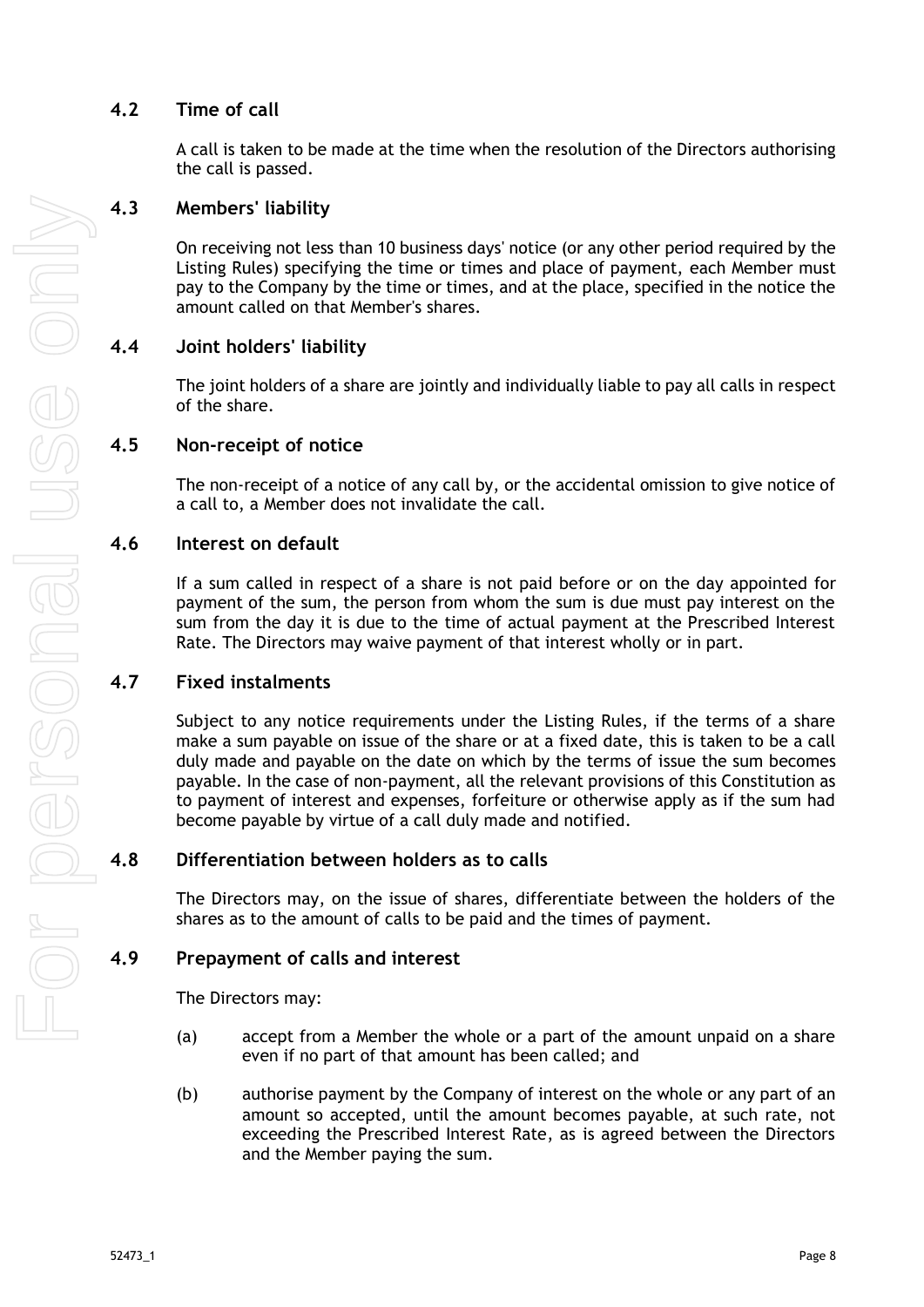## <span id="page-13-0"></span>**4.2 Time of call**

A call is taken to be made at the time when the resolution of the Directors authorising the call is passed.

### <span id="page-13-1"></span>**4.3 Members' liability**

On receiving not less than 10 business days' notice (or any other period required by the Listing Rules) specifying the time or times and place of payment, each Member must pay to the Company by the time or times, and at the place, specified in the notice the amount called on that Member's shares.

## <span id="page-13-2"></span>**4.4 Joint holders' liability**

The joint holders of a share are jointly and individually liable to pay all calls in respect of the share.

#### <span id="page-13-3"></span>**4.5 Non-receipt of notice**

The non-receipt of a notice of any call by, or the accidental omission to give notice of a call to, a Member does not invalidate the call.

#### <span id="page-13-4"></span>**4.6 Interest on default**

If a sum called in respect of a share is not paid before or on the day appointed for payment of the sum, the person from whom the sum is due must pay interest on the sum from the day it is due to the time of actual payment at the Prescribed Interest Rate. The Directors may waive payment of that interest wholly or in part.

#### <span id="page-13-5"></span>**4.7 Fixed instalments**

Subject to any notice requirements under the Listing Rules, if the terms of a share make a sum payable on issue of the share or at a fixed date, this is taken to be a call duly made and payable on the date on which by the terms of issue the sum becomes payable. In the case of non-payment, all the relevant provisions of this Constitution as to payment of interest and expenses, forfeiture or otherwise apply as if the sum had become payable by virtue of a call duly made and notified.

#### <span id="page-13-6"></span>**4.8 Differentiation between holders as to calls**

The Directors may, on the issue of shares, differentiate between the holders of the shares as to the amount of calls to be paid and the times of payment.

#### <span id="page-13-7"></span>**4.9 Prepayment of calls and interest**

The Directors may:

- (a) accept from a Member the whole or a part of the amount unpaid on a share even if no part of that amount has been called; and
- (b) authorise payment by the Company of interest on the whole or any part of an amount so accepted, until the amount becomes payable, at such rate, not exceeding the Prescribed Interest Rate, as is agreed between the Directors and the Member paying the sum.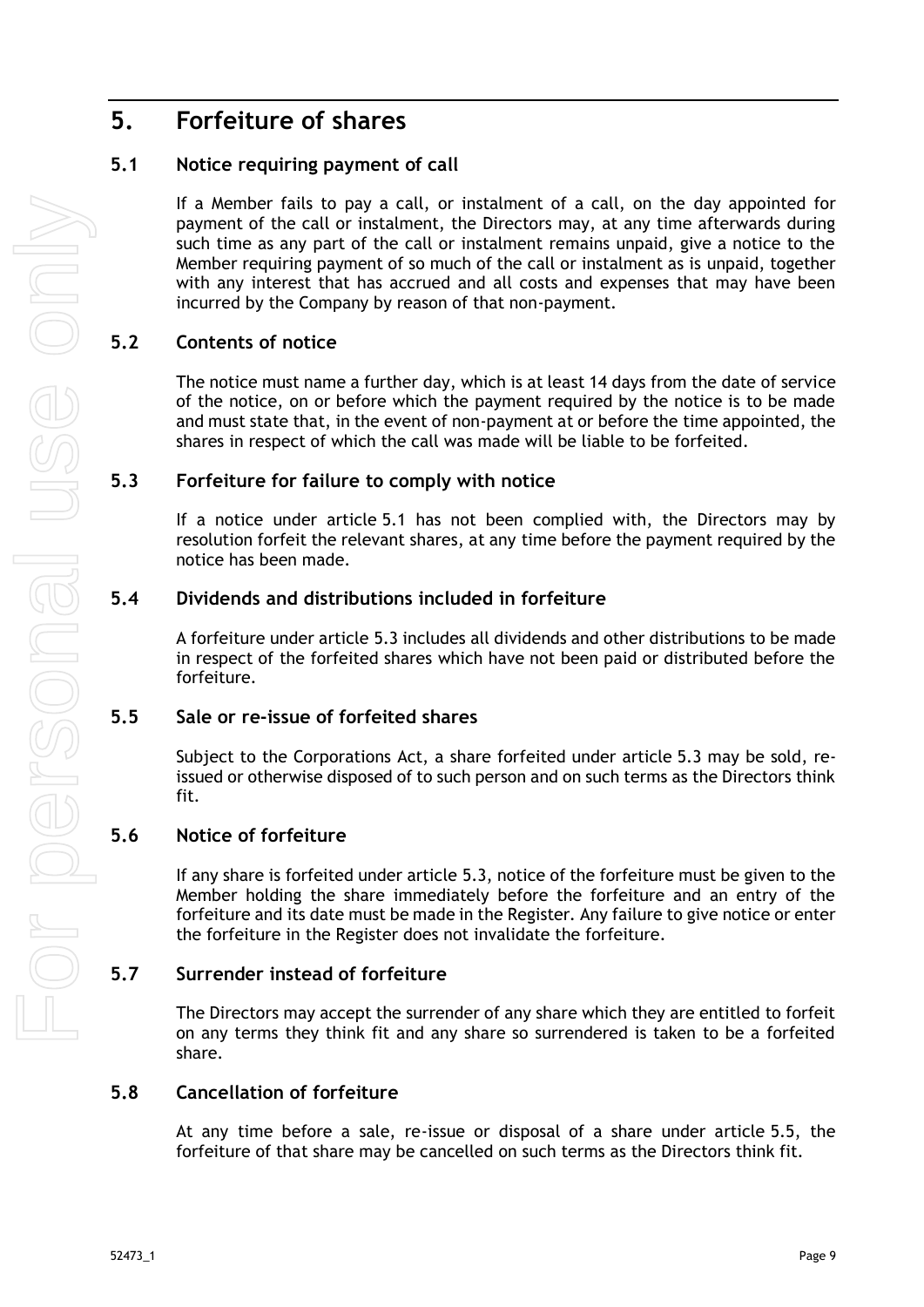# <span id="page-14-0"></span>**5. Forfeiture of shares**

## <span id="page-14-1"></span>**5.1 Notice requiring payment of call**

If a Member fails to pay a call, or instalment of a call, on the day appointed for payment of the call or instalment, the Directors may, at any time afterwards during such time as any part of the call or instalment remains unpaid, give a notice to the Member requiring payment of so much of the call or instalment as is unpaid, together with any interest that has accrued and all costs and expenses that may have been incurred by the Company by reason of that non-payment.

## <span id="page-14-2"></span>**5.2 Contents of notice**

The notice must name a further day, which is at least 14 days from the date of service of the notice, on or before which the payment required by the notice is to be made and must state that, in the event of non-payment at or before the time appointed, the shares in respect of which the call was made will be liable to be forfeited.

## <span id="page-14-3"></span>**5.3 Forfeiture for failure to comply with notice**

If a notice under article [5.1](#page-14-1) has not been complied with, the Directors may by resolution forfeit the relevant shares, at any time before the payment required by the notice has been made.

## <span id="page-14-4"></span>**5.4 Dividends and distributions included in forfeiture**

A forfeiture under article [5.3](#page-14-3) includes all dividends and other distributions to be made in respect of the forfeited shares which have not been paid or distributed before the forfeiture.

## <span id="page-14-5"></span>**5.5 Sale or re-issue of forfeited shares**

Subject to the Corporations Act, a share forfeited under article [5.3](#page-14-3) may be sold, reissued or otherwise disposed of to such person and on such terms as the Directors think fit.

## <span id="page-14-6"></span>**5.6 Notice of forfeiture**

If any share is forfeited under article [5.3,](#page-14-3) notice of the forfeiture must be given to the Member holding the share immediately before the forfeiture and an entry of the forfeiture and its date must be made in the Register. Any failure to give notice or enter the forfeiture in the Register does not invalidate the forfeiture.

## <span id="page-14-7"></span>**5.7 Surrender instead of forfeiture**

The Directors may accept the surrender of any share which they are entitled to forfeit on any terms they think fit and any share so surrendered is taken to be a forfeited share.

## <span id="page-14-8"></span>**5.8 Cancellation of forfeiture**

At any time before a sale, re-issue or disposal of a share under article [5.5,](#page-14-5) the forfeiture of that share may be cancelled on such terms as the Directors think fit.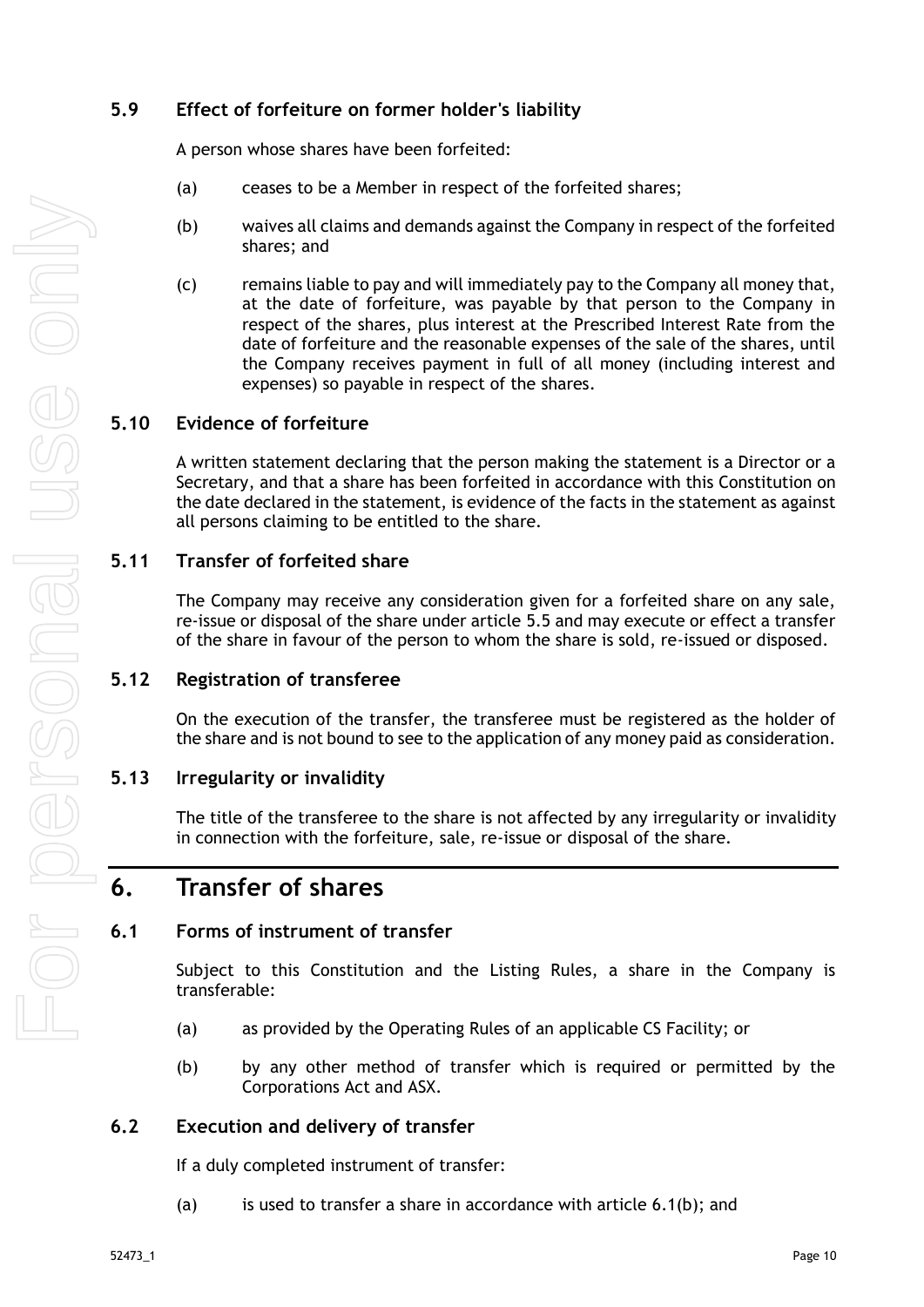## <span id="page-15-0"></span>**5.9 Effect of forfeiture on former holder's liability**

A person whose shares have been forfeited:

- (a) ceases to be a Member in respect of the forfeited shares;
- (b) waives all claims and demands against the Company in respect of the forfeited shares; and
- (c) remains liable to pay and will immediately pay to the Company all money that, at the date of forfeiture, was payable by that person to the Company in respect of the shares, plus interest at the Prescribed Interest Rate from the date of forfeiture and the reasonable expenses of the sale of the shares, until the Company receives payment in full of all money (including interest and expenses) so payable in respect of the shares.

## <span id="page-15-1"></span>**5.10 Evidence of forfeiture**

A written statement declaring that the person making the statement is a Director or a Secretary, and that a share has been forfeited in accordance with this Constitution on the date declared in the statement, is evidence of the facts in the statement as against all persons claiming to be entitled to the share.

## <span id="page-15-2"></span>**5.11 Transfer of forfeited share**

The Company may receive any consideration given for a forfeited share on any sale, re-issue or disposal of the share under article [5.5](#page-14-5) and may execute or effect a transfer of the share in favour of the person to whom the share is sold, re-issued or disposed.

## <span id="page-15-3"></span>**5.12 Registration of transferee**

On the execution of the transfer, the transferee must be registered as the holder of the share and is not bound to see to the application of any money paid as consideration.

## <span id="page-15-4"></span>**5.13 Irregularity or invalidity**

The title of the transferee to the share is not affected by any irregularity or invalidity in connection with the forfeiture, sale, re-issue or disposal of the share.

## <span id="page-15-5"></span>**6. Transfer of shares**

## <span id="page-15-6"></span>**6.1 Forms of instrument of transfer**

Subject to this Constitution and the Listing Rules, a share in the Company is transferable:

- (a) as provided by the Operating Rules of an applicable CS Facility; or
- <span id="page-15-8"></span>(b) by any other method of transfer which is required or permitted by the Corporations Act and ASX.

## <span id="page-15-7"></span>**6.2 Execution and delivery of transfer**

If a duly completed instrument of transfer:

(a) is used to transfer a share in accordance with article  $6.1(b)$ ; and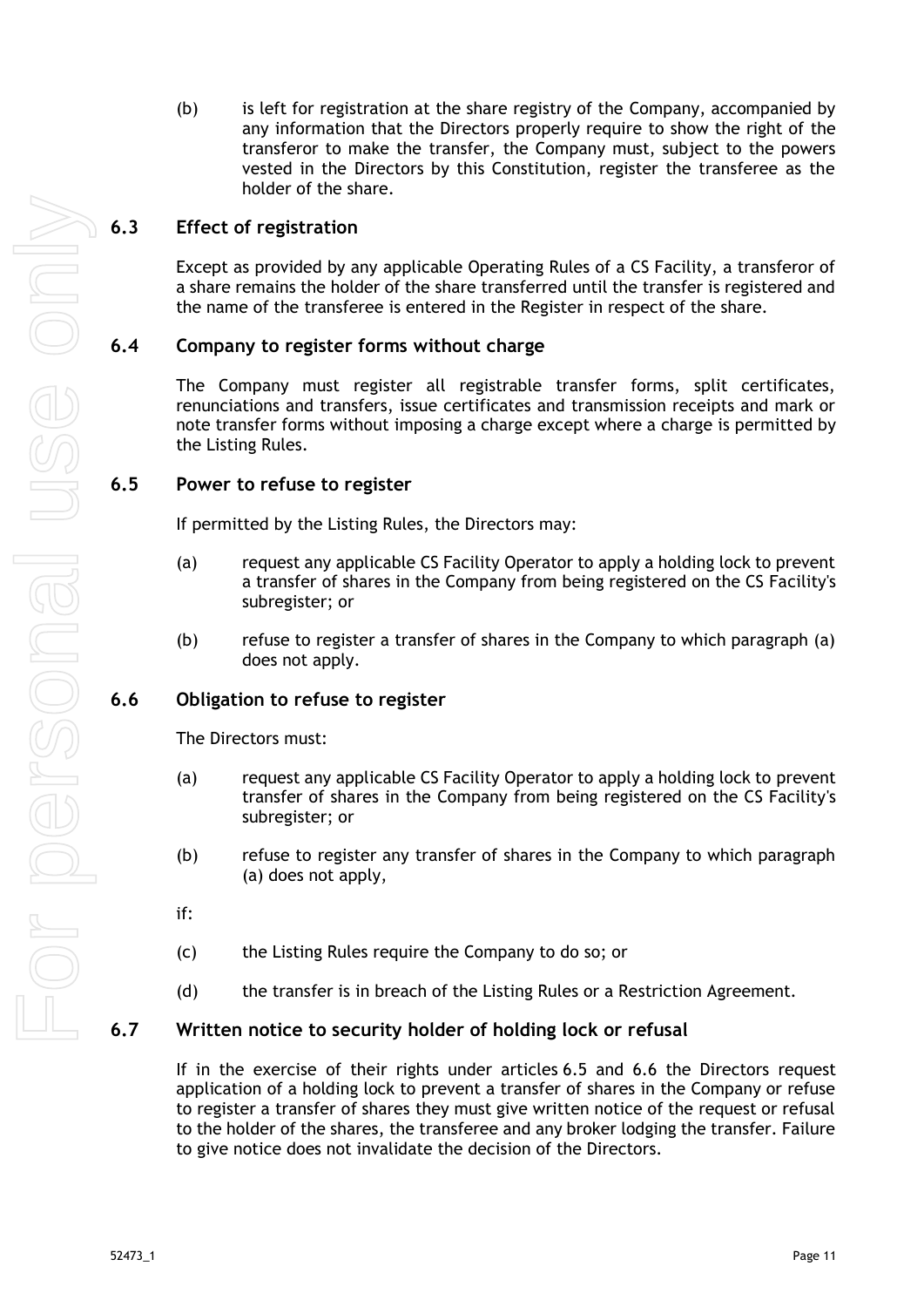(b) is left for registration at the share registry of the Company, accompanied by any information that the Directors properly require to show the right of the transferor to make the transfer, the Company must, subject to the powers vested in the Directors by this Constitution, register the transferee as the holder of the share.

## <span id="page-16-0"></span>**6.3 Effect of registration**

Except as provided by any applicable Operating Rules of a CS Facility, a transferor of a share remains the holder of the share transferred until the transfer is registered and the name of the transferee is entered in the Register in respect of the share.

## <span id="page-16-1"></span>**6.4 Company to register forms without charge**

The Company must register all registrable transfer forms, split certificates, renunciations and transfers, issue certificates and transmission receipts and mark or note transfer forms without imposing a charge except where a charge is permitted by the Listing Rules.

#### <span id="page-16-2"></span>**6.5 Power to refuse to register**

If permitted by the Listing Rules, the Directors may:

- (a) request any applicable CS Facility Operator to apply a holding lock to prevent a transfer of shares in the Company from being registered on the CS Facility's subregister; or
- (b) refuse to register a transfer of shares in the Company to which paragraph (a) does not apply.

## <span id="page-16-3"></span>**6.6 Obligation to refuse to register**

The Directors must:

- (a) request any applicable CS Facility Operator to apply a holding lock to prevent transfer of shares in the Company from being registered on the CS Facility's subregister; or
- (b) refuse to register any transfer of shares in the Company to which paragraph (a) does not apply,
- if:
- (c) the Listing Rules require the Company to do so; or
- (d) the transfer is in breach of the Listing Rules or a Restriction Agreement.

## <span id="page-16-4"></span>**6.7 Written notice to security holder of holding lock or refusal**

If in the exercise of their rights under articles [6.5](#page-16-2) and [6.6](#page-16-3) the Directors request application of a holding lock to prevent a transfer of shares in the Company or refuse to register a transfer of shares they must give written notice of the request or refusal to the holder of the shares, the transferee and any broker lodging the transfer. Failure to give notice does not invalidate the decision of the Directors.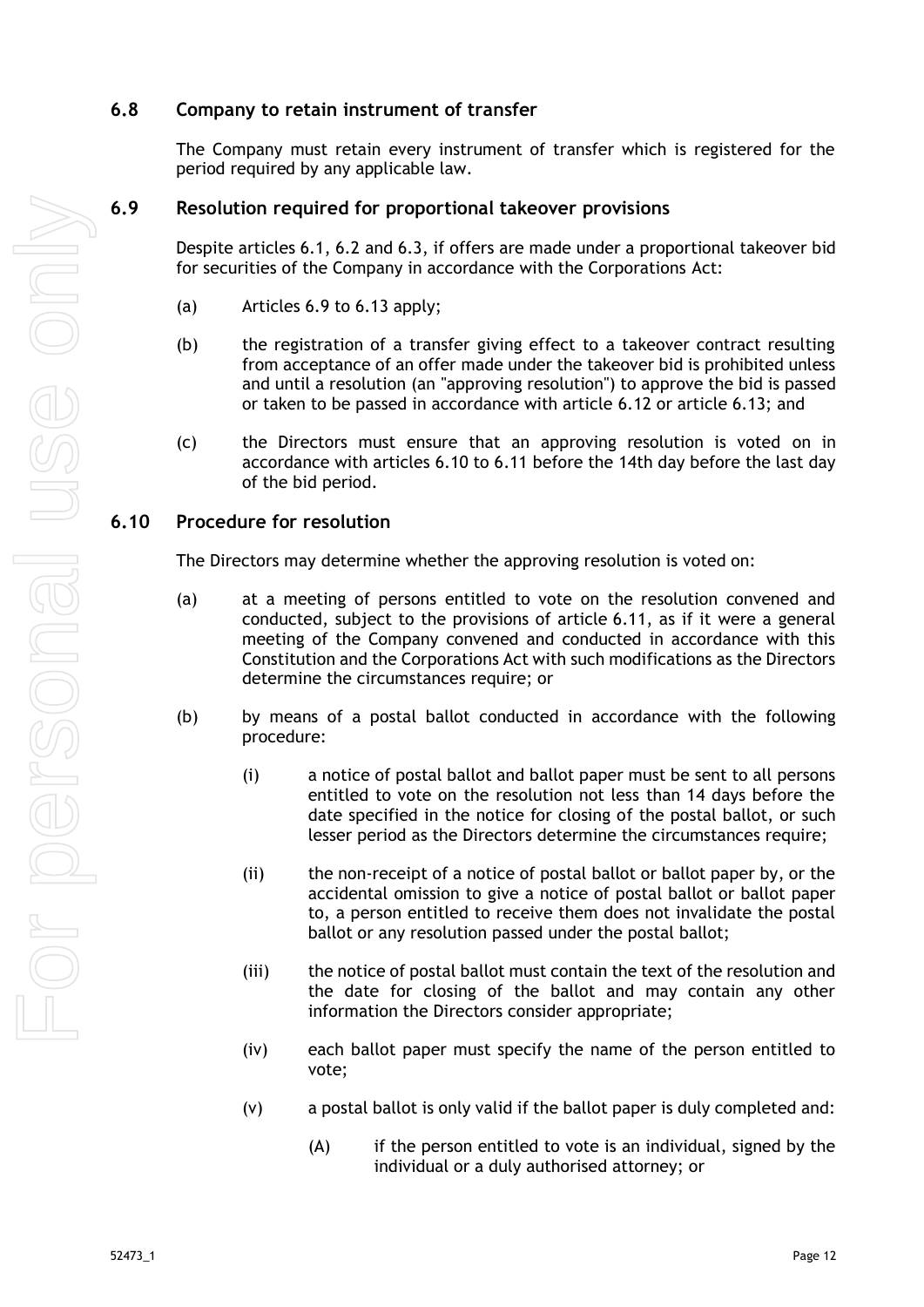## <span id="page-17-0"></span>**6.8 Company to retain instrument of transfer**

The Company must retain every instrument of transfer which is registered for the period required by any applicable law.

## <span id="page-17-1"></span>**6.9 Resolution required for proportional takeover provisions**

Despite articles [6.1,](#page-15-6) [6.2](#page-15-7) and [6.3,](#page-16-0) if offers are made under a proportional takeover bid for securities of the Company in accordance with the Corporations Act:

- (a) Articles [6.9](#page-17-1) to [6.13](#page-18-2) apply;
- (b) the registration of a transfer giving effect to a takeover contract resulting from acceptance of an offer made under the takeover bid is prohibited unless and until a resolution (an "approving resolution") to approve the bid is passed or taken to be passed in accordance with article [6.12](#page-18-1) or article [6.13;](#page-18-2) and
- (c) the Directors must ensure that an approving resolution is voted on in accordance with articles [6.10](#page-17-2) to [6.11](#page-18-0) before the 14th day before the last day of the bid period.

#### <span id="page-17-2"></span>**6.10 Procedure for resolution**

The Directors may determine whether the approving resolution is voted on:

- (a) at a meeting of persons entitled to vote on the resolution convened and conducted, subject to the provisions of article [6.11,](#page-18-0) as if it were a general meeting of the Company convened and conducted in accordance with this Constitution and the Corporations Act with such modifications as the Directors determine the circumstances require; or
- (b) by means of a postal ballot conducted in accordance with the following procedure:
	- (i) a notice of postal ballot and ballot paper must be sent to all persons entitled to vote on the resolution not less than 14 days before the date specified in the notice for closing of the postal ballot, or such lesser period as the Directors determine the circumstances require;
	- (ii) the non-receipt of a notice of postal ballot or ballot paper by, or the accidental omission to give a notice of postal ballot or ballot paper to, a person entitled to receive them does not invalidate the postal ballot or any resolution passed under the postal ballot;
	- (iii) the notice of postal ballot must contain the text of the resolution and the date for closing of the ballot and may contain any other information the Directors consider appropriate;
	- (iv) each ballot paper must specify the name of the person entitled to vote;
	- (v) a postal ballot is only valid if the ballot paper is duly completed and:
		- (A) if the person entitled to vote is an individual, signed by the individual or a duly authorised attorney; or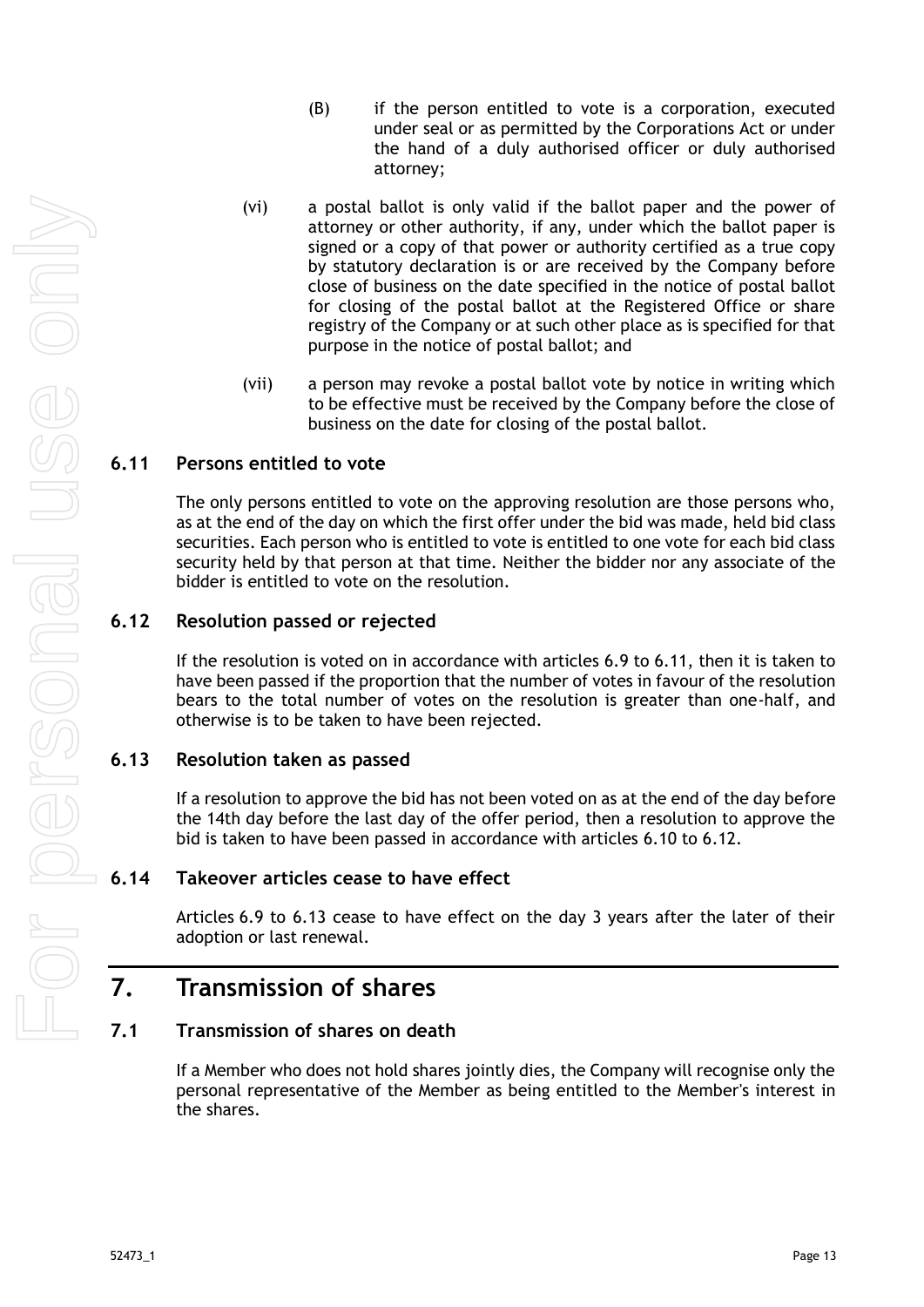- (B) if the person entitled to vote is a corporation, executed under seal or as permitted by the Corporations Act or under the hand of a duly authorised officer or duly authorised attorney;
- (vi) a postal ballot is only valid if the ballot paper and the power of attorney or other authority, if any, under which the ballot paper is signed or a copy of that power or authority certified as a true copy by statutory declaration is or are received by the Company before close of business on the date specified in the notice of postal ballot for closing of the postal ballot at the Registered Office or share registry of the Company or at such other place as is specified for that purpose in the notice of postal ballot; and
- (vii) a person may revoke a postal ballot vote by notice in writing which to be effective must be received by the Company before the close of business on the date for closing of the postal ballot.

#### <span id="page-18-0"></span>**6.11 Persons entitled to vote**

The only persons entitled to vote on the approving resolution are those persons who, as at the end of the day on which the first offer under the bid was made, held bid class securities. Each person who is entitled to vote is entitled to one vote for each bid class security held by that person at that time. Neither the bidder nor any associate of the bidder is entitled to vote on the resolution.

#### <span id="page-18-1"></span>**6.12 Resolution passed or rejected**

If the resolution is voted on in accordance with articles [6.9](#page-17-1) to [6.11,](#page-18-0) then it is taken to have been passed if the proportion that the number of votes in favour of the resolution bears to the total number of votes on the resolution is greater than one-half, and otherwise is to be taken to have been rejected.

#### <span id="page-18-2"></span>**6.13 Resolution taken as passed**

If a resolution to approve the bid has not been voted on as at the end of the day before the 14th day before the last day of the offer period, then a resolution to approve the bid is taken to have been passed in accordance with articles [6.10](#page-17-2) to [6.12.](#page-18-1)

#### <span id="page-18-3"></span>**6.14 Takeover articles cease to have effect**

Articles [6.9](#page-17-1) to [6.13](#page-18-2) cease to have effect on the day 3 years after the later of their adoption or last renewal.

## <span id="page-18-4"></span>**7. Transmission of shares**

### <span id="page-18-5"></span>**7.1 Transmission of shares on death**

If a Member who does not hold shares jointly dies, the Company will recognise only the personal representative of the Member as being entitled to the Member's interest in the shares.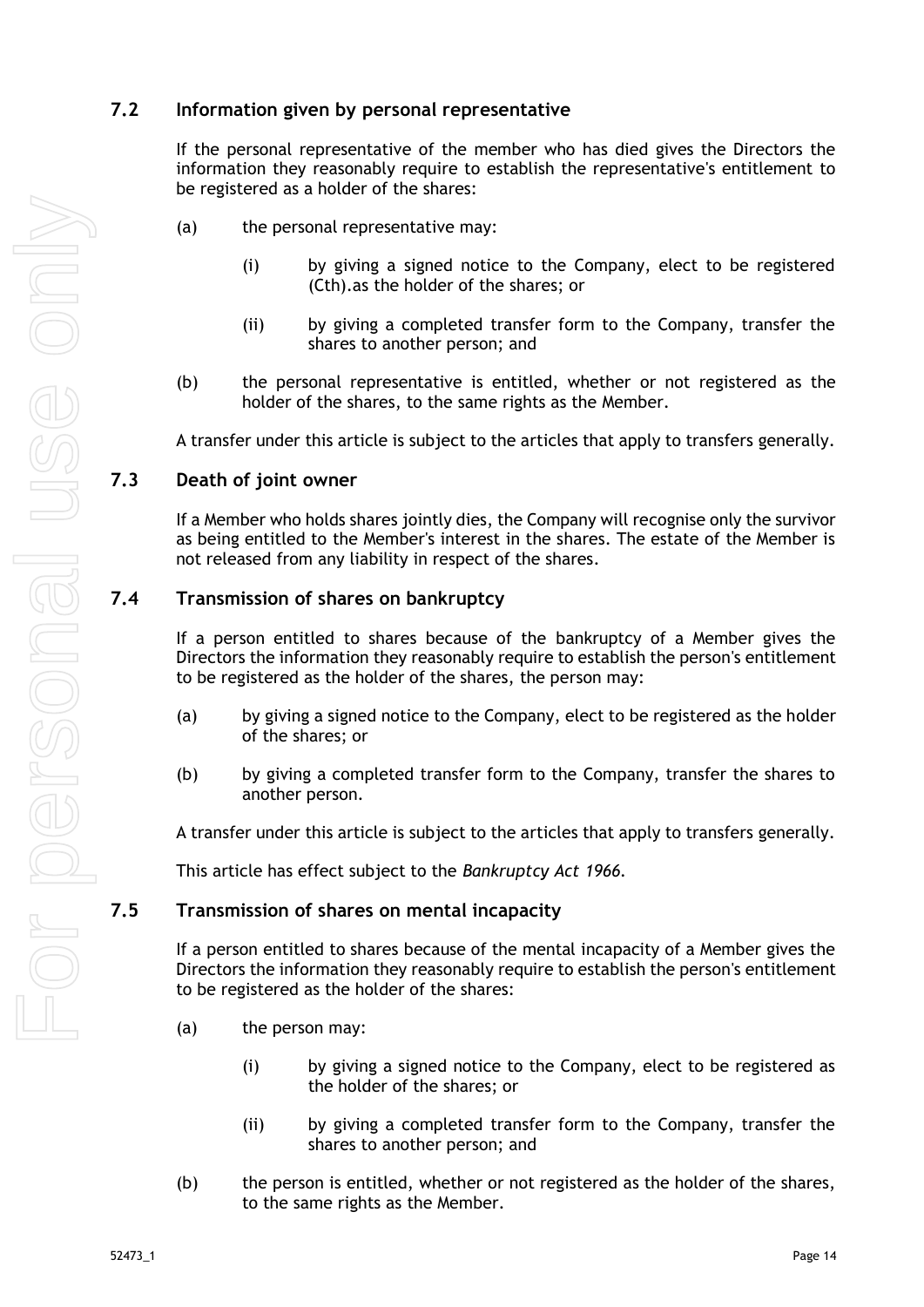## <span id="page-19-0"></span>**7.2 Information given by personal representative**

If the personal representative of the member who has died gives the Directors the information they reasonably require to establish the representative's entitlement to be registered as a holder of the shares:

- (a) the personal representative may:
	- (i) by giving a signed notice to the Company, elect to be registered (Cth).as the holder of the shares; or
	- (ii) by giving a completed transfer form to the Company, transfer the shares to another person; and
- (b) the personal representative is entitled, whether or not registered as the holder of the shares, to the same rights as the Member.

A transfer under this article is subject to the articles that apply to transfers generally.

#### <span id="page-19-1"></span>**7.3 Death of joint owner**

If a Member who holds shares jointly dies, the Company will recognise only the survivor as being entitled to the Member's interest in the shares. The estate of the Member is not released from any liability in respect of the shares.

#### <span id="page-19-2"></span>**7.4 Transmission of shares on bankruptcy**

If a person entitled to shares because of the bankruptcy of a Member gives the Directors the information they reasonably require to establish the person's entitlement to be registered as the holder of the shares, the person may:

- (a) by giving a signed notice to the Company, elect to be registered as the holder of the shares; or
- (b) by giving a completed transfer form to the Company, transfer the shares to another person.

A transfer under this article is subject to the articles that apply to transfers generally.

This article has effect subject to the *Bankruptcy Act 1966.*

#### <span id="page-19-3"></span>**7.5 Transmission of shares on mental incapacity**

If a person entitled to shares because of the mental incapacity of a Member gives the Directors the information they reasonably require to establish the person's entitlement to be registered as the holder of the shares:

- (a) the person may:
	- (i) by giving a signed notice to the Company, elect to be registered as the holder of the shares; or
	- (ii) by giving a completed transfer form to the Company, transfer the shares to another person; and
- (b) the person is entitled, whether or not registered as the holder of the shares, to the same rights as the Member.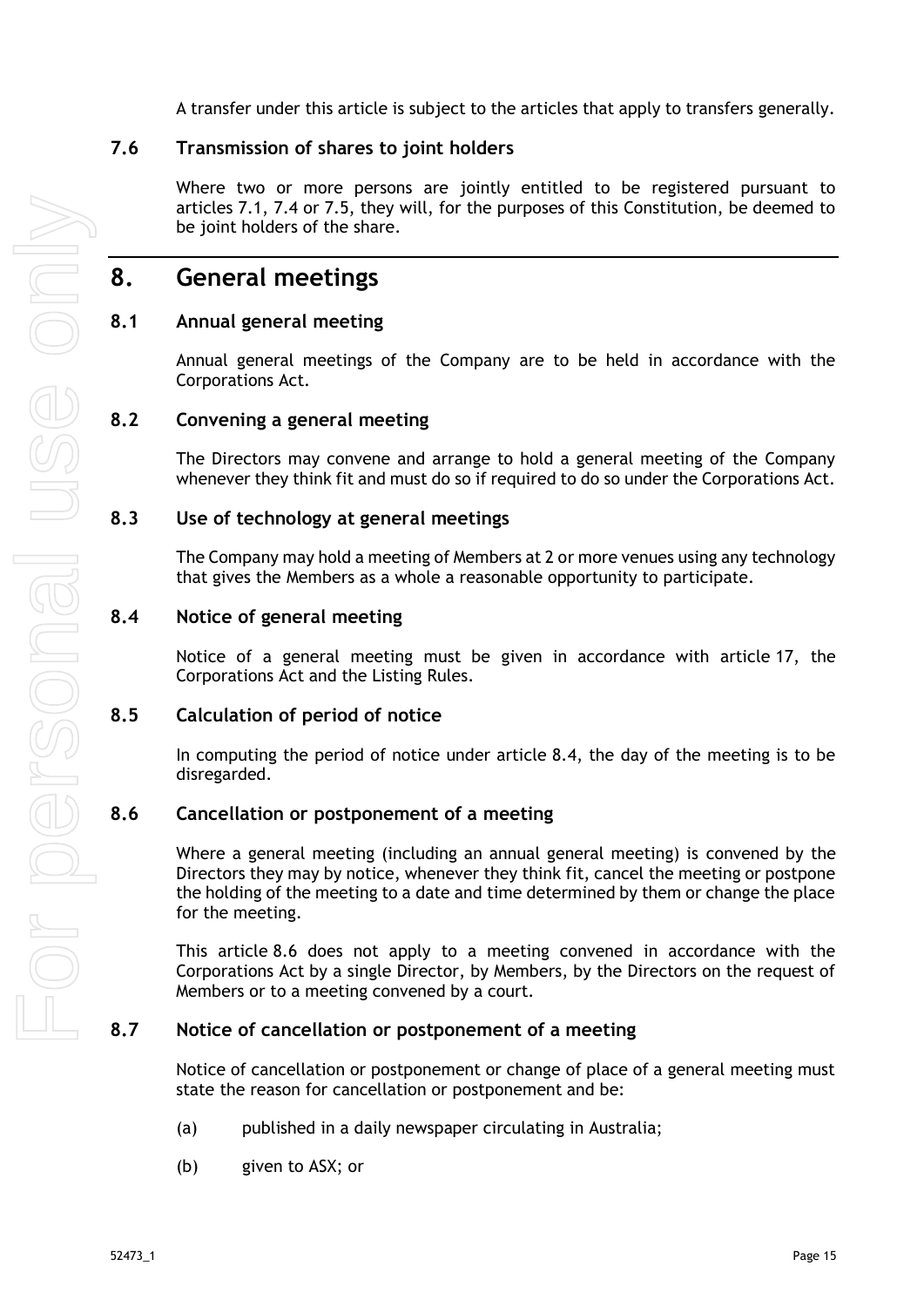A transfer under this article is subject to the articles that apply to transfers generally.

## <span id="page-20-0"></span>**7.6 Transmission of shares to joint holders**

Where two or more persons are jointly entitled to be registered pursuant to articles [7.1,](#page-18-5) [7.4](#page-19-2) or [7.5,](#page-19-3) they will, for the purposes of this Constitution, be deemed to be joint holders of the share.

## <span id="page-20-1"></span>**8. General meetings**

## <span id="page-20-2"></span>**8.1 Annual general meeting**

Annual general meetings of the Company are to be held in accordance with the Corporations Act.

### <span id="page-20-3"></span>**8.2 Convening a general meeting**

The Directors may convene and arrange to hold a general meeting of the Company whenever they think fit and must do so if required to do so under the Corporations Act.

#### <span id="page-20-4"></span>**8.3 Use of technology at general meetings**

The Company may hold a meeting of Members at 2 or more venues using any technology that gives the Members as a whole a reasonable opportunity to participate.

#### <span id="page-20-5"></span>**8.4 Notice of general meeting**

Notice of a general meeting must be given in accordance with article [17,](#page-44-0) the Corporations Act and the Listing Rules.

## <span id="page-20-6"></span>**8.5 Calculation of period of notice**

In computing the period of notice under article [8.4,](#page-20-5) the day of the meeting is to be disregarded.

#### <span id="page-20-7"></span>**8.6 Cancellation or postponement of a meeting**

Where a general meeting (including an annual general meeting) is convened by the Directors they may by notice, whenever they think fit, cancel the meeting or postpone the holding of the meeting to a date and time determined by them or change the place for the meeting.

This article [8.6](#page-20-7) does not apply to a meeting convened in accordance with the Corporations Act by a single Director, by Members, by the Directors on the request of Members or to a meeting convened by a court.

#### <span id="page-20-8"></span>**8.7 Notice of cancellation or postponement of a meeting**

Notice of cancellation or postponement or change of place of a general meeting must state the reason for cancellation or postponement and be:

- (a) published in a daily newspaper circulating in Australia;
- (b) given to ASX; or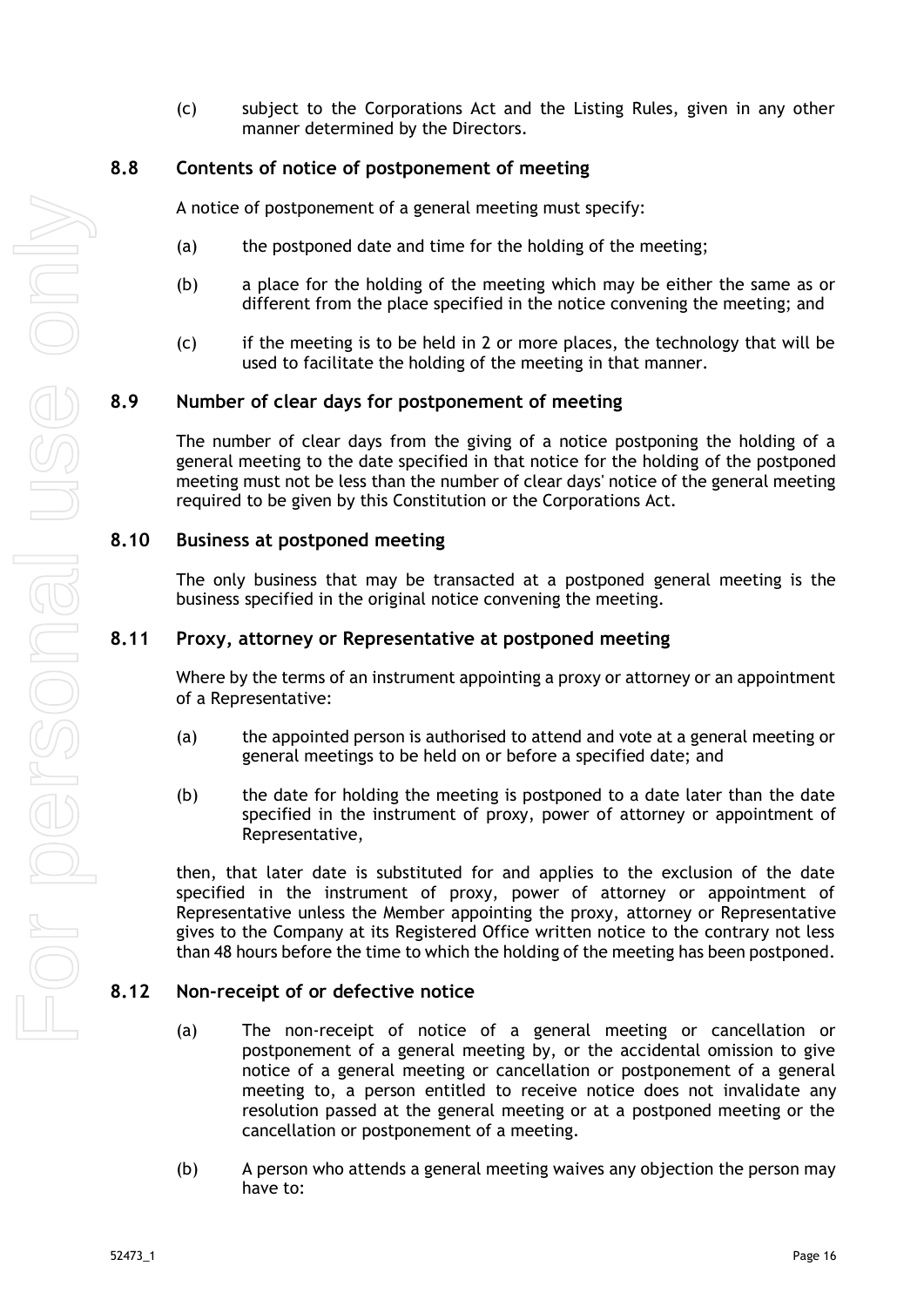(c) subject to the Corporations Act and the Listing Rules, given in any other manner determined by the Directors.

#### <span id="page-21-0"></span>**8.8 Contents of notice of postponement of meeting**

A notice of postponement of a general meeting must specify:

- (a) the postponed date and time for the holding of the meeting;
- (b) a place for the holding of the meeting which may be either the same as or different from the place specified in the notice convening the meeting; and
- $(c)$  if the meeting is to be held in 2 or more places, the technology that will be used to facilitate the holding of the meeting in that manner.

#### <span id="page-21-1"></span>**8.9 Number of clear days for postponement of meeting**

The number of clear days from the giving of a notice postponing the holding of a general meeting to the date specified in that notice for the holding of the postponed meeting must not be less than the number of clear days' notice of the general meeting required to be given by this Constitution or the Corporations Act.

#### <span id="page-21-2"></span>**8.10 Business at postponed meeting**

The only business that may be transacted at a postponed general meeting is the business specified in the original notice convening the meeting.

#### <span id="page-21-3"></span>**8.11 Proxy, attorney or Representative at postponed meeting**

Where by the terms of an instrument appointing a proxy or attorney or an appointment of a Representative:

- (a) the appointed person is authorised to attend and vote at a general meeting or general meetings to be held on or before a specified date; and
- (b) the date for holding the meeting is postponed to a date later than the date specified in the instrument of proxy, power of attorney or appointment of Representative,

then, that later date is substituted for and applies to the exclusion of the date specified in the instrument of proxy, power of attorney or appointment of Representative unless the Member appointing the proxy, attorney or Representative gives to the Company at its Registered Office written notice to the contrary not less than 48 hours before the time to which the holding of the meeting has been postponed.

#### <span id="page-21-4"></span>**8.12 Non-receipt of or defective notice**

- (a) The non-receipt of notice of a general meeting or cancellation or postponement of a general meeting by, or the accidental omission to give notice of a general meeting or cancellation or postponement of a general meeting to, a person entitled to receive notice does not invalidate any resolution passed at the general meeting or at a postponed meeting or the cancellation or postponement of a meeting.
- (b) A person who attends a general meeting waives any objection the person may have to: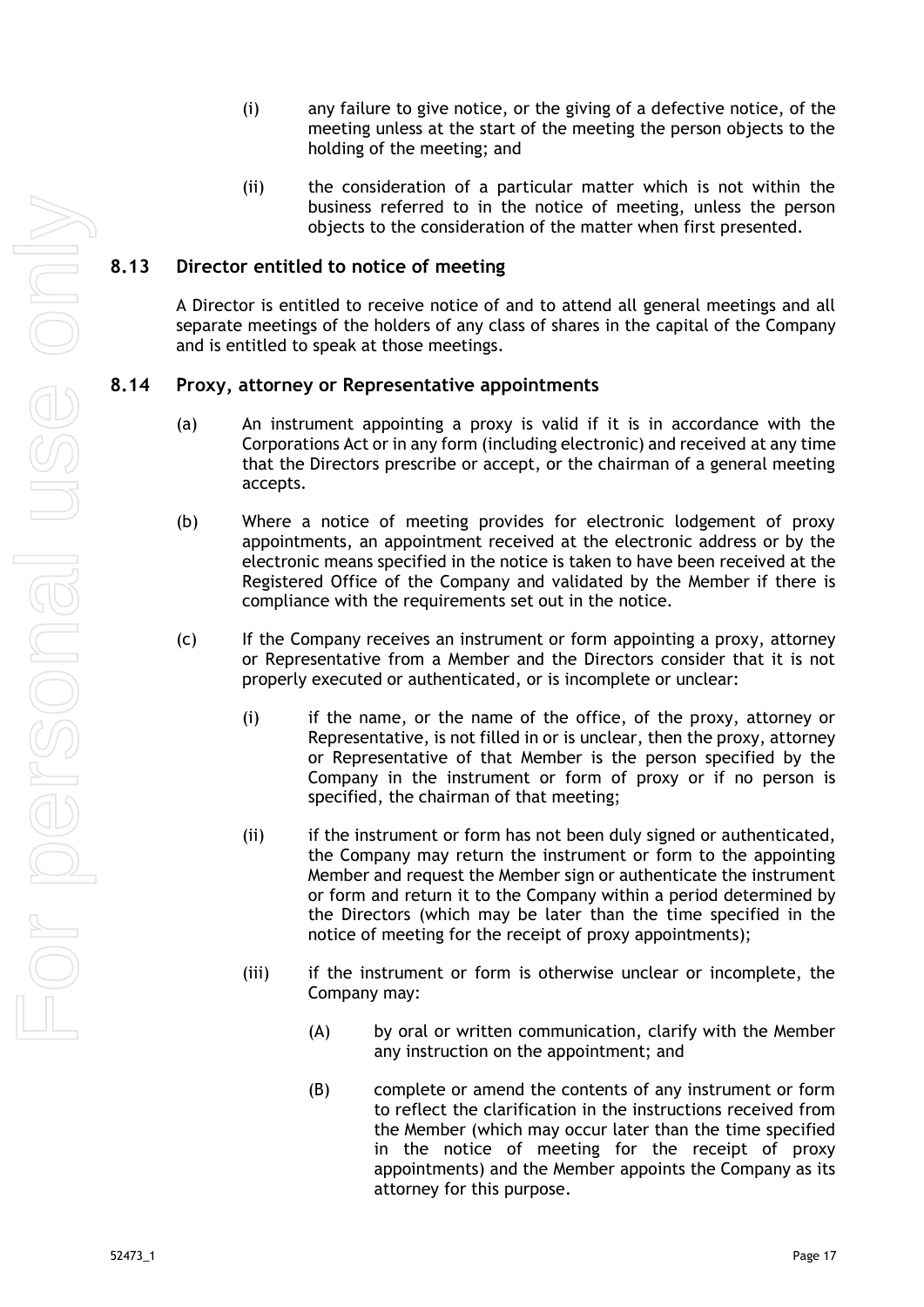- (i) any failure to give notice, or the giving of a defective notice, of the meeting unless at the start of the meeting the person objects to the holding of the meeting; and
- (ii) the consideration of a particular matter which is not within the business referred to in the notice of meeting, unless the person objects to the consideration of the matter when first presented.

### <span id="page-22-0"></span>**8.13 Director entitled to notice of meeting**

A Director is entitled to receive notice of and to attend all general meetings and all separate meetings of the holders of any class of shares in the capital of the Company and is entitled to speak at those meetings.

#### <span id="page-22-1"></span>**8.14 Proxy, attorney or Representative appointments**

- (a) An instrument appointing a proxy is valid if it is in accordance with the Corporations Act or in any form (including electronic) and received at any time that the Directors prescribe or accept, or the chairman of a general meeting accepts.
- (b) Where a notice of meeting provides for electronic lodgement of proxy appointments, an appointment received at the electronic address or by the electronic means specified in the notice is taken to have been received at the Registered Office of the Company and validated by the Member if there is compliance with the requirements set out in the notice.
- (c) If the Company receives an instrument or form appointing a proxy, attorney or Representative from a Member and the Directors consider that it is not properly executed or authenticated, or is incomplete or unclear:
	- (i) if the name, or the name of the office, of the proxy, attorney or Representative, is not filled in or is unclear, then the proxy, attorney or Representative of that Member is the person specified by the Company in the instrument or form of proxy or if no person is specified, the chairman of that meeting;
	- (ii) if the instrument or form has not been duly signed or authenticated, the Company may return the instrument or form to the appointing Member and request the Member sign or authenticate the instrument or form and return it to the Company within a period determined by the Directors (which may be later than the time specified in the notice of meeting for the receipt of proxy appointments);
	- (iii) if the instrument or form is otherwise unclear or incomplete, the Company may:
		- (A) by oral or written communication, clarify with the Member any instruction on the appointment; and
		- (B) complete or amend the contents of any instrument or form to reflect the clarification in the instructions received from the Member (which may occur later than the time specified in the notice of meeting for the receipt of proxy appointments) and the Member appoints the Company as its attorney for this purpose.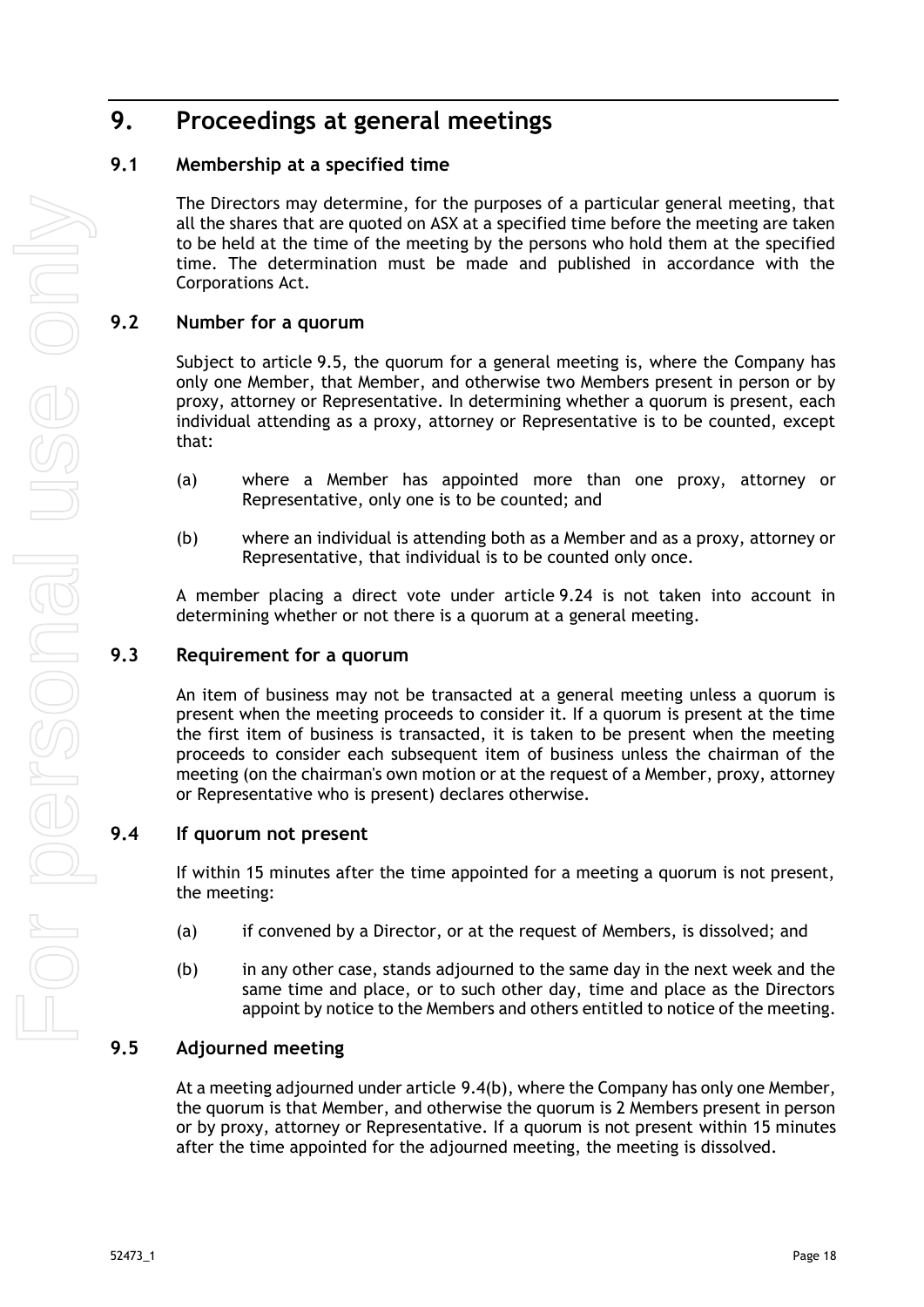# <span id="page-23-0"></span>**9. Proceedings at general meetings**

## <span id="page-23-1"></span>**9.1 Membership at a specified time**

The Directors may determine, for the purposes of a particular general meeting, that all the shares that are quoted on ASX at a specified time before the meeting are taken to be held at the time of the meeting by the persons who hold them at the specified time. The determination must be made and published in accordance with the Corporations Act.

## <span id="page-23-2"></span>**9.2 Number for a quorum**

Subject to article [9.5,](#page-23-5) the quorum for a general meeting is, where the Company has only one Member, that Member, and otherwise two Members present in person or by proxy, attorney or Representative. In determining whether a quorum is present, each individual attending as a proxy, attorney or Representative is to be counted, except that:

- (a) where a Member has appointed more than one proxy, attorney or Representative, only one is to be counted; and
- (b) where an individual is attending both as a Member and as a proxy, attorney or Representative, that individual is to be counted only once.

A member placing a direct vote under article [9.24](#page-29-0) is not taken into account in determining whether or not there is a quorum at a general meeting.

## <span id="page-23-3"></span>**9.3 Requirement for a quorum**

An item of business may not be transacted at a general meeting unless a quorum is present when the meeting proceeds to consider it. If a quorum is present at the time the first item of business is transacted, it is taken to be present when the meeting proceeds to consider each subsequent item of business unless the chairman of the meeting (on the chairman's own motion or at the request of a Member, proxy, attorney or Representative who is present) declares otherwise.

## <span id="page-23-4"></span>**9.4 If quorum not present**

If within 15 minutes after the time appointed for a meeting a quorum is not present, the meeting:

- (a) if convened by a Director, or at the request of Members, is dissolved; and
- <span id="page-23-6"></span>(b) in any other case, stands adjourned to the same day in the next week and the same time and place, or to such other day, time and place as the Directors appoint by notice to the Members and others entitled to notice of the meeting.

## <span id="page-23-5"></span>**9.5 Adjourned meeting**

At a meeting adjourned under article [9.4\(b\),](#page-23-6) where the Company has only one Member, the quorum is that Member, and otherwise the quorum is 2 Members present in person or by proxy, attorney or Representative. If a quorum is not present within 15 minutes after the time appointed for the adjourned meeting, the meeting is dissolved.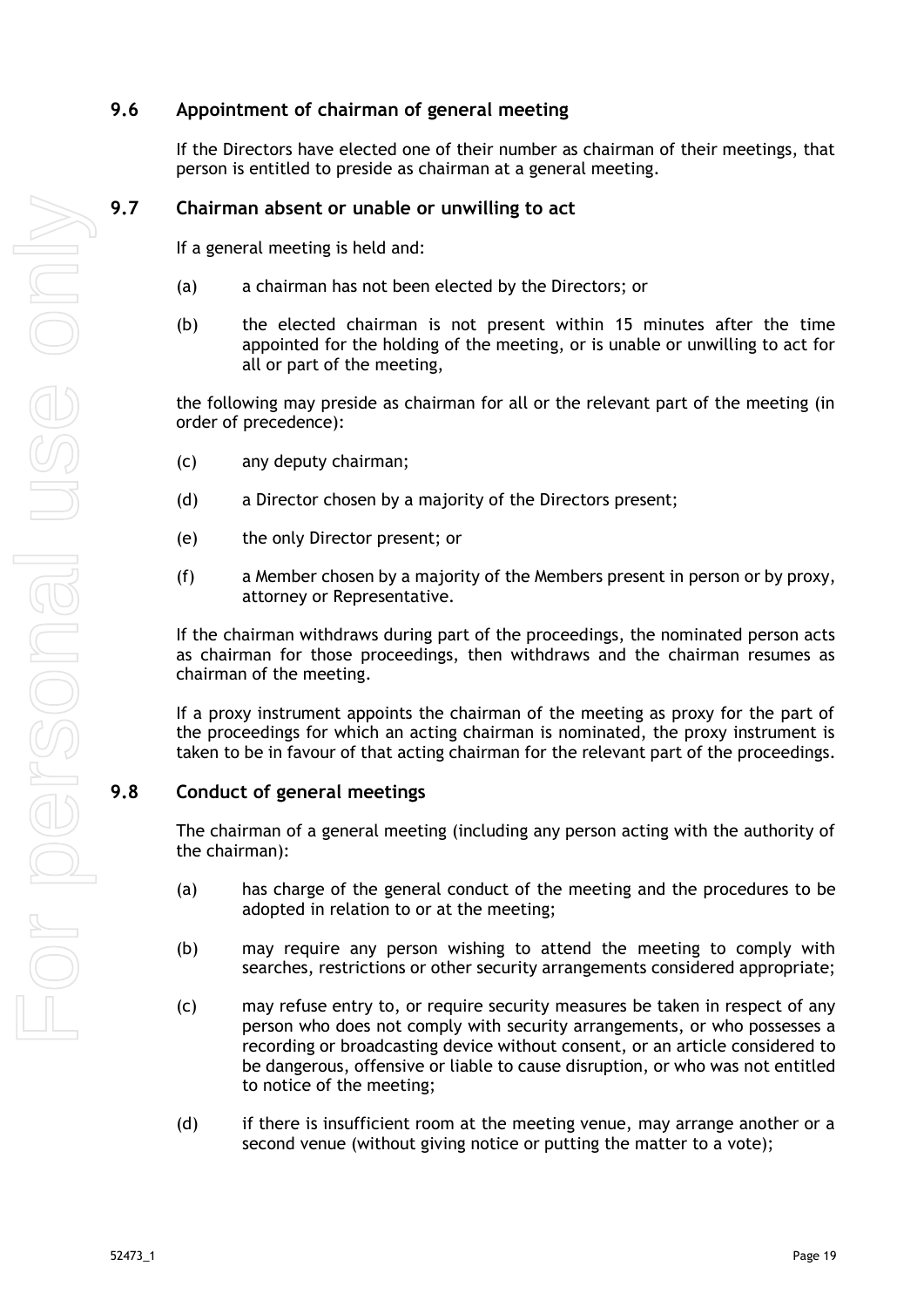## <span id="page-24-0"></span>**9.6 Appointment of chairman of general meeting**

If the Directors have elected one of their number as chairman of their meetings, that person is entitled to preside as chairman at a general meeting.

## <span id="page-24-1"></span>**9.7 Chairman absent or unable or unwilling to act**

If a general meeting is held and:

- (a) a chairman has not been elected by the Directors; or
- (b) the elected chairman is not present within 15 minutes after the time appointed for the holding of the meeting, or is unable or unwilling to act for all or part of the meeting,

the following may preside as chairman for all or the relevant part of the meeting (in order of precedence):

- (c) any deputy chairman;
- (d) a Director chosen by a majority of the Directors present;
- (e) the only Director present; or
- (f) a Member chosen by a majority of the Members present in person or by proxy, attorney or Representative.

If the chairman withdraws during part of the proceedings, the nominated person acts as chairman for those proceedings, then withdraws and the chairman resumes as chairman of the meeting.

If a proxy instrument appoints the chairman of the meeting as proxy for the part of the proceedings for which an acting chairman is nominated, the proxy instrument is taken to be in favour of that acting chairman for the relevant part of the proceedings.

#### <span id="page-24-2"></span>**9.8 Conduct of general meetings**

The chairman of a general meeting (including any person acting with the authority of the chairman):

- (a) has charge of the general conduct of the meeting and the procedures to be adopted in relation to or at the meeting;
- (b) may require any person wishing to attend the meeting to comply with searches, restrictions or other security arrangements considered appropriate;
- (c) may refuse entry to, or require security measures be taken in respect of any person who does not comply with security arrangements, or who possesses a recording or broadcasting device without consent, or an article considered to be dangerous, offensive or liable to cause disruption, or who was not entitled to notice of the meeting;
- (d) if there is insufficient room at the meeting venue, may arrange another or a second venue (without giving notice or putting the matter to a vote);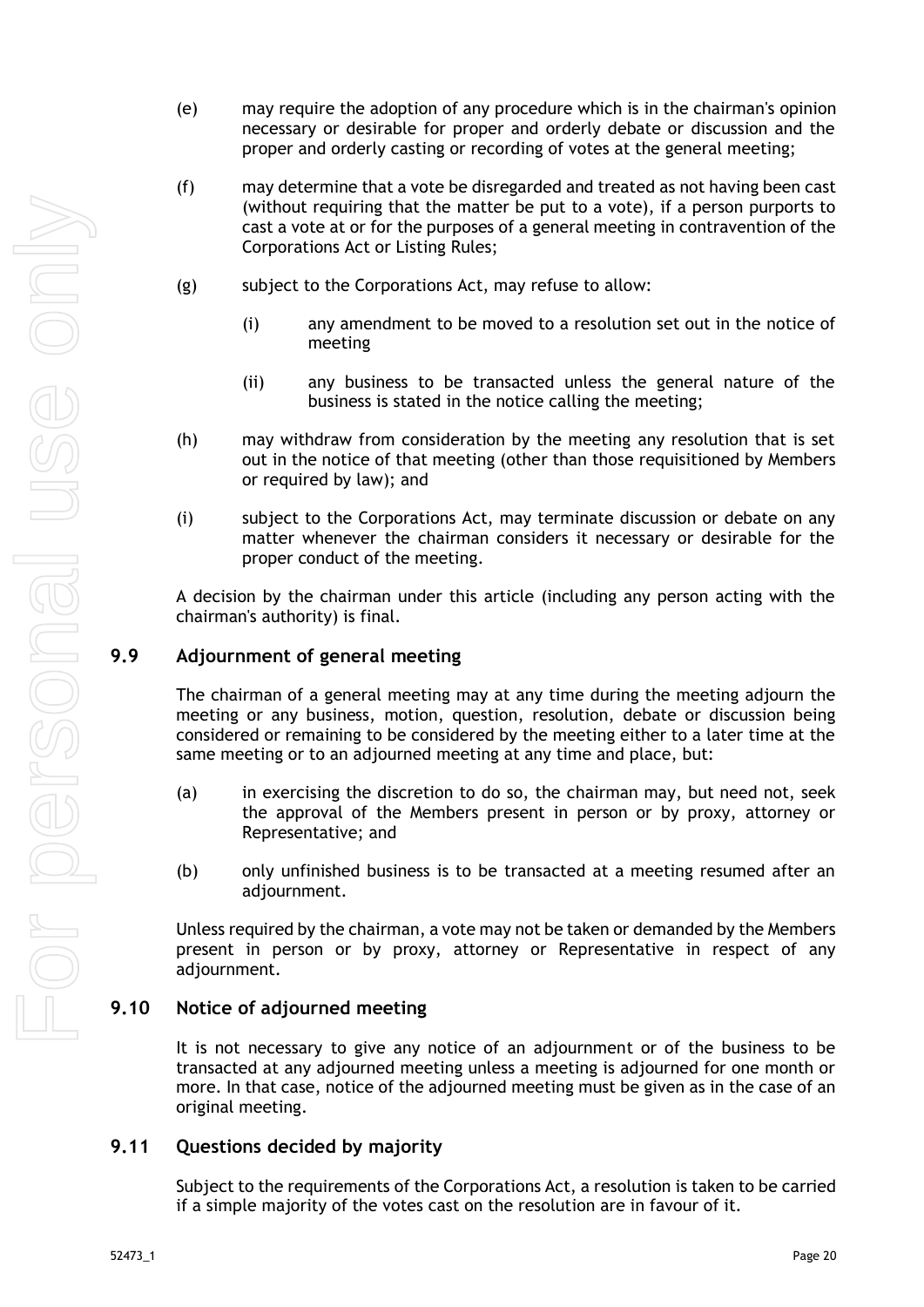- (e) may require the adoption of any procedure which is in the chairman's opinion necessary or desirable for proper and orderly debate or discussion and the proper and orderly casting or recording of votes at the general meeting;
- (f) may determine that a vote be disregarded and treated as not having been cast (without requiring that the matter be put to a vote), if a person purports to cast a vote at or for the purposes of a general meeting in contravention of the Corporations Act or Listing Rules;
- (g) subject to the Corporations Act, may refuse to allow:
	- (i) any amendment to be moved to a resolution set out in the notice of meeting
	- (ii) any business to be transacted unless the general nature of the business is stated in the notice calling the meeting;
- (h) may withdraw from consideration by the meeting any resolution that is set out in the notice of that meeting (other than those requisitioned by Members or required by law); and
- (i) subject to the Corporations Act, may terminate discussion or debate on any matter whenever the chairman considers it necessary or desirable for the proper conduct of the meeting.

A decision by the chairman under this article (including any person acting with the chairman's authority) is final.

## <span id="page-25-0"></span>**9.9 Adjournment of general meeting**

The chairman of a general meeting may at any time during the meeting adjourn the meeting or any business, motion, question, resolution, debate or discussion being considered or remaining to be considered by the meeting either to a later time at the same meeting or to an adjourned meeting at any time and place, but:

- (a) in exercising the discretion to do so, the chairman may, but need not, seek the approval of the Members present in person or by proxy, attorney or Representative; and
- (b) only unfinished business is to be transacted at a meeting resumed after an adjournment.

Unless required by the chairman, a vote may not be taken or demanded by the Members present in person or by proxy, attorney or Representative in respect of any adjournment.

#### <span id="page-25-1"></span>**9.10 Notice of adjourned meeting**

It is not necessary to give any notice of an adjournment or of the business to be transacted at any adjourned meeting unless a meeting is adjourned for one month or more. In that case, notice of the adjourned meeting must be given as in the case of an original meeting.

#### <span id="page-25-2"></span>**9.11 Questions decided by majority**

Subject to the requirements of the Corporations Act, a resolution is taken to be carried if a simple majority of the votes cast on the resolution are in favour of it.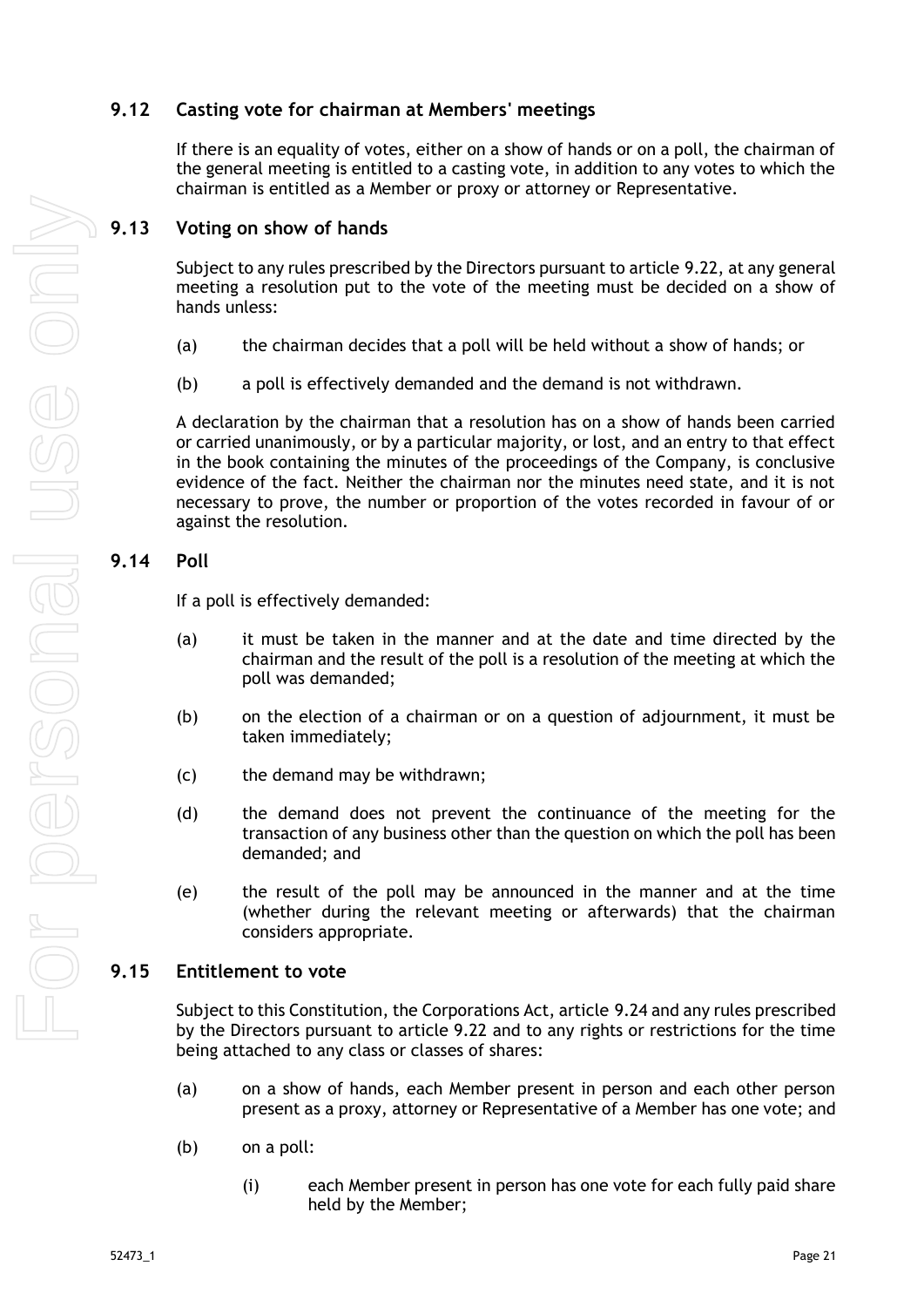## <span id="page-26-0"></span>**9.12 Casting vote for chairman at Members' meetings**

If there is an equality of votes, either on a show of hands or on a poll, the chairman of the general meeting is entitled to a casting vote, in addition to any votes to which the chairman is entitled as a Member or proxy or attorney or Representative.

#### <span id="page-26-1"></span>**9.13 Voting on show of hands**

Subject to any rules prescribed by the Directors pursuant to article [9.22,](#page-28-1) at any general meeting a resolution put to the vote of the meeting must be decided on a show of hands unless:

- (a) the chairman decides that a poll will be held without a show of hands; or
- (b) a poll is effectively demanded and the demand is not withdrawn.

A declaration by the chairman that a resolution has on a show of hands been carried or carried unanimously, or by a particular majority, or lost, and an entry to that effect in the book containing the minutes of the proceedings of the Company, is conclusive evidence of the fact. Neither the chairman nor the minutes need state, and it is not necessary to prove, the number or proportion of the votes recorded in favour of or against the resolution.

## <span id="page-26-2"></span>**9.14 Poll**

If a poll is effectively demanded:

- (a) it must be taken in the manner and at the date and time directed by the chairman and the result of the poll is a resolution of the meeting at which the poll was demanded;
- (b) on the election of a chairman or on a question of adjournment, it must be taken immediately;
- (c) the demand may be withdrawn;
- (d) the demand does not prevent the continuance of the meeting for the transaction of any business other than the question on which the poll has been demanded; and
- (e) the result of the poll may be announced in the manner and at the time (whether during the relevant meeting or afterwards) that the chairman considers appropriate.

## <span id="page-26-3"></span>**9.15 Entitlement to vote**

Subject to this Constitution, the Corporations Act, article [9.24](#page-29-0) and any rules prescribed by the Directors pursuant to article [9.22](#page-28-1) and to any rights or restrictions for the time being attached to any class or classes of shares:

- (a) on a show of hands, each Member present in person and each other person present as a proxy, attorney or Representative of a Member has one vote; and
- (b) on a poll:
	- (i) each Member present in person has one vote for each fully paid share held by the Member;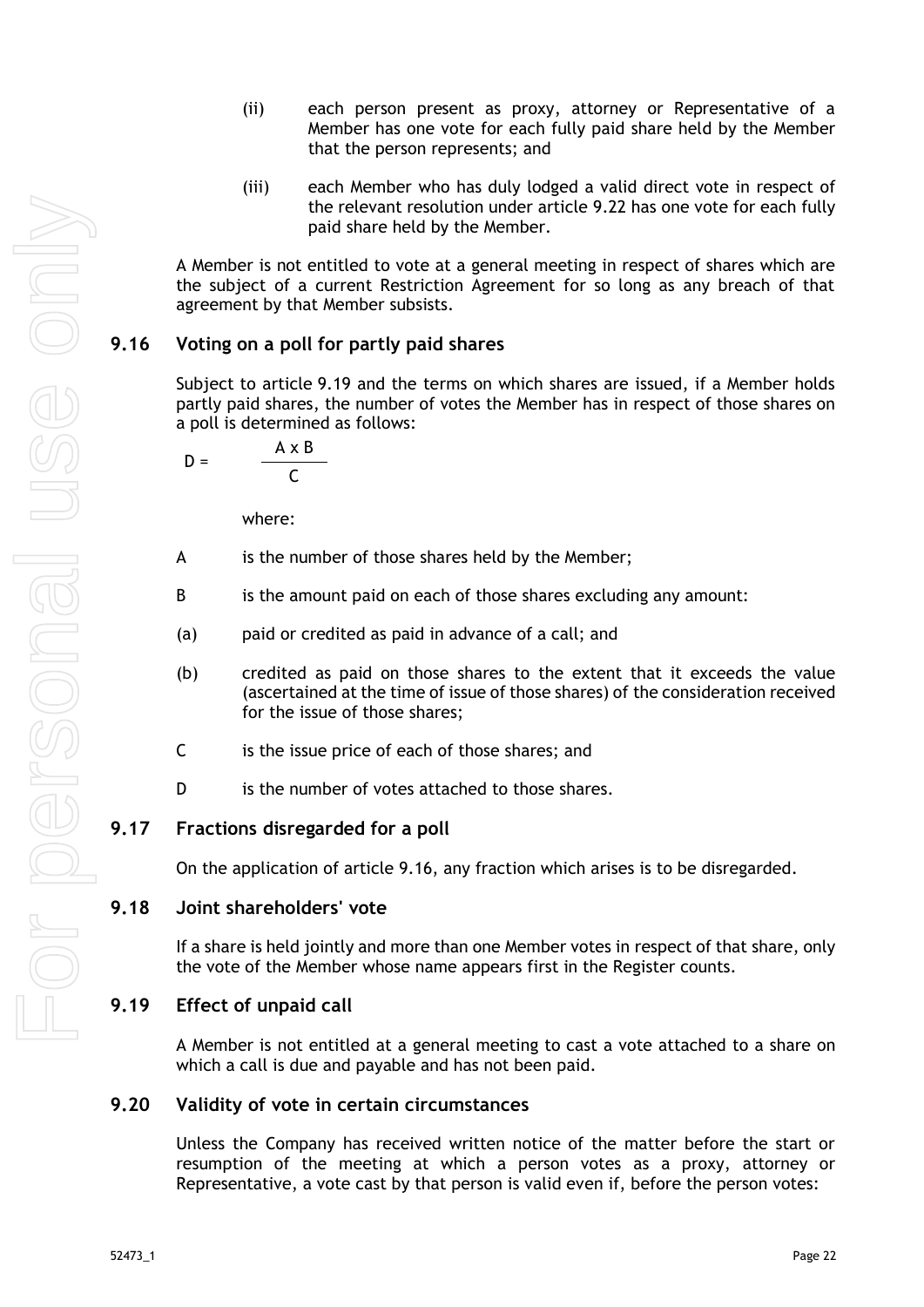- (ii) each person present as proxy, attorney or Representative of a Member has one vote for each fully paid share held by the Member that the person represents; and
- (iii) each Member who has duly lodged a valid direct vote in respect of the relevant resolution under article [9.22](#page-28-1) has one vote for each fully paid share held by the Member.

A Member is not entitled to vote at a general meeting in respect of shares which are the subject of a current Restriction Agreement for so long as any breach of that agreement by that Member subsists.

## <span id="page-27-0"></span>**9.16 Voting on a poll for partly paid shares**

Subject to article [9.19](#page-27-3) and the terms on which shares are issued, if a Member holds partly paid shares, the number of votes the Member has in respect of those shares on a poll is determined as follows:

$$
D = \frac{A \times B}{C}
$$

where:

- A is the number of those shares held by the Member;
- B is the amount paid on each of those shares excluding any amount:
- (a) paid or credited as paid in advance of a call; and
- (b) credited as paid on those shares to the extent that it exceeds the value (ascertained at the time of issue of those shares) of the consideration received for the issue of those shares;
- C is the issue price of each of those shares; and
- D is the number of votes attached to those shares.

## <span id="page-27-1"></span>**9.17 Fractions disregarded for a poll**

On the application of article [9.16,](#page-27-0) any fraction which arises is to be disregarded.

#### <span id="page-27-2"></span>**9.18 Joint shareholders' vote**

If a share is held jointly and more than one Member votes in respect of that share, only the vote of the Member whose name appears first in the Register counts.

## <span id="page-27-3"></span>**9.19 Effect of unpaid call**

A Member is not entitled at a general meeting to cast a vote attached to a share on which a call is due and payable and has not been paid.

#### <span id="page-27-4"></span>**9.20 Validity of vote in certain circumstances**

Unless the Company has received written notice of the matter before the start or resumption of the meeting at which a person votes as a proxy, attorney or Representative, a vote cast by that person is valid even if, before the person votes: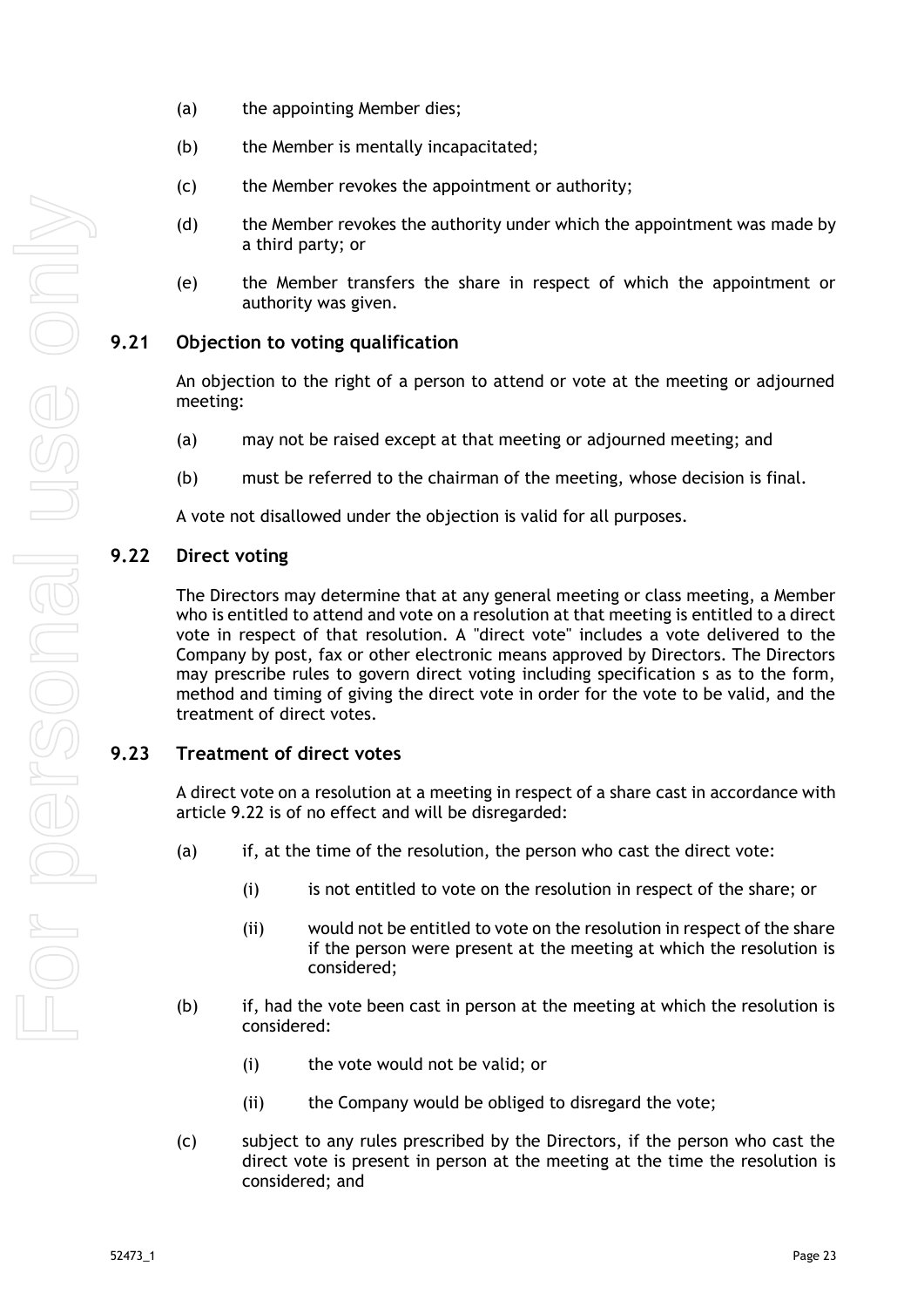- (a) the appointing Member dies;
- (b) the Member is mentally incapacitated;
- (c) the Member revokes the appointment or authority;
- (d) the Member revokes the authority under which the appointment was made by a third party; or
- (e) the Member transfers the share in respect of which the appointment or authority was given.

## <span id="page-28-0"></span>**9.21 Objection to voting qualification**

An objection to the right of a person to attend or vote at the meeting or adjourned meeting:

- (a) may not be raised except at that meeting or adjourned meeting; and
- (b) must be referred to the chairman of the meeting, whose decision is final.

A vote not disallowed under the objection is valid for all purposes.

#### <span id="page-28-1"></span>**9.22 Direct voting**

The Directors may determine that at any general meeting or class meeting, a Member who is entitled to attend and vote on a resolution at that meeting is entitled to a direct vote in respect of that resolution. A "direct vote" includes a vote delivered to the Company by post, fax or other electronic means approved by Directors. The Directors may prescribe rules to govern direct voting including specification s as to the form, method and timing of giving the direct vote in order for the vote to be valid, and the treatment of direct votes.

## <span id="page-28-2"></span>**9.23 Treatment of direct votes**

A direct vote on a resolution at a meeting in respect of a share cast in accordance with article [9.22](#page-28-1) is of no effect and will be disregarded:

- (a) if, at the time of the resolution, the person who cast the direct vote:
	- (i) is not entitled to vote on the resolution in respect of the share; or
	- (ii) would not be entitled to vote on the resolution in respect of the share if the person were present at the meeting at which the resolution is considered;
- (b) if, had the vote been cast in person at the meeting at which the resolution is considered:
	- (i) the vote would not be valid; or
	- (ii) the Company would be obliged to disregard the vote;
- (c) subject to any rules prescribed by the Directors, if the person who cast the direct vote is present in person at the meeting at the time the resolution is considered; and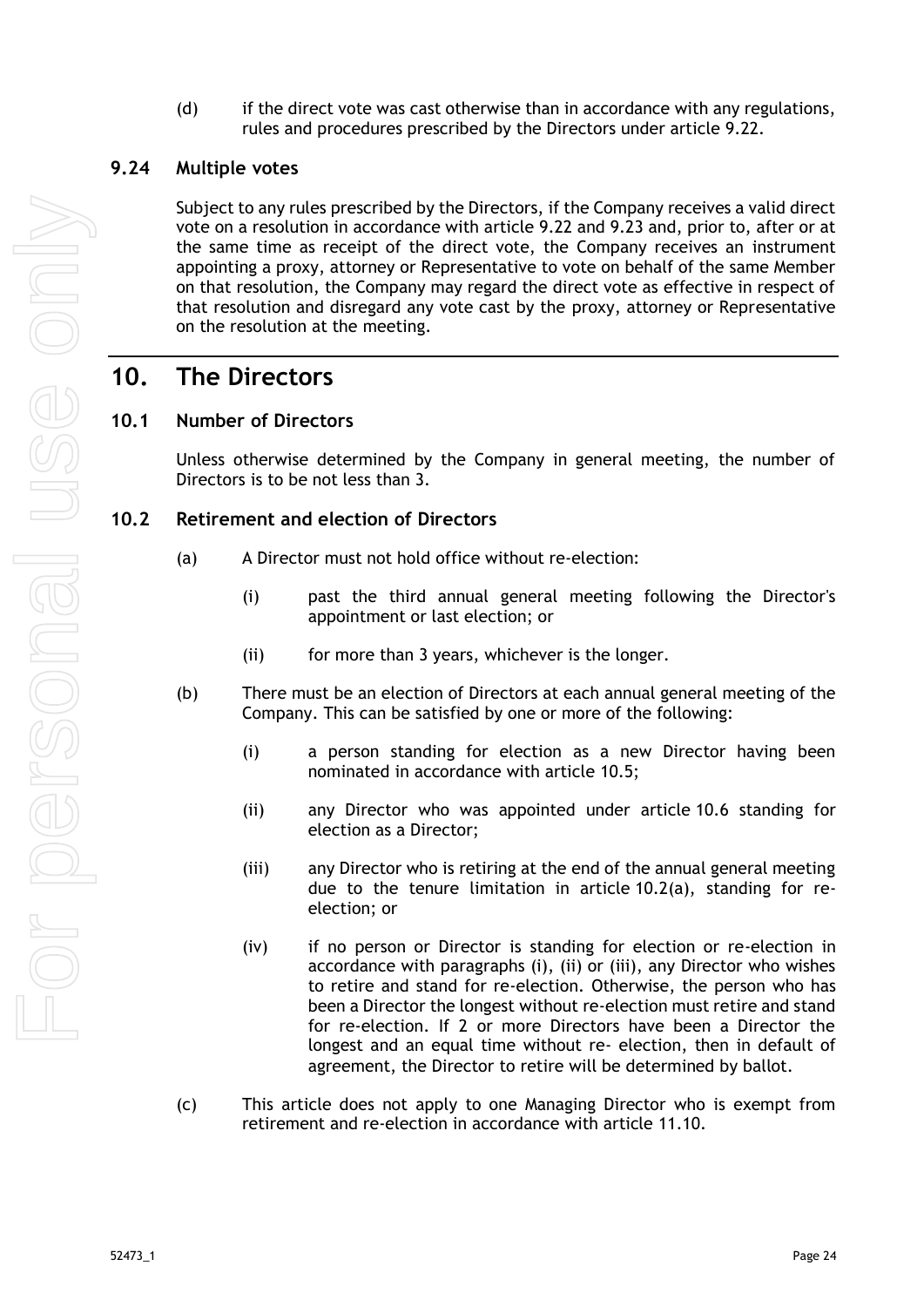(d) if the direct vote was cast otherwise than in accordance with any regulations, rules and procedures prescribed by the Directors under article [9.22.](#page-28-1)

#### <span id="page-29-0"></span>**9.24 Multiple votes**

Subject to any rules prescribed by the Directors, if the Company receives a valid direct vote on a resolution in accordance with article [9.22](#page-28-1) and [9.23](#page-28-2) and, prior to, after or at the same time as receipt of the direct vote, the Company receives an instrument appointing a proxy, attorney or Representative to vote on behalf of the same Member on that resolution, the Company may regard the direct vote as effective in respect of that resolution and disregard any vote cast by the proxy, attorney or Representative on the resolution at the meeting.

## <span id="page-29-1"></span>**10. The Directors**

#### <span id="page-29-2"></span>**10.1 Number of Directors**

Unless otherwise determined by the Company in general meeting, the number of Directors is to be not less than 3.

#### <span id="page-29-4"></span><span id="page-29-3"></span>**10.2 Retirement and election of Directors**

- (a) A Director must not hold office without re-election:
	- (i) past the third annual general meeting following the Director's appointment or last election; or
	- (ii) for more than 3 years, whichever is the longer.
- (b) There must be an election of Directors at each annual general meeting of the Company. This can be satisfied by one or more of the following:
	- (i) a person standing for election as a new Director having been nominated in accordance with article [10.5;](#page-30-2)
	- (ii) any Director who was appointed under article [10.6](#page-30-3) standing for election as a Director;
	- (iii) any Director who is retiring at the end of the annual general meeting due to the tenure limitation in article [10.2\(a\),](#page-29-4) standing for reelection; or
	- (iv) if no person or Director is standing for election or re-election in accordance with paragraphs (i), (ii) or (iii), any Director who wishes to retire and stand for re-election. Otherwise, the person who has been a Director the longest without re-election must retire and stand for re-election. If 2 or more Directors have been a Director the longest and an equal time without re- election, then in default of agreement, the Director to retire will be determined by ballot.
- (c) This article does not apply to one Managing Director who is exempt from retirement and re-election in accordance with article [11.10.](#page-34-2)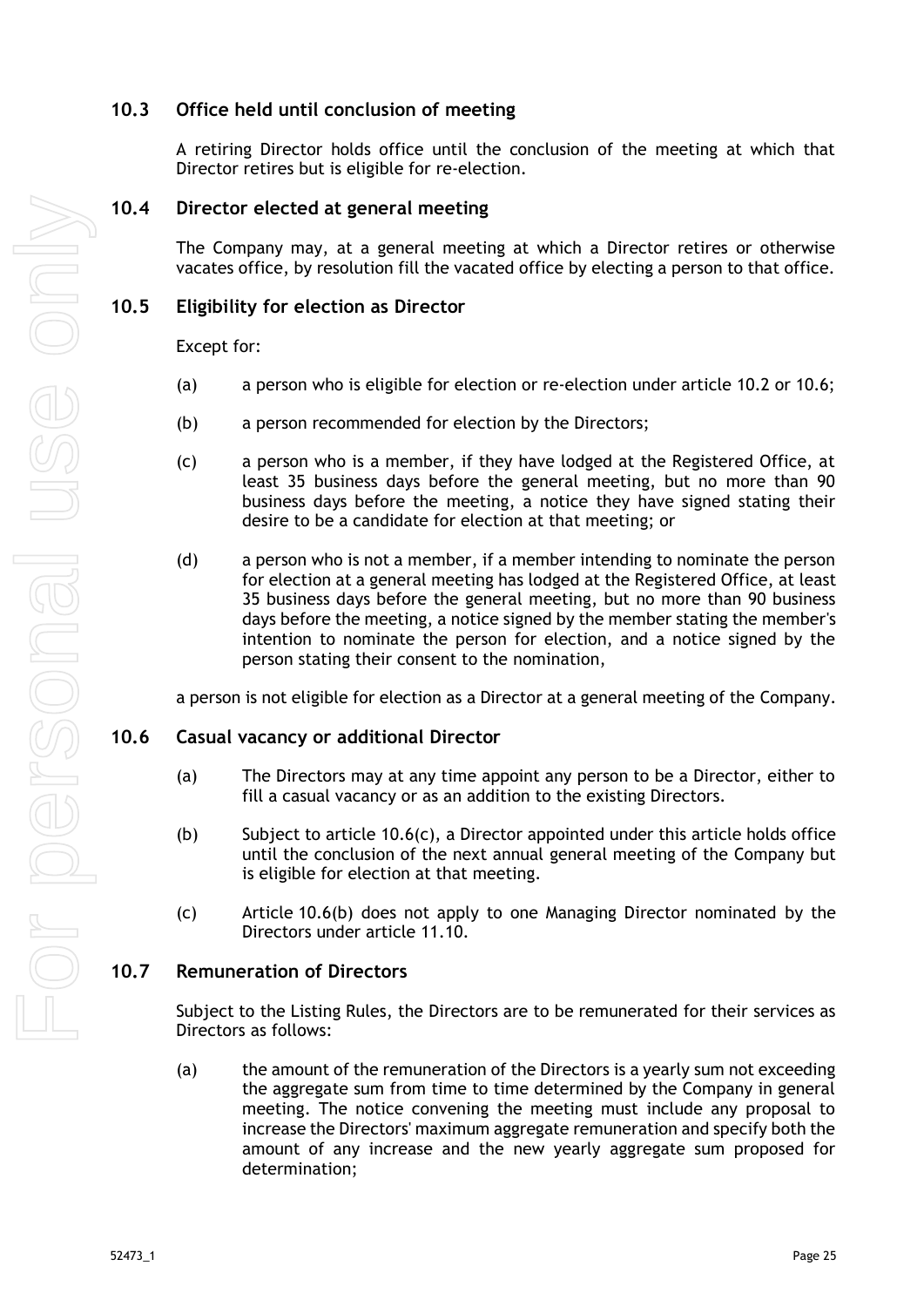## <span id="page-30-0"></span>**10.3 Office held until conclusion of meeting**

A retiring Director holds office until the conclusion of the meeting at which that Director retires but is eligible for re-election.

## <span id="page-30-1"></span>**10.4 Director elected at general meeting**

The Company may, at a general meeting at which a Director retires or otherwise vacates office, by resolution fill the vacated office by electing a person to that office.

#### <span id="page-30-2"></span>**10.5 Eligibility for election as Director**

Except for:

- (a) a person who is eligible for election or re-election under article [10.2](#page-29-3) or [10.6;](#page-30-3)
- (b) a person recommended for election by the Directors;
- (c) a person who is a member, if they have lodged at the Registered Office, at least 35 business days before the general meeting, but no more than 90 business days before the meeting, a notice they have signed stating their desire to be a candidate for election at that meeting; or
- (d) a person who is not a member, if a member intending to nominate the person for election at a general meeting has lodged at the Registered Office, at least 35 business days before the general meeting, but no more than 90 business days before the meeting, a notice signed by the member stating the member's intention to nominate the person for election, and a notice signed by the person stating their consent to the nomination,

a person is not eligible for election as a Director at a general meeting of the Company.

#### <span id="page-30-3"></span>**10.6 Casual vacancy or additional Director**

- (a) The Directors may at any time appoint any person to be a Director, either to fill a casual vacancy or as an addition to the existing Directors.
- <span id="page-30-6"></span>(b) Subject to article [10.6\(c\),](#page-30-5) a Director appointed under this article holds office until the conclusion of the next annual general meeting of the Company but is eligible for election at that meeting.
- <span id="page-30-5"></span>(c) Article [10.6\(b\)](#page-30-6) does not apply to one Managing Director nominated by the Directors under article [11.10.](#page-34-2)

#### <span id="page-30-4"></span>**10.7 Remuneration of Directors**

Subject to the Listing Rules, the Directors are to be remunerated for their services as Directors as follows:

<span id="page-30-7"></span>(a) the amount of the remuneration of the Directors is a yearly sum not exceeding the aggregate sum from time to time determined by the Company in general meeting. The notice convening the meeting must include any proposal to increase the Directors' maximum aggregate remuneration and specify both the amount of any increase and the new yearly aggregate sum proposed for determination;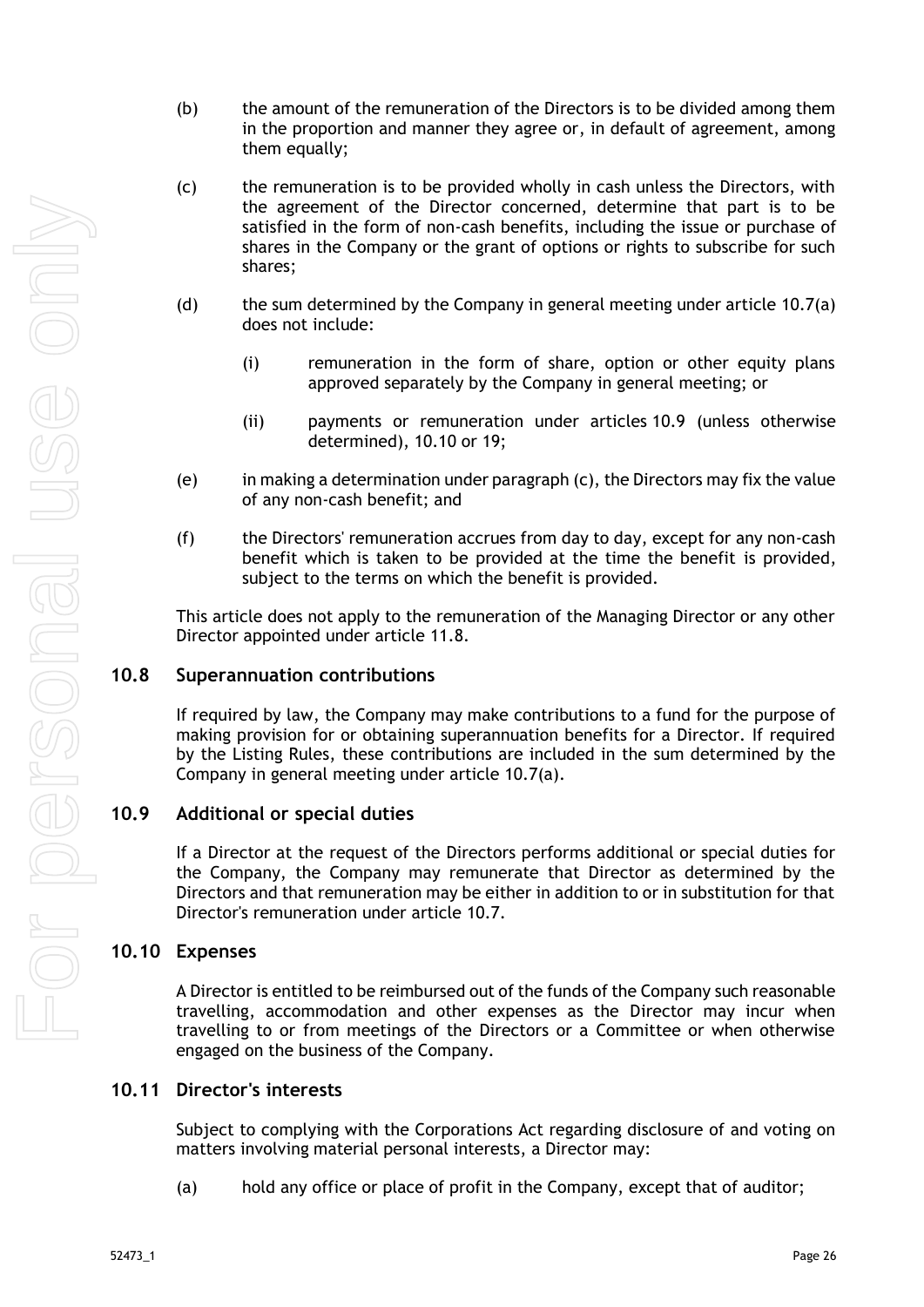- (b) the amount of the remuneration of the Directors is to be divided among them in the proportion and manner they agree or, in default of agreement, among them equally;
- (c) the remuneration is to be provided wholly in cash unless the Directors, with the agreement of the Director concerned, determine that part is to be satisfied in the form of non-cash benefits, including the issue or purchase of shares in the Company or the grant of options or rights to subscribe for such shares;
- (d) the sum determined by the Company in general meeting under article [10.7\(a\)](#page-30-7) does not include:
	- (i) remuneration in the form of share, option or other equity plans approved separately by the Company in general meeting; or
	- (ii) payments or remuneration under articles [10.9](#page-31-1) (unless otherwise determined), [10.10](#page-31-2) or [19;](#page-46-0)
- (e) in making a determination under paragraph (c), the Directors may fix the value of any non-cash benefit; and
- (f) the Directors' remuneration accrues from day to day, except for any non-cash benefit which is taken to be provided at the time the benefit is provided, subject to the terms on which the benefit is provided.

This article does not apply to the remuneration of the Managing Director or any other Director appointed under article [11.8.](#page-34-0)

## <span id="page-31-0"></span>**10.8 Superannuation contributions**

If required by law, the Company may make contributions to a fund for the purpose of making provision for or obtaining superannuation benefits for a Director. If required by the Listing Rules, these contributions are included in the sum determined by the Company in general meeting under article [10.7\(a\).](#page-30-7)

#### <span id="page-31-1"></span>**10.9 Additional or special duties**

If a Director at the request of the Directors performs additional or special duties for the Company, the Company may remunerate that Director as determined by the Directors and that remuneration may be either in addition to or in substitution for that Director's remuneration under article [10.7.](#page-30-4)

#### <span id="page-31-2"></span>**10.10 Expenses**

A Director is entitled to be reimbursed out of the funds of the Company such reasonable travelling, accommodation and other expenses as the Director may incur when travelling to or from meetings of the Directors or a Committee or when otherwise engaged on the business of the Company.

### <span id="page-31-3"></span>**10.11 Director's interests**

Subject to complying with the Corporations Act regarding disclosure of and voting on matters involving material personal interests, a Director may:

(a) hold any office or place of profit in the Company, except that of auditor;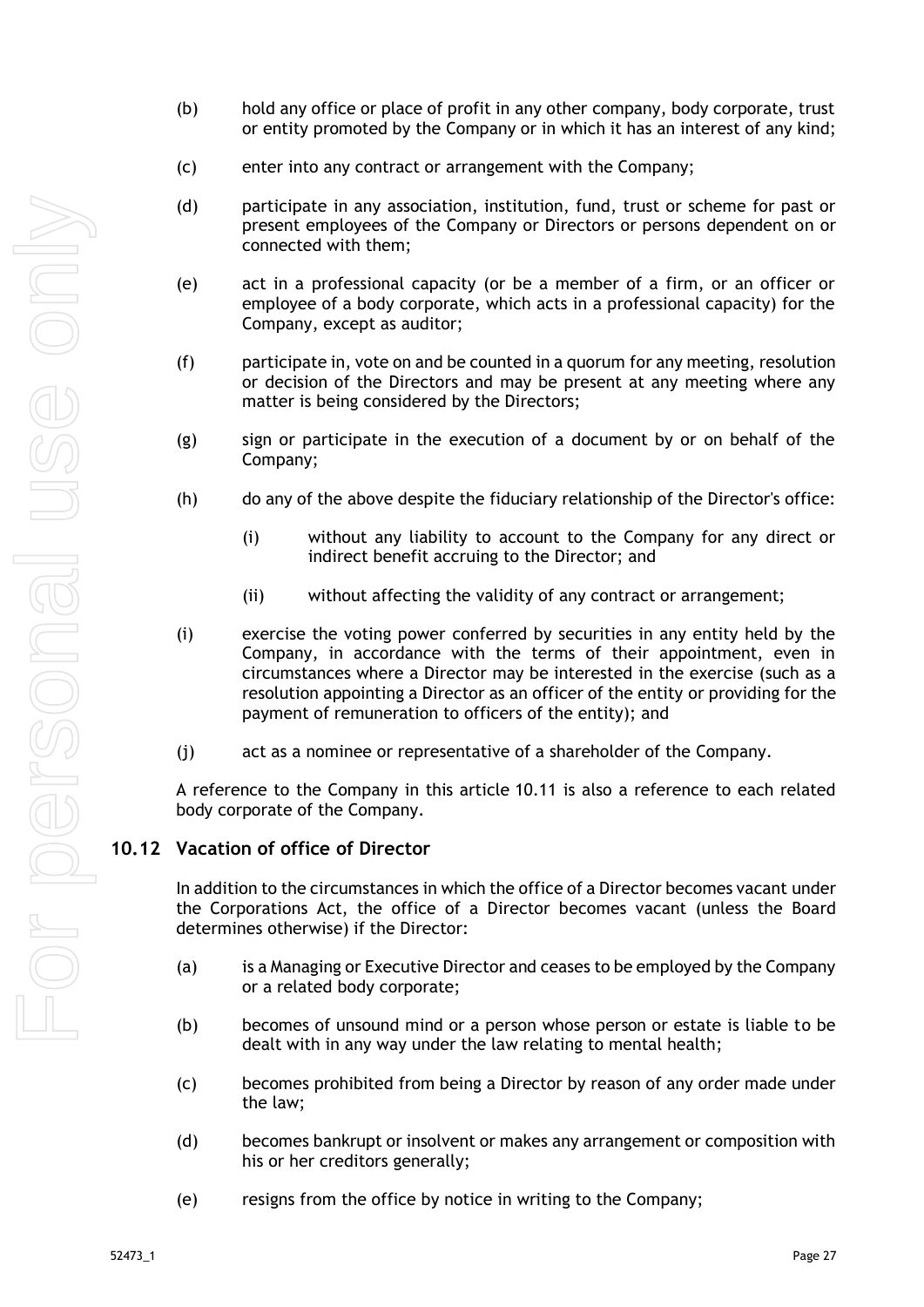- (b) hold any office or place of profit in any other company, body corporate, trust or entity promoted by the Company or in which it has an interest of any kind;
- (c) enter into any contract or arrangement with the Company;
- (d) participate in any association, institution, fund, trust or scheme for past or present employees of the Company or Directors or persons dependent on or connected with them;
- (e) act in a professional capacity (or be a member of a firm, or an officer or employee of a body corporate, which acts in a professional capacity) for the Company, except as auditor;
- (f) participate in, vote on and be counted in a quorum for any meeting, resolution or decision of the Directors and may be present at any meeting where any matter is being considered by the Directors;
- (g) sign or participate in the execution of a document by or on behalf of the Company;
- (h) do any of the above despite the fiduciary relationship of the Director's office:
	- (i) without any liability to account to the Company for any direct or indirect benefit accruing to the Director; and
	- (ii) without affecting the validity of any contract or arrangement;
- (i) exercise the voting power conferred by securities in any entity held by the Company, in accordance with the terms of their appointment, even in circumstances where a Director may be interested in the exercise (such as a resolution appointing a Director as an officer of the entity or providing for the payment of remuneration to officers of the entity); and
- (j) act as a nominee or representative of a shareholder of the Company.

A reference to the Company in this article [10.11](#page-31-3) is also a reference to each related body corporate of the Company.

#### <span id="page-32-0"></span>**10.12 Vacation of office of Director**

In addition to the circumstances in which the office of a Director becomes vacant under the Corporations Act, the office of a Director becomes vacant (unless the Board determines otherwise) if the Director:

- (a) is a Managing or Executive Director and ceases to be employed by the Company or a related body corporate;
- (b) becomes of unsound mind or a person whose person or estate is liable to be dealt with in any way under the law relating to mental health;
- (c) becomes prohibited from being a Director by reason of any order made under the law;
- (d) becomes bankrupt or insolvent or makes any arrangement or composition with his or her creditors generally;
- (e) resigns from the office by notice in writing to the Company;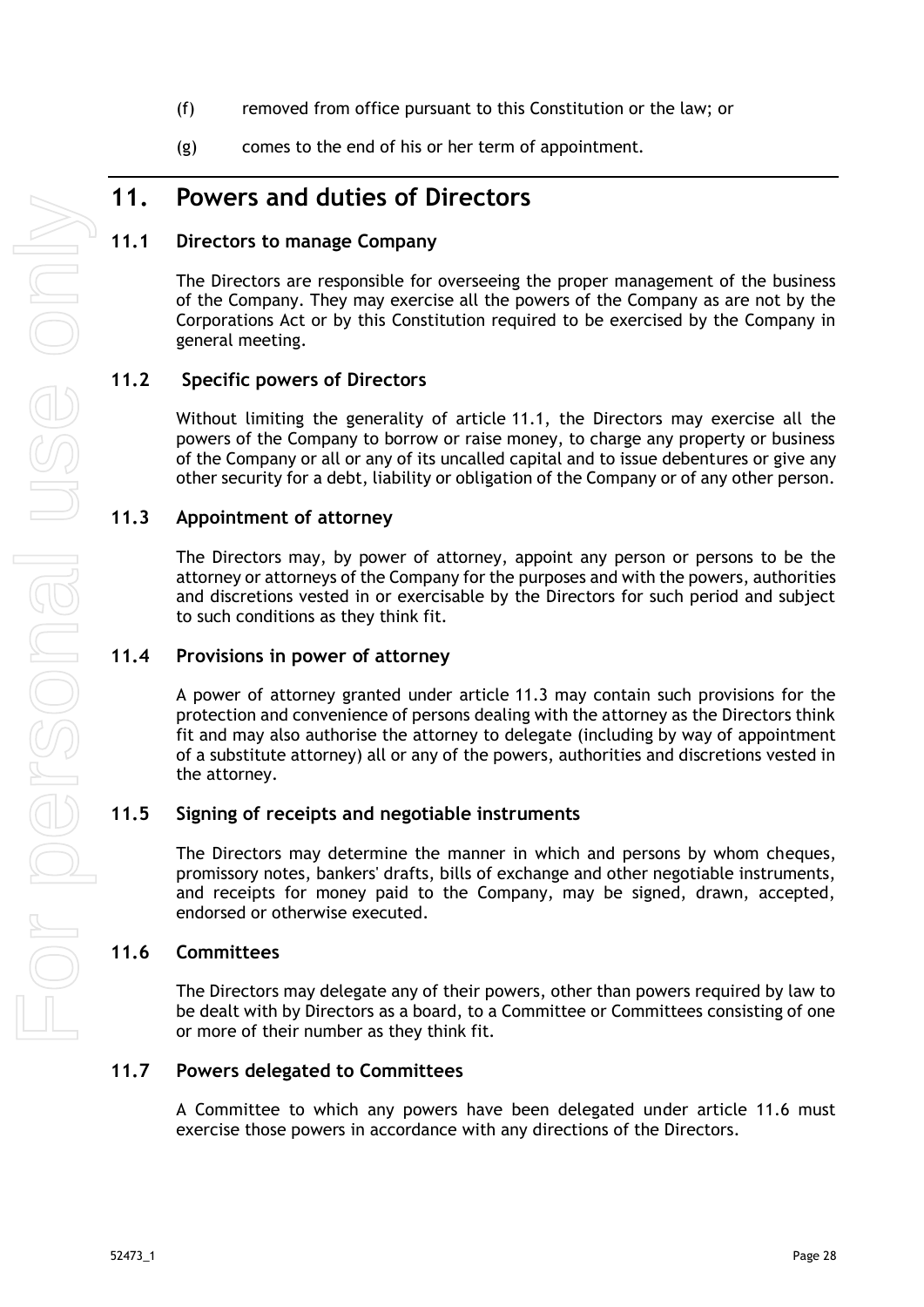- (f) removed from office pursuant to this Constitution or the law; or
- (g) comes to the end of his or her term of appointment.

## <span id="page-33-0"></span>**11. Powers and duties of Directors**

### <span id="page-33-1"></span>**11.1 Directors to manage Company**

The Directors are responsible for overseeing the proper management of the business of the Company. They may exercise all the powers of the Company as are not by the Corporations Act or by this Constitution required to be exercised by the Company in general meeting.

#### **11.2 Specific powers of Directors**

<span id="page-33-2"></span>Without limiting the generality of article [11.1,](#page-33-1) the Directors may exercise all the powers of the Company to borrow or raise money, to charge any property or business of the Company or all or any of its uncalled capital and to issue debentures or give any other security for a debt, liability or obligation of the Company or of any other person.

#### <span id="page-33-3"></span>**11.3 Appointment of attorney**

The Directors may, by power of attorney, appoint any person or persons to be the attorney or attorneys of the Company for the purposes and with the powers, authorities and discretions vested in or exercisable by the Directors for such period and subject to such conditions as they think fit.

#### <span id="page-33-4"></span>**11.4 Provisions in power of attorney**

A power of attorney granted under article [11.3](#page-33-3) may contain such provisions for the protection and convenience of persons dealing with the attorney as the Directors think fit and may also authorise the attorney to delegate (including by way of appointment of a substitute attorney) all or any of the powers, authorities and discretions vested in the attorney.

#### <span id="page-33-5"></span>**11.5 Signing of receipts and negotiable instruments**

The Directors may determine the manner in which and persons by whom cheques, promissory notes, bankers' drafts, bills of exchange and other negotiable instruments, and receipts for money paid to the Company, may be signed, drawn, accepted, endorsed or otherwise executed.

#### <span id="page-33-6"></span>**11.6 Committees**

The Directors may delegate any of their powers, other than powers required by law to be dealt with by Directors as a board, to a Committee or Committees consisting of one or more of their number as they think fit.

#### <span id="page-33-7"></span>**11.7 Powers delegated to Committees**

A Committee to which any powers have been delegated under article 11.6 must exercise those powers in accordance with any directions of the Directors.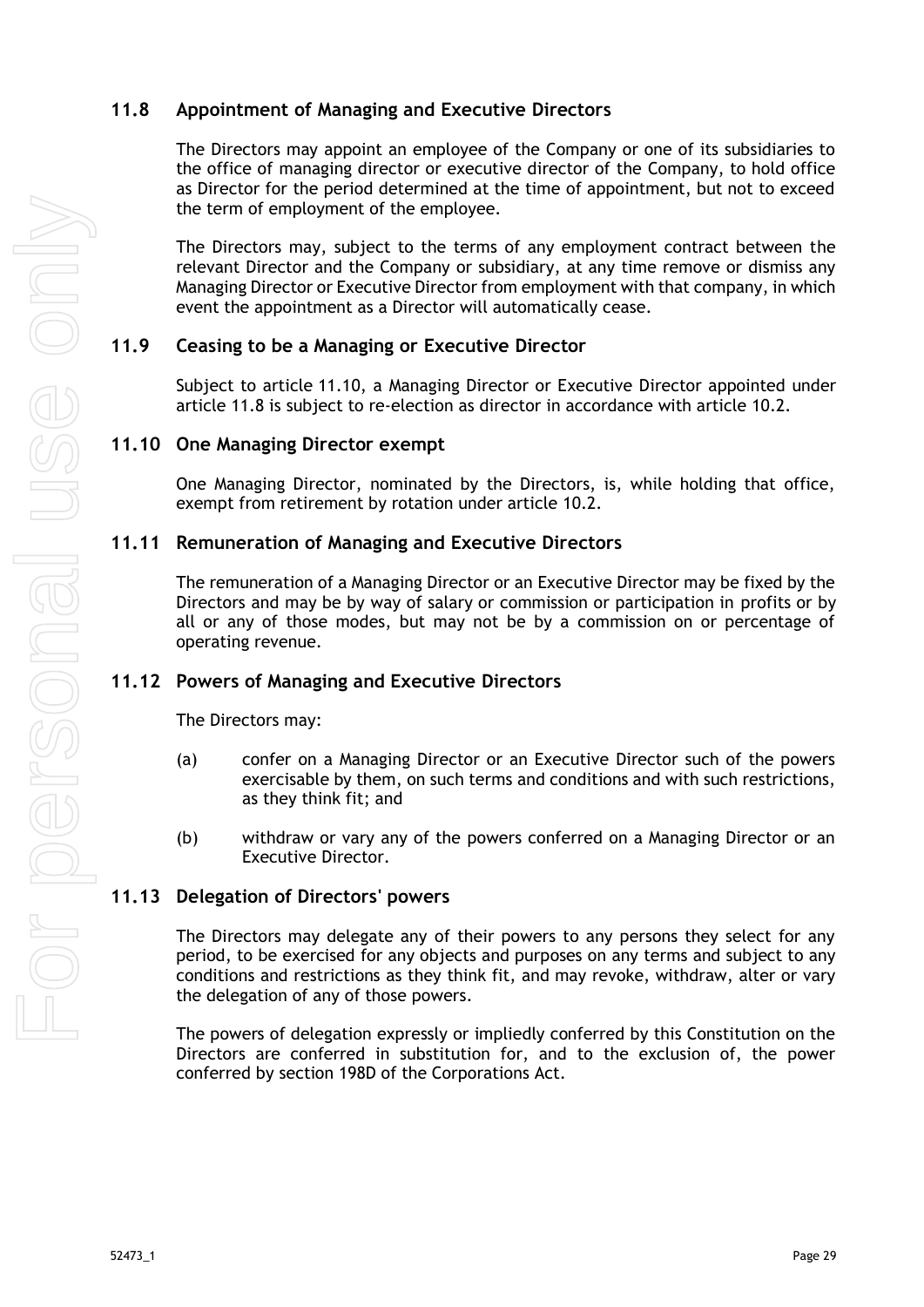## <span id="page-34-0"></span>**11.8 Appointment of Managing and Executive Directors**

The Directors may appoint an employee of the Company or one of its subsidiaries to the office of managing director or executive director of the Company, to hold office as Director for the period determined at the time of appointment, but not to exceed the term of employment of the employee.

The Directors may, subject to the terms of any employment contract between the relevant Director and the Company or subsidiary, at any time remove or dismiss any Managing Director or Executive Director from employment with that company, in which event the appointment as a Director will automatically cease.

## <span id="page-34-1"></span>**11.9 Ceasing to be a Managing or Executive Director**

Subject to article [11.10,](#page-34-2) a Managing Director or Executive Director appointed under article [11.8](#page-34-0) is subject to re-election as director in accordance with article [10.2.](#page-29-3)

#### <span id="page-34-2"></span>**11.10 One Managing Director exempt**

One Managing Director, nominated by the Directors, is, while holding that office, exempt from retirement by rotation under article [10.2.](#page-29-3)

#### <span id="page-34-3"></span>**11.11 Remuneration of Managing and Executive Directors**

The remuneration of a Managing Director or an Executive Director may be fixed by the Directors and may be by way of salary or commission or participation in profits or by all or any of those modes, but may not be by a commission on or percentage of operating revenue.

#### <span id="page-34-4"></span>**11.12 Powers of Managing and Executive Directors**

The Directors may:

- (a) confer on a Managing Director or an Executive Director such of the powers exercisable by them, on such terms and conditions and with such restrictions, as they think fit; and
- (b) withdraw or vary any of the powers conferred on a Managing Director or an Executive Director.

## <span id="page-34-5"></span>**11.13 Delegation of Directors' powers**

The Directors may delegate any of their powers to any persons they select for any period, to be exercised for any objects and purposes on any terms and subject to any conditions and restrictions as they think fit, and may revoke, withdraw, alter or vary the delegation of any of those powers.

The powers of delegation expressly or impliedly conferred by this Constitution on the Directors are conferred in substitution for, and to the exclusion of, the power conferred by section 198D of the Corporations Act.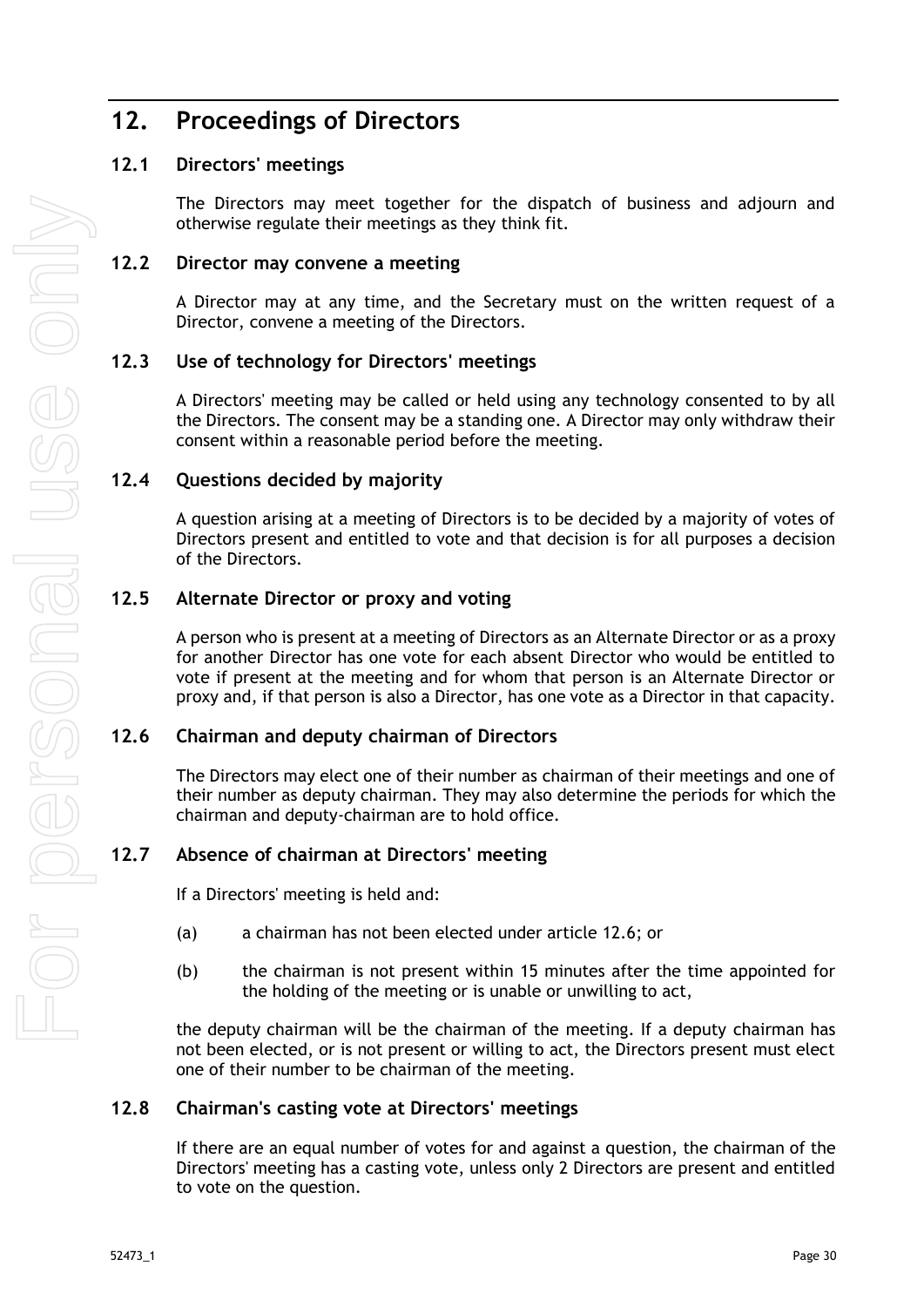## <span id="page-35-0"></span>**12. Proceedings of Directors**

## <span id="page-35-1"></span>**12.1 Directors' meetings**

The Directors may meet together for the dispatch of business and adjourn and otherwise regulate their meetings as they think fit.

## <span id="page-35-2"></span>**12.2 Director may convene a meeting**

A Director may at any time, and the Secretary must on the written request of a Director, convene a meeting of the Directors.

#### <span id="page-35-3"></span>**12.3 Use of technology for Directors' meetings**

A Directors' meeting may be called or held using any technology consented to by all the Directors. The consent may be a standing one. A Director may only withdraw their consent within a reasonable period before the meeting.

#### <span id="page-35-4"></span>**12.4 Questions decided by majority**

A question arising at a meeting of Directors is to be decided by a majority of votes of Directors present and entitled to vote and that decision is for all purposes a decision of the Directors.

#### <span id="page-35-5"></span>**12.5 Alternate Director or proxy and voting**

A person who is present at a meeting of Directors as an Alternate Director or as a proxy for another Director has one vote for each absent Director who would be entitled to vote if present at the meeting and for whom that person is an Alternate Director or proxy and, if that person is also a Director, has one vote as a Director in that capacity.

#### <span id="page-35-6"></span>**12.6 Chairman and deputy chairman of Directors**

The Directors may elect one of their number as chairman of their meetings and one of their number as deputy chairman. They may also determine the periods for which the chairman and deputy-chairman are to hold office.

## <span id="page-35-7"></span>**12.7 Absence of chairman at Directors' meeting**

If a Directors' meeting is held and:

- (a) a chairman has not been elected under article [12.6;](#page-35-6) or
- (b) the chairman is not present within 15 minutes after the time appointed for the holding of the meeting or is unable or unwilling to act,

the deputy chairman will be the chairman of the meeting. If a deputy chairman has not been elected, or is not present or willing to act, the Directors present must elect one of their number to be chairman of the meeting.

## <span id="page-35-8"></span>**12.8 Chairman's casting vote at Directors' meetings**

If there are an equal number of votes for and against a question, the chairman of the Directors' meeting has a casting vote, unless only 2 Directors are present and entitled to vote on the question.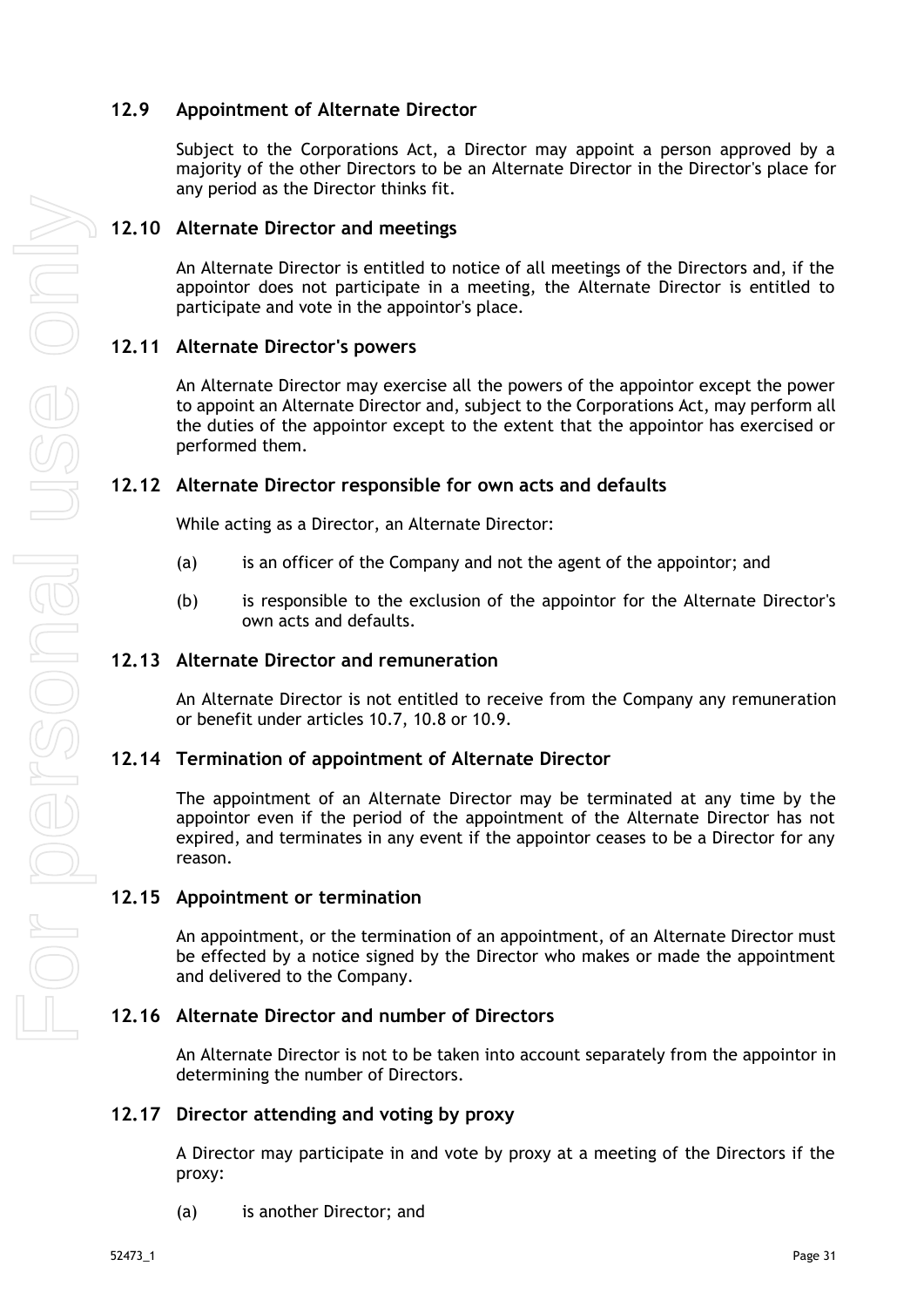## <span id="page-36-0"></span>**12.9 Appointment of Alternate Director**

Subject to the Corporations Act, a Director may appoint a person approved by a majority of the other Directors to be an Alternate Director in the Director's place for any period as the Director thinks fit.

### <span id="page-36-1"></span>**12.10 Alternate Director and meetings**

An Alternate Director is entitled to notice of all meetings of the Directors and, if the appointor does not participate in a meeting, the Alternate Director is entitled to participate and vote in the appointor's place.

#### <span id="page-36-2"></span>**12.11 Alternate Director's powers**

An Alternate Director may exercise all the powers of the appointor except the power to appoint an Alternate Director and, subject to the Corporations Act, may perform all the duties of the appointor except to the extent that the appointor has exercised or performed them.

#### <span id="page-36-3"></span>**12.12 Alternate Director responsible for own acts and defaults**

While acting as a Director, an Alternate Director:

- (a) is an officer of the Company and not the agent of the appointor; and
- (b) is responsible to the exclusion of the appointor for the Alternate Director's own acts and defaults.

#### <span id="page-36-4"></span>**12.13 Alternate Director and remuneration**

An Alternate Director is not entitled to receive from the Company any remuneration or benefit under articles [10.7,](#page-30-4) [10.8](#page-31-0) or [10.9.](#page-31-1)

#### <span id="page-36-5"></span>**12.14 Termination of appointment of Alternate Director**

The appointment of an Alternate Director may be terminated at any time by the appointor even if the period of the appointment of the Alternate Director has not expired, and terminates in any event if the appointor ceases to be a Director for any reason.

#### <span id="page-36-6"></span>**12.15 Appointment or termination**

An appointment, or the termination of an appointment, of an Alternate Director must be effected by a notice signed by the Director who makes or made the appointment and delivered to the Company.

#### <span id="page-36-7"></span>**12.16 Alternate Director and number of Directors**

An Alternate Director is not to be taken into account separately from the appointor in determining the number of Directors.

#### <span id="page-36-8"></span>**12.17 Director attending and voting by proxy**

A Director may participate in and vote by proxy at a meeting of the Directors if the proxy:

(a) is another Director; and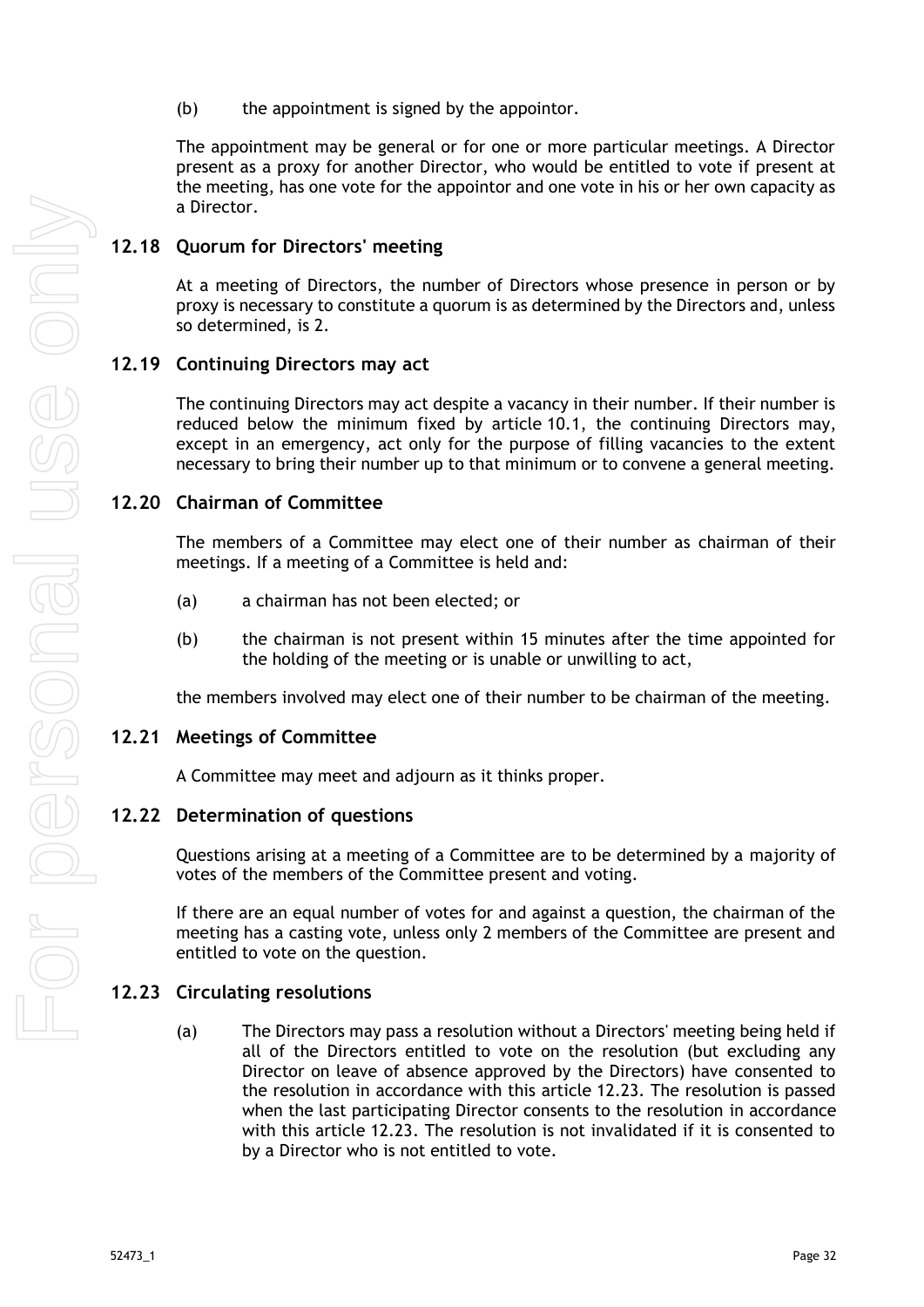(b) the appointment is signed by the appointor.

The appointment may be general or for one or more particular meetings. A Director present as a proxy for another Director, who would be entitled to vote if present at the meeting, has one vote for the appointor and one vote in his or her own capacity as a Director.

## <span id="page-37-0"></span>**12.18 Quorum for Directors' meeting**

At a meeting of Directors, the number of Directors whose presence in person or by proxy is necessary to constitute a quorum is as determined by the Directors and, unless so determined, is 2.

## <span id="page-37-1"></span>**12.19 Continuing Directors may act**

The continuing Directors may act despite a vacancy in their number. If their number is reduced below the minimum fixed by article [10.1,](#page-29-2) the continuing Directors may, except in an emergency, act only for the purpose of filling vacancies to the extent necessary to bring their number up to that minimum or to convene a general meeting.

## <span id="page-37-2"></span>**12.20 Chairman of Committee**

The members of a Committee may elect one of their number as chairman of their meetings. If a meeting of a Committee is held and:

- (a) a chairman has not been elected; or
- (b) the chairman is not present within 15 minutes after the time appointed for the holding of the meeting or is unable or unwilling to act,

the members involved may elect one of their number to be chairman of the meeting.

#### <span id="page-37-3"></span>**12.21 Meetings of Committee**

A Committee may meet and adjourn as it thinks proper.

#### <span id="page-37-4"></span>**12.22 Determination of questions**

Questions arising at a meeting of a Committee are to be determined by a majority of votes of the members of the Committee present and voting.

If there are an equal number of votes for and against a question, the chairman of the meeting has a casting vote, unless only 2 members of the Committee are present and entitled to vote on the question.

## <span id="page-37-5"></span>**12.23 Circulating resolutions**

(a) The Directors may pass a resolution without a Directors' meeting being held if all of the Directors entitled to vote on the resolution (but excluding any Director on leave of absence approved by the Directors) have consented to the resolution in accordance with this article [12.23.](#page-37-5) The resolution is passed when the last participating Director consents to the resolution in accordance with this article [12.23.](#page-37-5) The resolution is not invalidated if it is consented to by a Director who is not entitled to vote.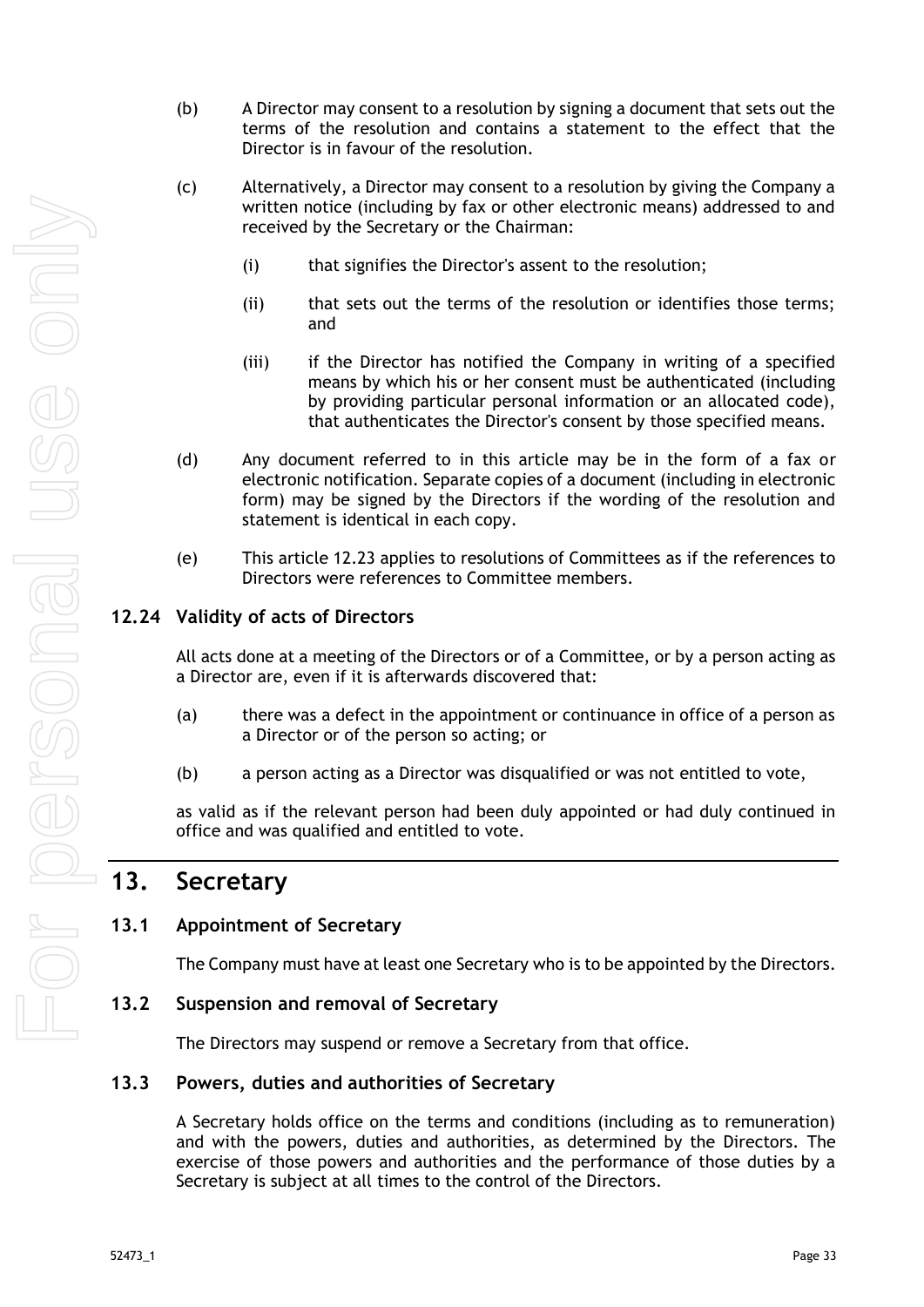- (b) A Director may consent to a resolution by signing a document that sets out the terms of the resolution and contains a statement to the effect that the Director is in favour of the resolution.
- (c) Alternatively, a Director may consent to a resolution by giving the Company a written notice (including by fax or other electronic means) addressed to and received by the Secretary or the Chairman:
	- (i) that signifies the Director's assent to the resolution;
	- (ii) that sets out the terms of the resolution or identifies those terms; and
	- (iii) if the Director has notified the Company in writing of a specified means by which his or her consent must be authenticated (including by providing particular personal information or an allocated code), that authenticates the Director's consent by those specified means.
- (d) Any document referred to in this article may be in the form of a fax or electronic notification. Separate copies of a document (including in electronic form) may be signed by the Directors if the wording of the resolution and statement is identical in each copy.
- (e) This article [12.23](#page-37-5) applies to resolutions of Committees as if the references to Directors were references to Committee members.

## <span id="page-38-0"></span>**12.24 Validity of acts of Directors**

All acts done at a meeting of the Directors or of a Committee, or by a person acting as a Director are, even if it is afterwards discovered that:

- (a) there was a defect in the appointment or continuance in office of a person as a Director or of the person so acting; or
- (b) a person acting as a Director was disqualified or was not entitled to vote,

as valid as if the relevant person had been duly appointed or had duly continued in office and was qualified and entitled to vote.

# <span id="page-38-1"></span>**13. Secretary**

#### <span id="page-38-2"></span>**13.1 Appointment of Secretary**

The Company must have at least one Secretary who is to be appointed by the Directors.

#### <span id="page-38-3"></span>**13.2 Suspension and removal of Secretary**

The Directors may suspend or remove a Secretary from that office.

#### <span id="page-38-4"></span>**13.3 Powers, duties and authorities of Secretary**

A Secretary holds office on the terms and conditions (including as to remuneration) and with the powers, duties and authorities, as determined by the Directors. The exercise of those powers and authorities and the performance of those duties by a Secretary is subject at all times to the control of the Directors.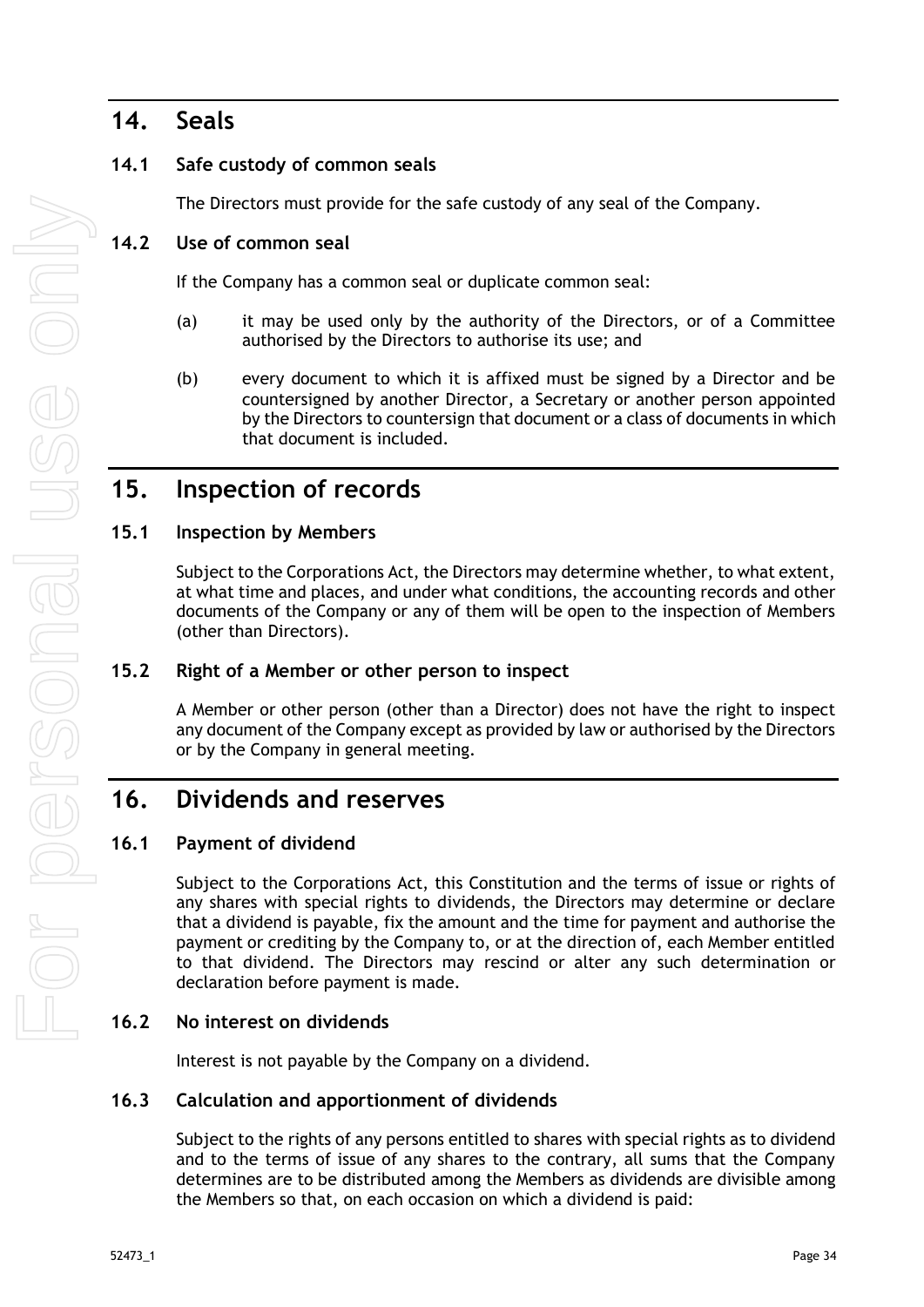## <span id="page-39-0"></span>**14. Seals**

## <span id="page-39-1"></span>**14.1 Safe custody of common seals**

The Directors must provide for the safe custody of any seal of the Company.

## <span id="page-39-2"></span>**14.2 Use of common seal**

If the Company has a common seal or duplicate common seal:

- (a) it may be used only by the authority of the Directors, or of a Committee authorised by the Directors to authorise its use; and
- (b) every document to which it is affixed must be signed by a Director and be countersigned by another Director, a Secretary or another person appointed by the Directors to countersign that document or a class of documents in which that document is included.

## <span id="page-39-3"></span>**15. Inspection of records**

## <span id="page-39-4"></span>**15.1 Inspection by Members**

Subject to the Corporations Act, the Directors may determine whether, to what extent, at what time and places, and under what conditions, the accounting records and other documents of the Company or any of them will be open to the inspection of Members (other than Directors).

## <span id="page-39-5"></span>**15.2 Right of a Member or other person to inspect**

A Member or other person (other than a Director) does not have the right to inspect any document of the Company except as provided by law or authorised by the Directors or by the Company in general meeting.

## <span id="page-39-6"></span>**16. Dividends and reserves**

## <span id="page-39-7"></span>**16.1 Payment of dividend**

Subject to the Corporations Act, this Constitution and the terms of issue or rights of any shares with special rights to dividends, the Directors may determine or declare that a dividend is payable, fix the amount and the time for payment and authorise the payment or crediting by the Company to, or at the direction of, each Member entitled to that dividend. The Directors may rescind or alter any such determination or declaration before payment is made.

## <span id="page-39-8"></span>**16.2 No interest on dividends**

Interest is not payable by the Company on a dividend.

## <span id="page-39-9"></span>**16.3 Calculation and apportionment of dividends**

Subject to the rights of any persons entitled to shares with special rights as to dividend and to the terms of issue of any shares to the contrary, all sums that the Company determines are to be distributed among the Members as dividends are divisible among the Members so that, on each occasion on which a dividend is paid: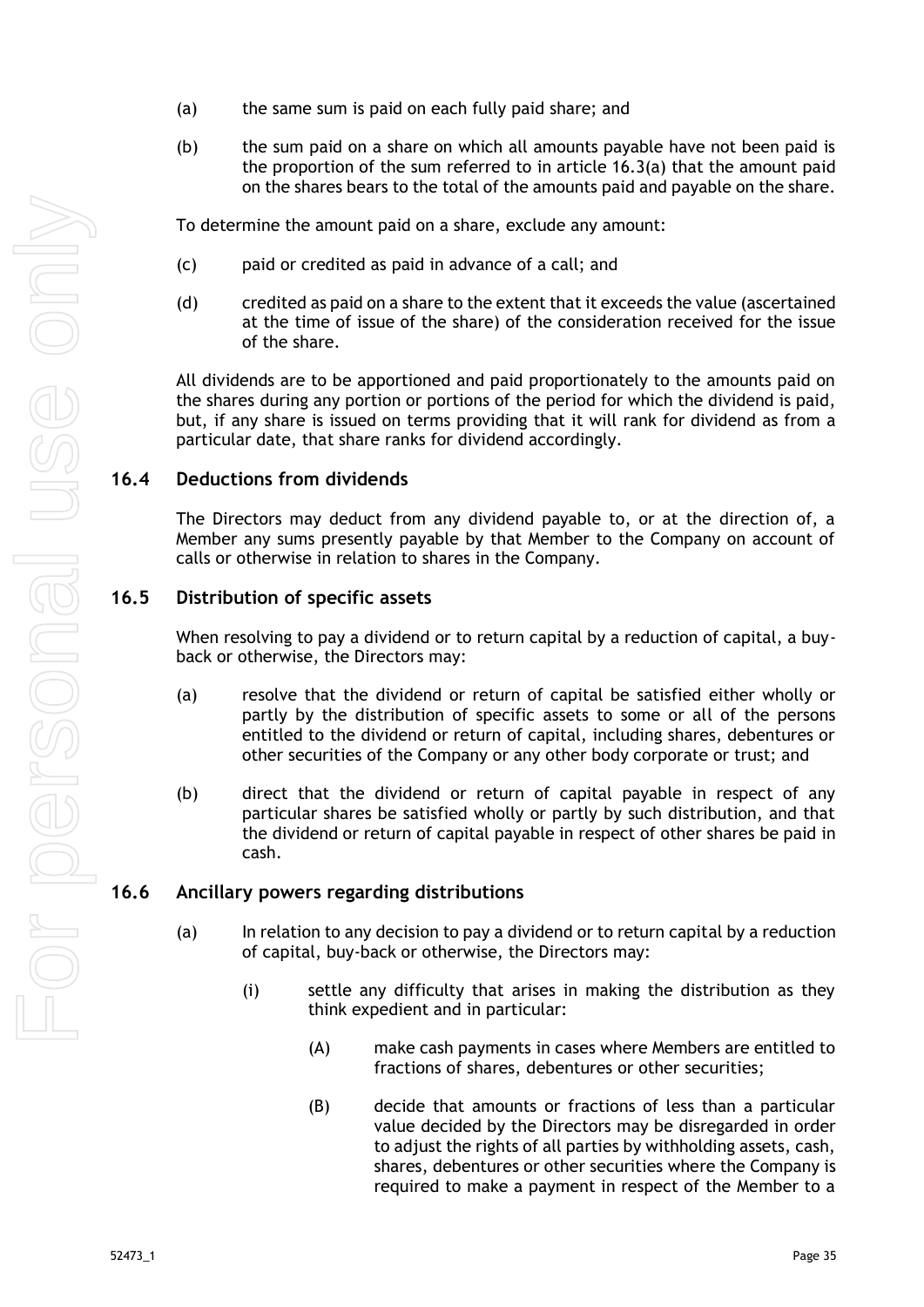- <span id="page-40-3"></span>(a) the same sum is paid on each fully paid share; and
- (b) the sum paid on a share on which all amounts payable have not been paid is the proportion of the sum referred to in article [16.3\(a\)](#page-40-3) that the amount paid on the shares bears to the total of the amounts paid and payable on the share.

To determine the amount paid on a share, exclude any amount:

- (c) paid or credited as paid in advance of a call; and
- (d) credited as paid on a share to the extent that it exceeds the value (ascertained at the time of issue of the share) of the consideration received for the issue of the share.

All dividends are to be apportioned and paid proportionately to the amounts paid on the shares during any portion or portions of the period for which the dividend is paid, but, if any share is issued on terms providing that it will rank for dividend as from a particular date, that share ranks for dividend accordingly.

## <span id="page-40-0"></span>**16.4 Deductions from dividends**

The Directors may deduct from any dividend payable to, or at the direction of, a Member any sums presently payable by that Member to the Company on account of calls or otherwise in relation to shares in the Company.

## <span id="page-40-1"></span>**16.5 Distribution of specific assets**

When resolving to pay a dividend or to return capital by a reduction of capital, a buyback or otherwise, the Directors may:

- (a) resolve that the dividend or return of capital be satisfied either wholly or partly by the distribution of specific assets to some or all of the persons entitled to the dividend or return of capital, including shares, debentures or other securities of the Company or any other body corporate or trust; and
- (b) direct that the dividend or return of capital payable in respect of any particular shares be satisfied wholly or partly by such distribution, and that the dividend or return of capital payable in respect of other shares be paid in cash.

## <span id="page-40-2"></span>**16.6 Ancillary powers regarding distributions**

- (a) In relation to any decision to pay a dividend or to return capital by a reduction of capital, buy-back or otherwise, the Directors may:
	- (i) settle any difficulty that arises in making the distribution as they think expedient and in particular:
		- (A) make cash payments in cases where Members are entitled to fractions of shares, debentures or other securities;
		- (B) decide that amounts or fractions of less than a particular value decided by the Directors may be disregarded in order to adjust the rights of all parties by withholding assets, cash, shares, debentures or other securities where the Company is required to make a payment in respect of the Member to a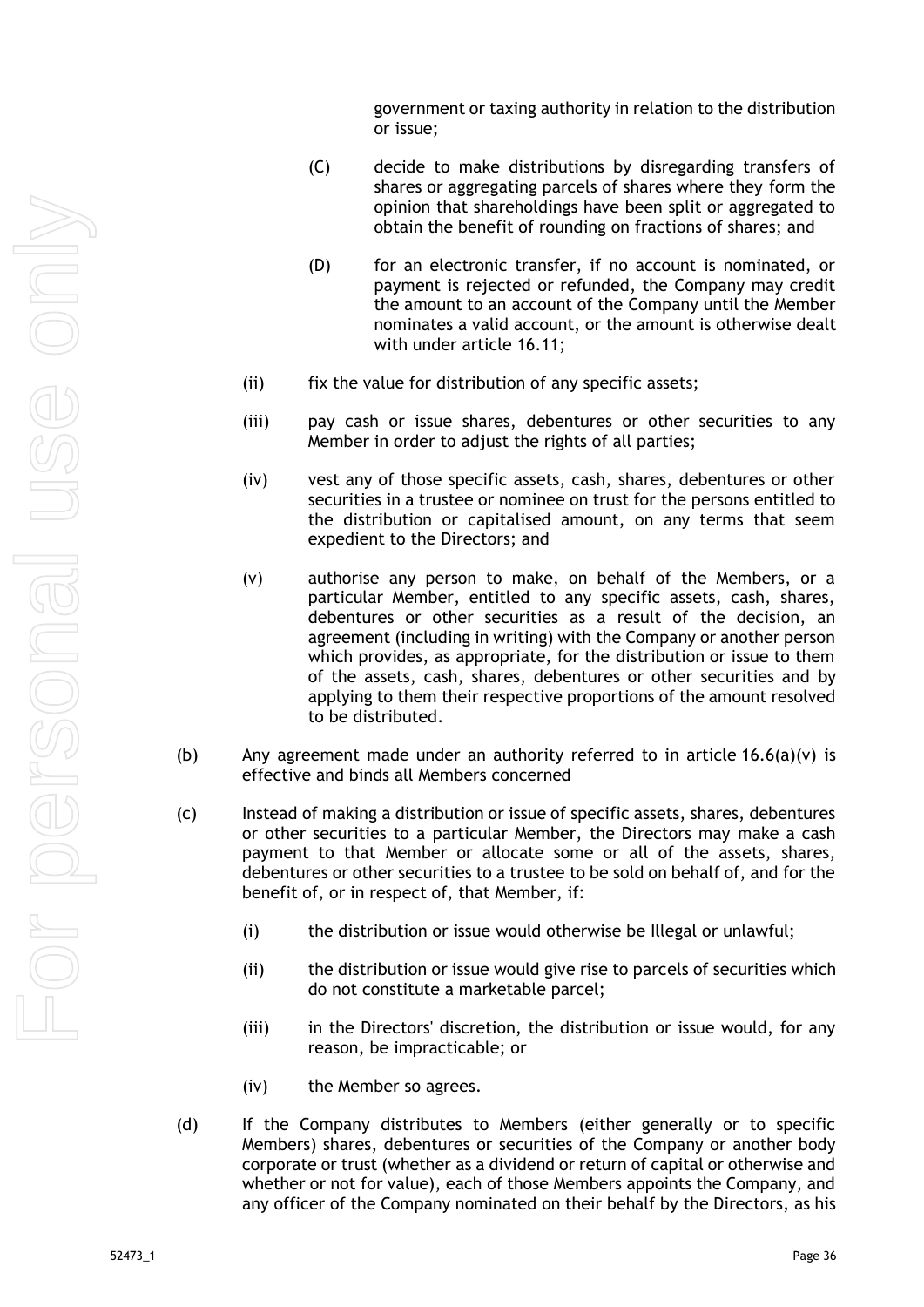government or taxing authority in relation to the distribution or issue;

- (C) decide to make distributions by disregarding transfers of shares or aggregating parcels of shares where they form the opinion that shareholdings have been split or aggregated to obtain the benefit of rounding on fractions of shares; and
- (D) for an electronic transfer, if no account is nominated, or payment is rejected or refunded, the Company may credit the amount to an account of the Company until the Member nominates a valid account, or the amount is otherwise dealt with under article [16.11;](#page-42-4)
- (ii) fix the value for distribution of any specific assets;
- (iii) pay cash or issue shares, debentures or other securities to any Member in order to adjust the rights of all parties;
- (iv) vest any of those specific assets, cash, shares, debentures or other securities in a trustee or nominee on trust for the persons entitled to the distribution or capitalised amount, on any terms that seem expedient to the Directors; and
- <span id="page-41-0"></span>(v) authorise any person to make, on behalf of the Members, or a particular Member, entitled to any specific assets, cash, shares, debentures or other securities as a result of the decision, an agreement (including in writing) with the Company or another person which provides, as appropriate, for the distribution or issue to them of the assets, cash, shares, debentures or other securities and by applying to them their respective proportions of the amount resolved to be distributed.
- (b) Any agreement made under an authority referred to in article [16.6\(a\)\(v\)](#page-41-0) is effective and binds all Members concerned
- (c) Instead of making a distribution or issue of specific assets, shares, debentures or other securities to a particular Member, the Directors may make a cash payment to that Member or allocate some or all of the assets, shares, debentures or other securities to a trustee to be sold on behalf of, and for the benefit of, or in respect of, that Member, if:
	- (i) the distribution or issue would otherwise be Illegal or unlawful;
	- (ii) the distribution or issue would give rise to parcels of securities which do not constitute a marketable parcel;
	- (iii) in the Directors' discretion, the distribution or issue would, for any reason, be impracticable; or
	- (iv) the Member so agrees.
- (d) If the Company distributes to Members (either generally or to specific Members) shares, debentures or securities of the Company or another body corporate or trust (whether as a dividend or return of capital or otherwise and whether or not for value), each of those Members appoints the Company, and any officer of the Company nominated on their behalf by the Directors, as his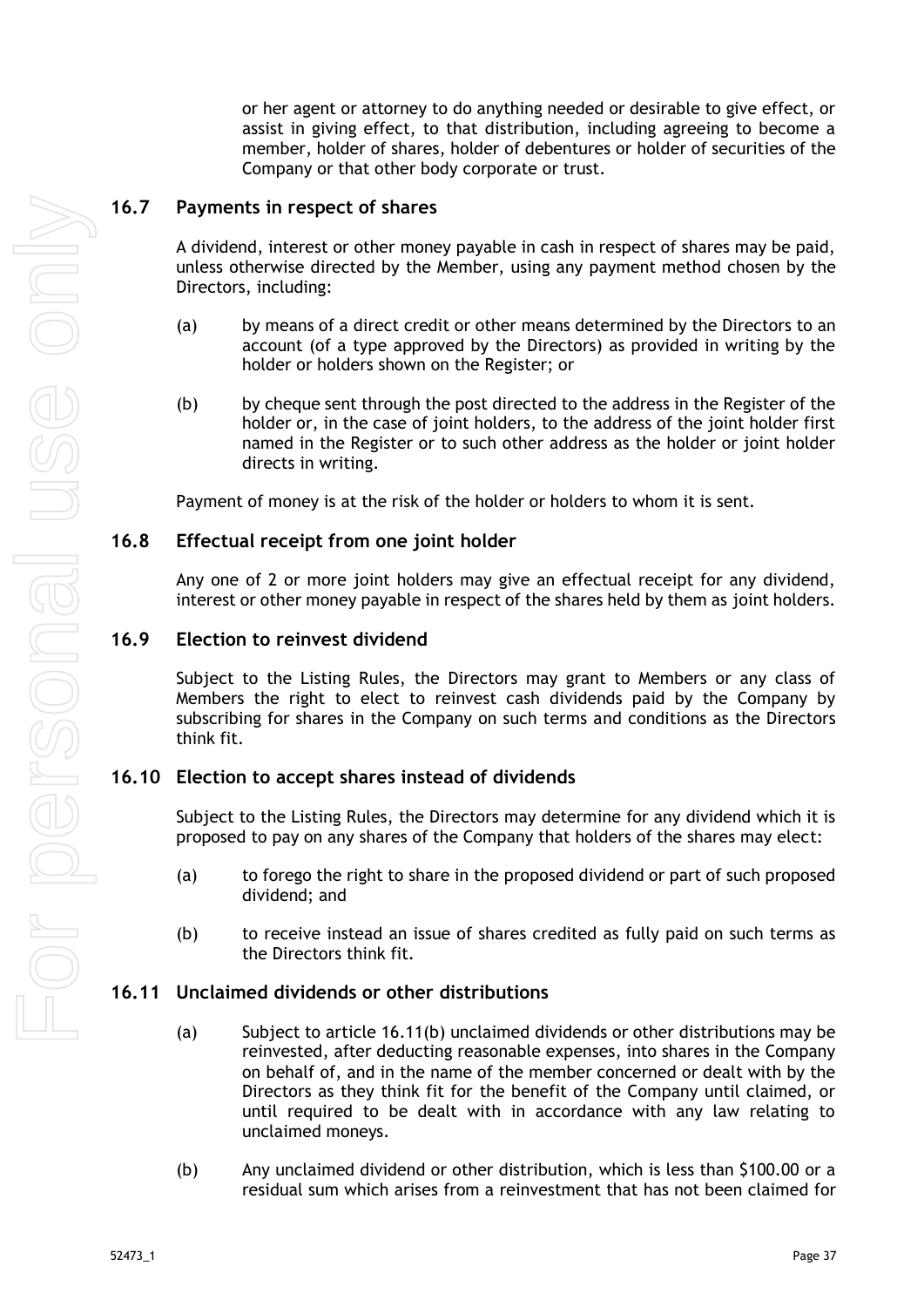or her agent or attorney to do anything needed or desirable to give effect, or assist in giving effect, to that distribution, including agreeing to become a member, holder of shares, holder of debentures or holder of securities of the Company or that other body corporate or trust.

#### <span id="page-42-0"></span>**16.7 Payments in respect of shares**

A dividend, interest or other money payable in cash in respect of shares may be paid, unless otherwise directed by the Member, using any payment method chosen by the Directors, including:

- (a) by means of a direct credit or other means determined by the Directors to an account (of a type approved by the Directors) as provided in writing by the holder or holders shown on the Register; or
- (b) by cheque sent through the post directed to the address in the Register of the holder or, in the case of joint holders, to the address of the joint holder first named in the Register or to such other address as the holder or joint holder directs in writing.

Payment of money is at the risk of the holder or holders to whom it is sent.

#### <span id="page-42-1"></span>**16.8 Effectual receipt from one joint holder**

Any one of 2 or more joint holders may give an effectual receipt for any dividend, interest or other money payable in respect of the shares held by them as joint holders.

#### <span id="page-42-2"></span>**16.9 Election to reinvest dividend**

Subject to the Listing Rules, the Directors may grant to Members or any class of Members the right to elect to reinvest cash dividends paid by the Company by subscribing for shares in the Company on such terms and conditions as the Directors think fit.

#### <span id="page-42-3"></span>**16.10 Election to accept shares instead of dividends**

Subject to the Listing Rules, the Directors may determine for any dividend which it is proposed to pay on any shares of the Company that holders of the shares may elect:

- (a) to forego the right to share in the proposed dividend or part of such proposed dividend; and
- (b) to receive instead an issue of shares credited as fully paid on such terms as the Directors think fit.

#### <span id="page-42-4"></span>**16.11 Unclaimed dividends or other distributions**

- (a) Subject to article [16.11\(b\)](#page-42-5) unclaimed dividends or other distributions may be reinvested, after deducting reasonable expenses, into shares in the Company on behalf of, and in the name of the member concerned or dealt with by the Directors as they think fit for the benefit of the Company until claimed, or until required to be dealt with in accordance with any law relating to unclaimed moneys.
- <span id="page-42-5"></span>(b) Any unclaimed dividend or other distribution, which is less than \$100.00 or a residual sum which arises from a reinvestment that has not been claimed for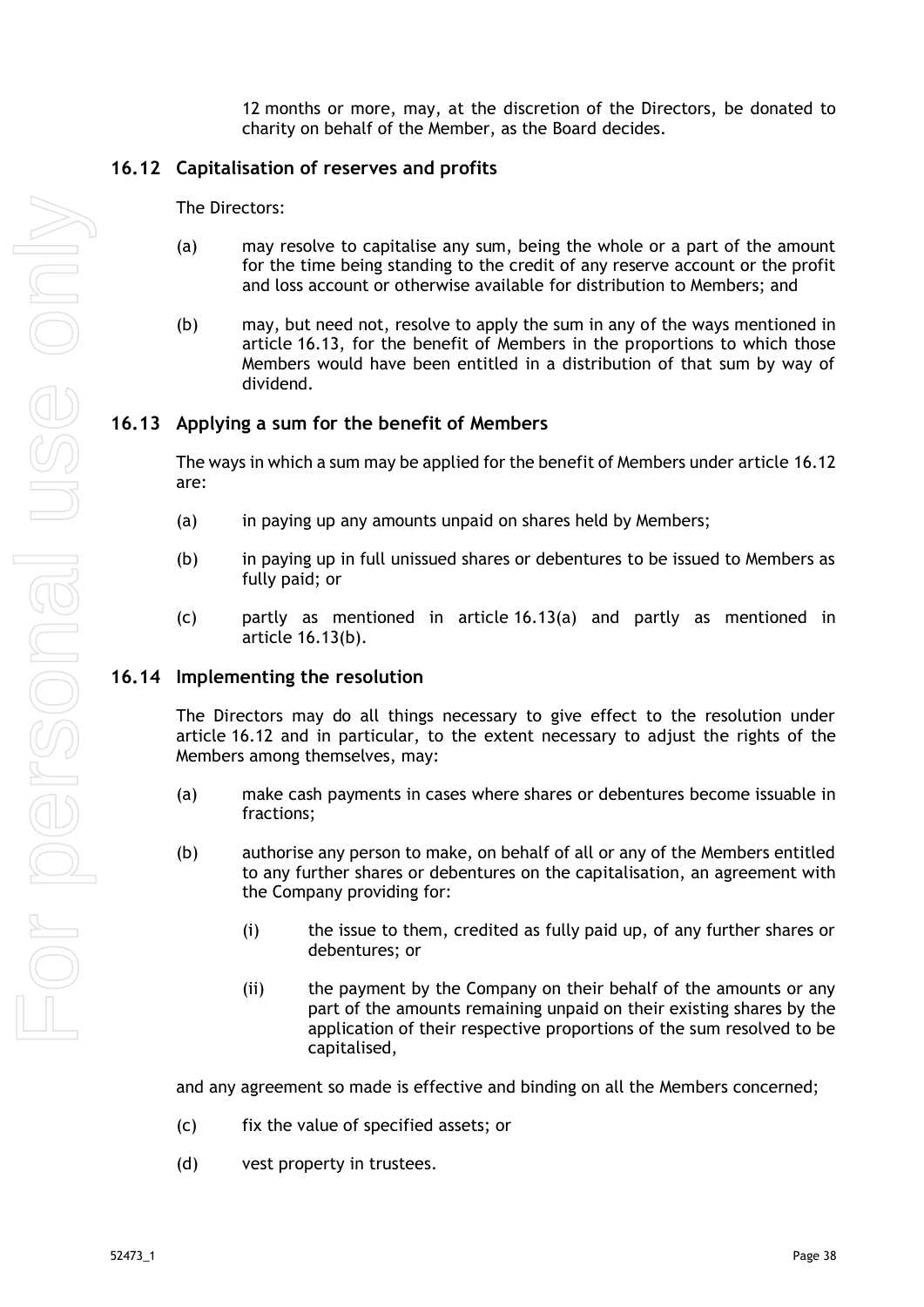12 months or more, may, at the discretion of the Directors, be donated to charity on behalf of the Member, as the Board decides.

#### <span id="page-43-0"></span>**16.12 Capitalisation of reserves and profits**

The Directors:

- (a) may resolve to capitalise any sum, being the whole or a part of the amount for the time being standing to the credit of any reserve account or the profit and loss account or otherwise available for distribution to Members; and
- (b) may, but need not, resolve to apply the sum in any of the ways mentioned in article [16.13,](#page-43-1) for the benefit of Members in the proportions to which those Members would have been entitled in a distribution of that sum by way of dividend.

#### <span id="page-43-1"></span>**16.13 Applying a sum for the benefit of Members**

The ways in which a sum may be applied for the benefit of Members under article [16.12](#page-43-0) are:

- <span id="page-43-4"></span><span id="page-43-3"></span>(a) in paying up any amounts unpaid on shares held by Members;
- (b) in paying up in full unissued shares or debentures to be issued to Members as fully paid; or
- (c) partly as mentioned in article [16.13\(a\)](#page-43-3) and partly as mentioned in article [16.13\(b\).](#page-43-4)

#### <span id="page-43-2"></span>**16.14 Implementing the resolution**

The Directors may do all things necessary to give effect to the resolution under article [16.12](#page-43-0) and in particular, to the extent necessary to adjust the rights of the Members among themselves, may:

- (a) make cash payments in cases where shares or debentures become issuable in fractions;
- (b) authorise any person to make, on behalf of all or any of the Members entitled to any further shares or debentures on the capitalisation, an agreement with the Company providing for:
	- (i) the issue to them, credited as fully paid up, of any further shares or debentures; or
	- (ii) the payment by the Company on their behalf of the amounts or any part of the amounts remaining unpaid on their existing shares by the application of their respective proportions of the sum resolved to be capitalised,

and any agreement so made is effective and binding on all the Members concerned;

- (c) fix the value of specified assets; or
- (d) vest property in trustees.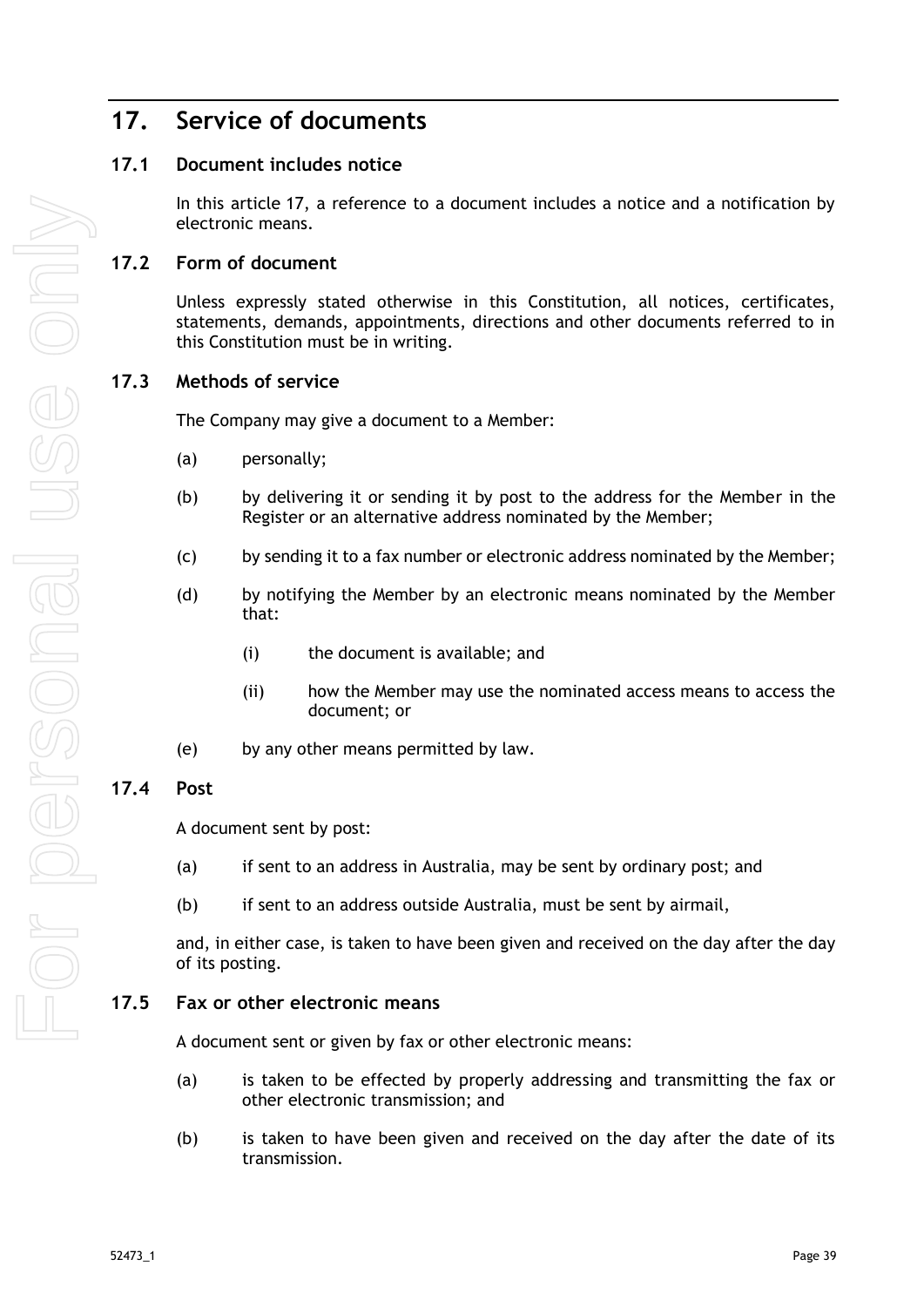# <span id="page-44-0"></span>**17. Service of documents**

## <span id="page-44-1"></span>**17.1 Document includes notice**

In this article [17,](#page-44-0) a reference to a document includes a notice and a notification by electronic means.

### <span id="page-44-2"></span>**17.2 Form of document**

Unless expressly stated otherwise in this Constitution, all notices, certificates, statements, demands, appointments, directions and other documents referred to in this Constitution must be in writing.

#### <span id="page-44-3"></span>**17.3 Methods of service**

The Company may give a document to a Member:

- (a) personally;
- (b) by delivering it or sending it by post to the address for the Member in the Register or an alternative address nominated by the Member;
- (c) by sending it to a fax number or electronic address nominated by the Member;
- (d) by notifying the Member by an electronic means nominated by the Member that:
	- (i) the document is available; and
	- (ii) how the Member may use the nominated access means to access the document; or
- (e) by any other means permitted by law.

## <span id="page-44-4"></span>**17.4 Post**

A document sent by post:

- (a) if sent to an address in Australia, may be sent by ordinary post; and
- (b) if sent to an address outside Australia, must be sent by airmail,

and, in either case, is taken to have been given and received on the day after the day of its posting.

#### <span id="page-44-5"></span>**17.5 Fax or other electronic means**

A document sent or given by fax or other electronic means:

- (a) is taken to be effected by properly addressing and transmitting the fax or other electronic transmission; and
- (b) is taken to have been given and received on the day after the date of its transmission.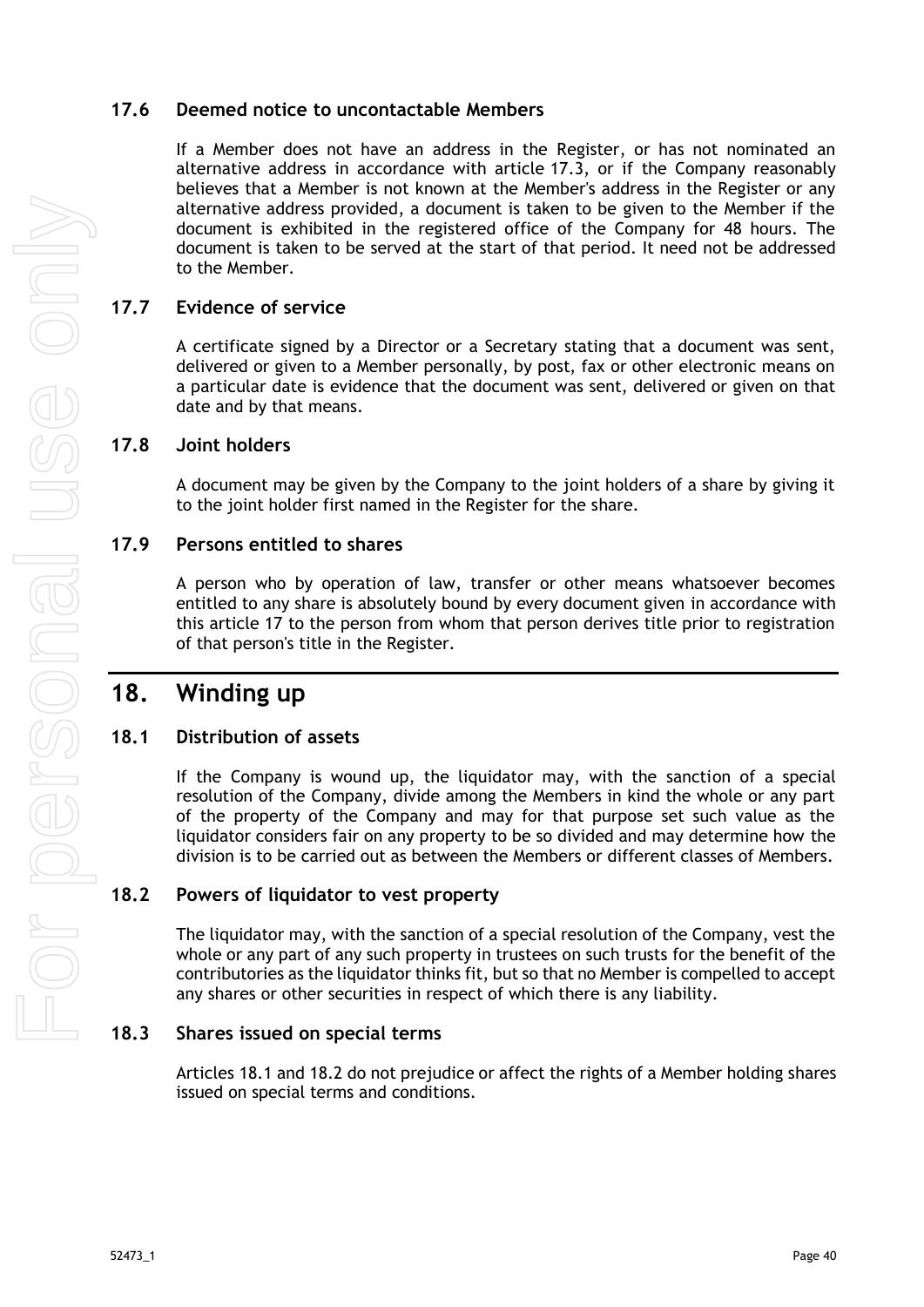## <span id="page-45-0"></span>**17.6 Deemed notice to uncontactable Members**

If a Member does not have an address in the Register, or has not nominated an alternative address in accordance with article [17.3,](#page-44-3) or if the Company reasonably believes that a Member is not known at the Member's address in the Register or any alternative address provided, a document is taken to be given to the Member if the document is exhibited in the registered office of the Company for 48 hours. The document is taken to be served at the start of that period. It need not be addressed to the Member.

## <span id="page-45-1"></span>**17.7 Evidence of service**

A certificate signed by a Director or a Secretary stating that a document was sent, delivered or given to a Member personally, by post, fax or other electronic means on a particular date is evidence that the document was sent, delivered or given on that date and by that means.

#### <span id="page-45-2"></span>**17.8 Joint holders**

A document may be given by the Company to the joint holders of a share by giving it to the joint holder first named in the Register for the share.

#### <span id="page-45-3"></span>**17.9 Persons entitled to shares**

A person who by operation of law, transfer or other means whatsoever becomes entitled to any share is absolutely bound by every document given in accordance with this article [17](#page-44-0) to the person from whom that person derives title prior to registration of that person's title in the Register.

## <span id="page-45-4"></span>**18. Winding up**

## <span id="page-45-5"></span>**18.1 Distribution of assets**

If the Company is wound up, the liquidator may, with the sanction of a special resolution of the Company, divide among the Members in kind the whole or any part of the property of the Company and may for that purpose set such value as the liquidator considers fair on any property to be so divided and may determine how the division is to be carried out as between the Members or different classes of Members.

## <span id="page-45-6"></span>**18.2 Powers of liquidator to vest property**

The liquidator may, with the sanction of a special resolution of the Company, vest the whole or any part of any such property in trustees on such trusts for the benefit of the contributories as the liquidator thinks fit, but so that no Member is compelled to accept any shares or other securities in respect of which there is any liability.

#### <span id="page-45-7"></span>**18.3 Shares issued on special terms**

Articles [18.1](#page-45-5) and [18.2](#page-45-6) do not prejudice or affect the rights of a Member holding shares issued on special terms and conditions.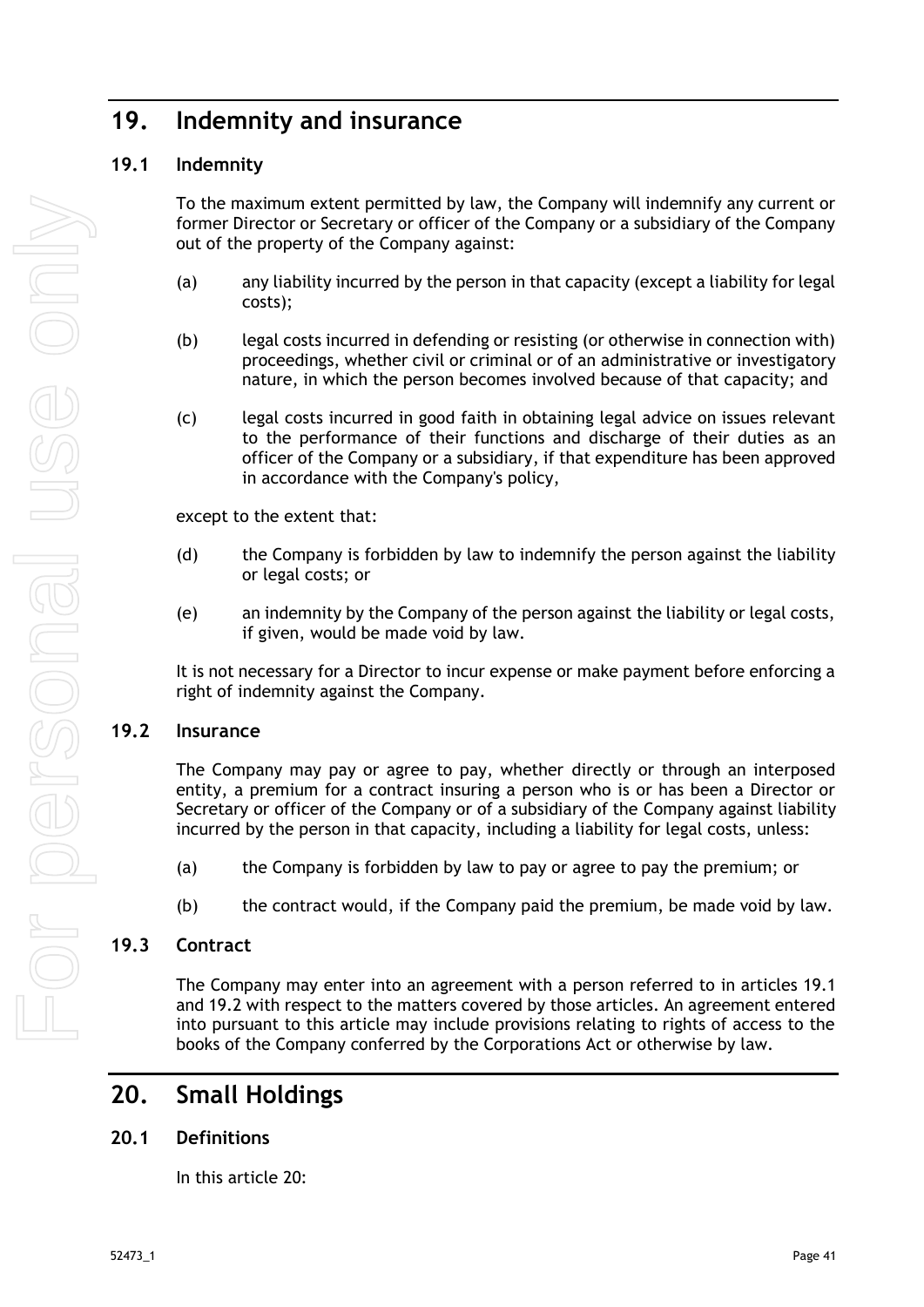# <span id="page-46-0"></span>**19. Indemnity and insurance**

## <span id="page-46-1"></span>**19.1 Indemnity**

To the maximum extent permitted by law, the Company will indemnify any current or former Director or Secretary or officer of the Company or a subsidiary of the Company out of the property of the Company against:

- (a) any liability incurred by the person in that capacity (except a liability for legal costs);
- (b) legal costs incurred in defending or resisting (or otherwise in connection with) proceedings, whether civil or criminal or of an administrative or investigatory nature, in which the person becomes involved because of that capacity; and
- (c) legal costs incurred in good faith in obtaining legal advice on issues relevant to the performance of their functions and discharge of their duties as an officer of the Company or a subsidiary, if that expenditure has been approved in accordance with the Company's policy,

except to the extent that:

- (d) the Company is forbidden by law to indemnify the person against the liability or legal costs; or
- (e) an indemnity by the Company of the person against the liability or legal costs, if given, would be made void by law.

It is not necessary for a Director to incur expense or make payment before enforcing a right of indemnity against the Company.

#### <span id="page-46-2"></span>**19.2 Insurance**

The Company may pay or agree to pay, whether directly or through an interposed entity, a premium for a contract insuring a person who is or has been a Director or Secretary or officer of the Company or of a subsidiary of the Company against liability incurred by the person in that capacity, including a liability for legal costs, unless:

- (a) the Company is forbidden by law to pay or agree to pay the premium; or
- (b) the contract would, if the Company paid the premium, be made void by law.

## <span id="page-46-3"></span>**19.3 Contract**

The Company may enter into an agreement with a person referred to in articles [19.1](#page-46-1) and [19.2](#page-46-2) with respect to the matters covered by those articles. An agreement entered into pursuant to this article may include provisions relating to rights of access to the books of the Company conferred by the Corporations Act or otherwise by law.

## <span id="page-46-4"></span>**20. Small Holdings**

## <span id="page-46-5"></span>**20.1 Definitions**

In this article [20:](#page-46-4)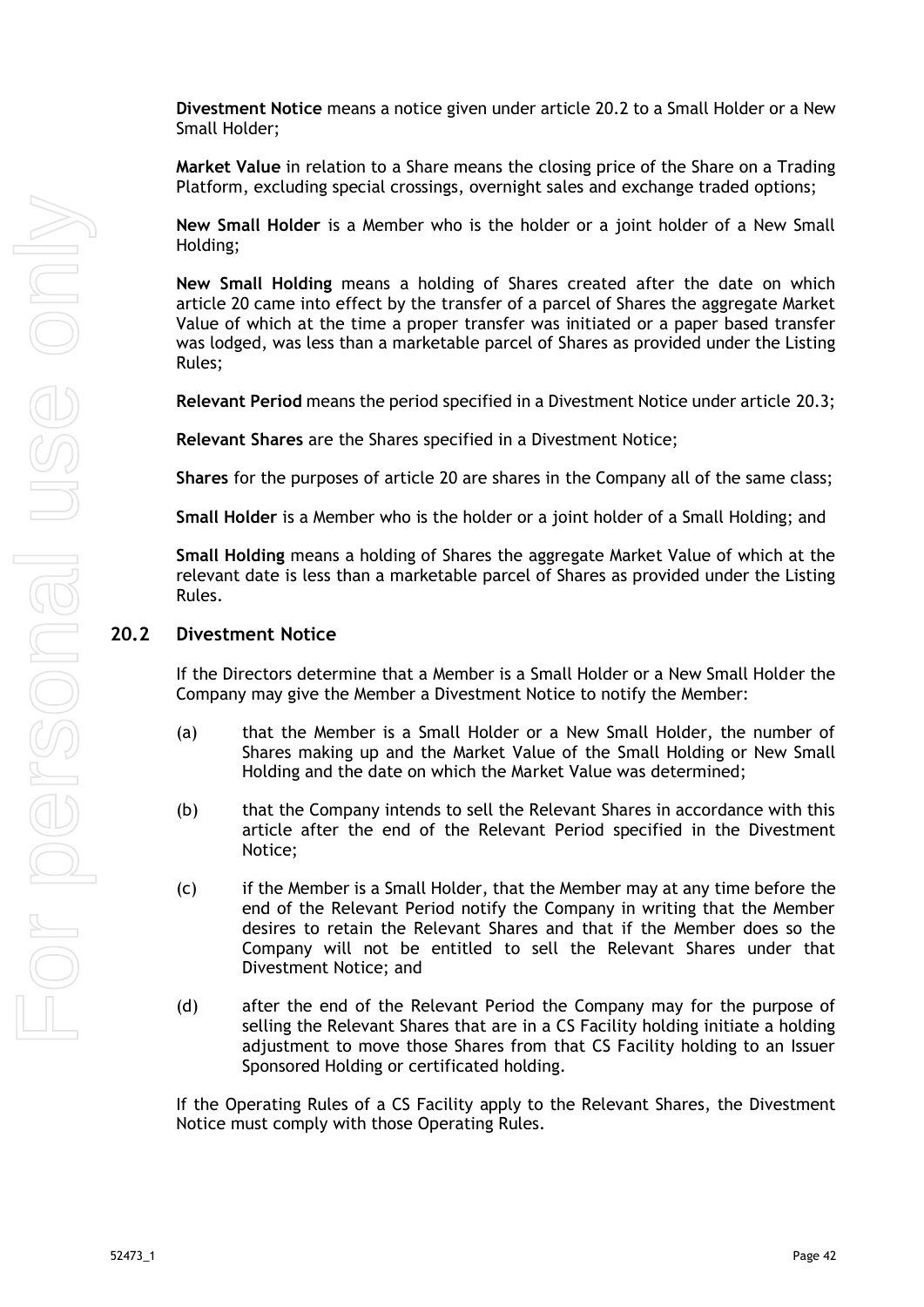**Divestment Notice** means a notice given under article [20.2](#page-47-0) to a Small Holder or a New Small Holder;

**Market Value** in relation to a Share means the closing price of the Share on a Trading Platform, excluding special crossings, overnight sales and exchange traded options;

**New Small Holder** is a Member who is the holder or a joint holder of a New Small Holding;

**New Small Holding** means a holding of Shares created after the date on which article [20](#page-46-4) came into effect by the transfer of a parcel of Shares the aggregate Market Value of which at the time a proper transfer was initiated or a paper based transfer was lodged, was less than a marketable parcel of Shares as provided under the Listing Rules;

**Relevant Period** means the period specified in a Divestment Notice under article [20.3;](#page-48-0)

**Relevant Shares** are the Shares specified in a Divestment Notice;

**Shares** for the purposes of article [20](#page-46-4) are shares in the Company all of the same class;

**Small Holder** is a Member who is the holder or a joint holder of a Small Holding; and

**Small Holding** means a holding of Shares the aggregate Market Value of which at the relevant date is less than a marketable parcel of Shares as provided under the Listing Rules.

#### <span id="page-47-0"></span>**20.2 Divestment Notice**

If the Directors determine that a Member is a Small Holder or a New Small Holder the Company may give the Member a Divestment Notice to notify the Member:

- (a) that the Member is a Small Holder or a New Small Holder, the number of Shares making up and the Market Value of the Small Holding or New Small Holding and the date on which the Market Value was determined;
- (b) that the Company intends to sell the Relevant Shares in accordance with this article after the end of the Relevant Period specified in the Divestment Notice;
- (c) if the Member is a Small Holder, that the Member may at any time before the end of the Relevant Period notify the Company in writing that the Member desires to retain the Relevant Shares and that if the Member does so the Company will not be entitled to sell the Relevant Shares under that Divestment Notice; and
- (d) after the end of the Relevant Period the Company may for the purpose of selling the Relevant Shares that are in a CS Facility holding initiate a holding adjustment to move those Shares from that CS Facility holding to an Issuer Sponsored Holding or certificated holding.

If the Operating Rules of a CS Facility apply to the Relevant Shares, the Divestment Notice must comply with those Operating Rules.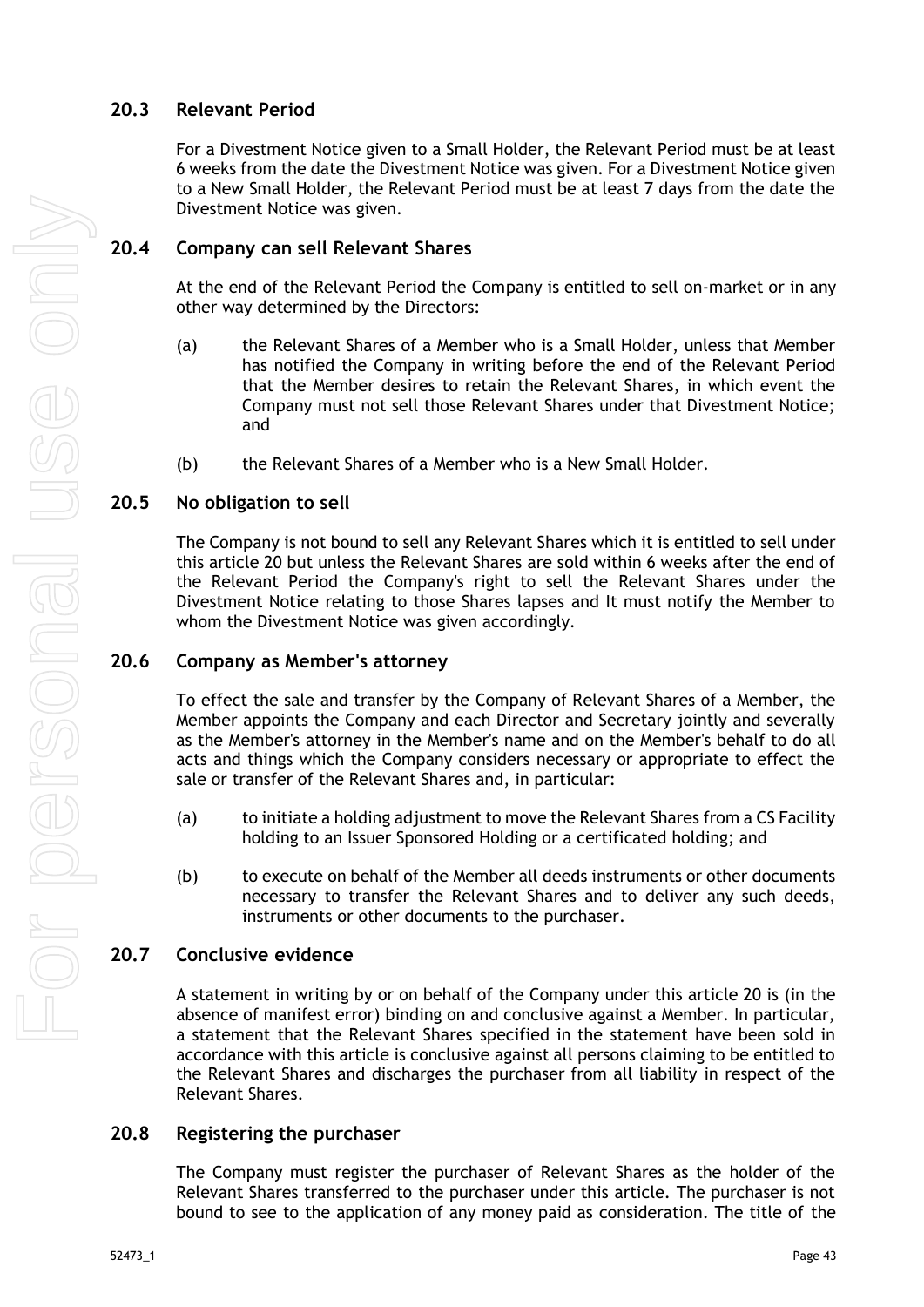## <span id="page-48-0"></span>**20.3 Relevant Period**

For a Divestment Notice given to a Small Holder, the Relevant Period must be at least 6 weeks from the date the Divestment Notice was given. For a Divestment Notice given to a New Small Holder, the Relevant Period must be at least 7 days from the date the Divestment Notice was given.

## <span id="page-48-1"></span>**20.4 Company can sell Relevant Shares**

At the end of the Relevant Period the Company is entitled to sell on-market or in any other way determined by the Directors:

- (a) the Relevant Shares of a Member who is a Small Holder, unless that Member has notified the Company in writing before the end of the Relevant Period that the Member desires to retain the Relevant Shares, in which event the Company must not sell those Relevant Shares under that Divestment Notice; and
- (b) the Relevant Shares of a Member who is a New Small Holder.

## <span id="page-48-2"></span>**20.5 No obligation to sell**

The Company is not bound to sell any Relevant Shares which it is entitled to sell under this article [20](#page-46-4) but unless the Relevant Shares are sold within 6 weeks after the end of the Relevant Period the Company's right to sell the Relevant Shares under the Divestment Notice relating to those Shares lapses and It must notify the Member to whom the Divestment Notice was given accordingly.

### <span id="page-48-3"></span>**20.6 Company as Member's attorney**

To effect the sale and transfer by the Company of Relevant Shares of a Member, the Member appoints the Company and each Director and Secretary jointly and severally as the Member's attorney in the Member's name and on the Member's behalf to do all acts and things which the Company considers necessary or appropriate to effect the sale or transfer of the Relevant Shares and, in particular:

- (a) to initiate a holding adjustment to move the Relevant Shares from a CS Facility holding to an Issuer Sponsored Holding or a certificated holding; and
- (b) to execute on behalf of the Member all deeds instruments or other documents necessary to transfer the Relevant Shares and to deliver any such deeds, instruments or other documents to the purchaser.

## <span id="page-48-4"></span>**20.7 Conclusive evidence**

A statement in writing by or on behalf of the Company under this article [20](#page-46-4) is (in the absence of manifest error) binding on and conclusive against a Member. In particular, a statement that the Relevant Shares specified in the statement have been sold in accordance with this article is conclusive against all persons claiming to be entitled to the Relevant Shares and discharges the purchaser from all liability in respect of the Relevant Shares.

## <span id="page-48-5"></span>**20.8 Registering the purchaser**

The Company must register the purchaser of Relevant Shares as the holder of the Relevant Shares transferred to the purchaser under this article. The purchaser is not bound to see to the application of any money paid as consideration. The title of the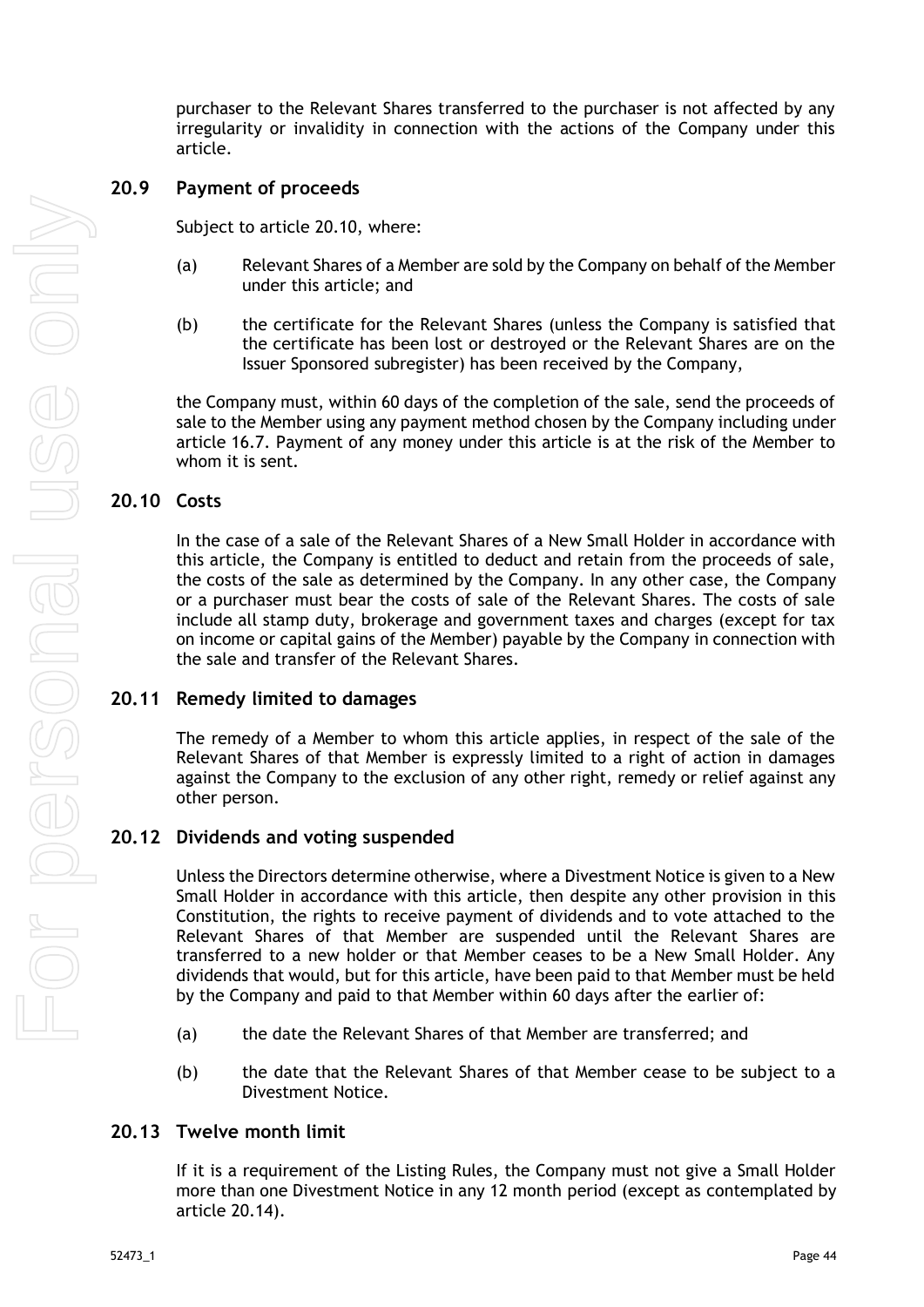purchaser to the Relevant Shares transferred to the purchaser is not affected by any irregularity or invalidity in connection with the actions of the Company under this article.

#### <span id="page-49-0"></span>**20.9 Payment of proceeds**

Subject to article [20.10,](#page-49-1) where:

- (a) Relevant Shares of a Member are sold by the Company on behalf of the Member under this article; and
- (b) the certificate for the Relevant Shares (unless the Company is satisfied that the certificate has been lost or destroyed or the Relevant Shares are on the Issuer Sponsored subregister) has been received by the Company,

the Company must, within 60 days of the completion of the sale, send the proceeds of sale to the Member using any payment method chosen by the Company including under article [16.7.](#page-42-0) Payment of any money under this article is at the risk of the Member to whom it is sent.

### <span id="page-49-1"></span>**20.10 Costs**

In the case of a sale of the Relevant Shares of a New Small Holder in accordance with this article, the Company is entitled to deduct and retain from the proceeds of sale, the costs of the sale as determined by the Company. In any other case, the Company or a purchaser must bear the costs of sale of the Relevant Shares. The costs of sale include all stamp duty, brokerage and government taxes and charges (except for tax on income or capital gains of the Member) payable by the Company in connection with the sale and transfer of the Relevant Shares.

#### <span id="page-49-2"></span>**20.11 Remedy limited to damages**

The remedy of a Member to whom this article applies, in respect of the sale of the Relevant Shares of that Member is expressly limited to a right of action in damages against the Company to the exclusion of any other right, remedy or relief against any other person.

#### <span id="page-49-3"></span>**20.12 Dividends and voting suspended**

Unless the Directors determine otherwise, where a Divestment Notice is given to a New Small Holder in accordance with this article, then despite any other provision in this Constitution, the rights to receive payment of dividends and to vote attached to the Relevant Shares of that Member are suspended until the Relevant Shares are transferred to a new holder or that Member ceases to be a New Small Holder. Any dividends that would, but for this article, have been paid to that Member must be held by the Company and paid to that Member within 60 days after the earlier of:

- (a) the date the Relevant Shares of that Member are transferred; and
- (b) the date that the Relevant Shares of that Member cease to be subject to a Divestment Notice.

#### <span id="page-49-4"></span>**20.13 Twelve month limit**

If it is a requirement of the Listing Rules, the Company must not give a Small Holder more than one Divestment Notice in any 12 month period (except as contemplated by article [20.14\)](#page-50-0).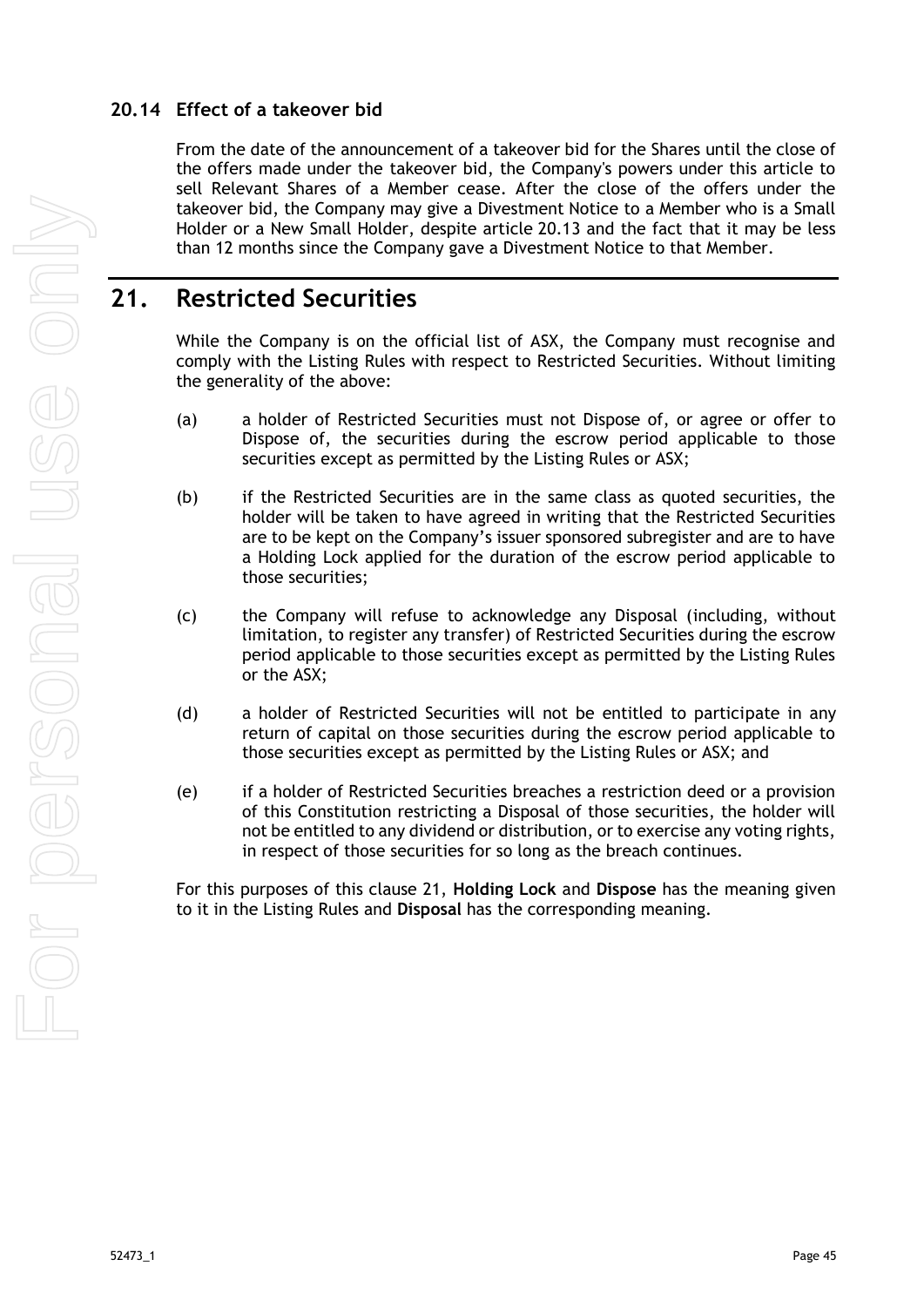## <span id="page-50-0"></span>**20.14 Effect of a takeover bid**

From the date of the announcement of a takeover bid for the Shares until the close of the offers made under the takeover bid, the Company's powers under this article to sell Relevant Shares of a Member cease. After the close of the offers under the takeover bid, the Company may give a Divestment Notice to a Member who is a Small Holder or a New Small Holder, despite article [20.13](#page-49-4) and the fact that it may be less than 12 months since the Company gave a Divestment Notice to that Member.

# <span id="page-50-1"></span>**21. Restricted Securities**

While the Company is on the official list of ASX, the Company must recognise and comply with the Listing Rules with respect to Restricted Securities. Without limiting the generality of the above:

- (a) a holder of Restricted Securities must not Dispose of, or agree or offer to Dispose of, the securities during the escrow period applicable to those securities except as permitted by the Listing Rules or ASX;
- (b) if the Restricted Securities are in the same class as quoted securities, the holder will be taken to have agreed in writing that the Restricted Securities are to be kept on the Company's issuer sponsored subregister and are to have a Holding Lock applied for the duration of the escrow period applicable to those securities;
- (c) the Company will refuse to acknowledge any Disposal (including, without limitation, to register any transfer) of Restricted Securities during the escrow period applicable to those securities except as permitted by the Listing Rules or the ASX;
- (d) a holder of Restricted Securities will not be entitled to participate in any return of capital on those securities during the escrow period applicable to those securities except as permitted by the Listing Rules or ASX; and
- (e) if a holder of Restricted Securities breaches a restriction deed or a provision of this Constitution restricting a Disposal of those securities, the holder will not be entitled to any dividend or distribution, or to exercise any voting rights, in respect of those securities for so long as the breach continues.

For this purposes of this clause 21, **Holding Lock** and **Dispose** has the meaning given to it in the Listing Rules and **Disposal** has the corresponding meaning.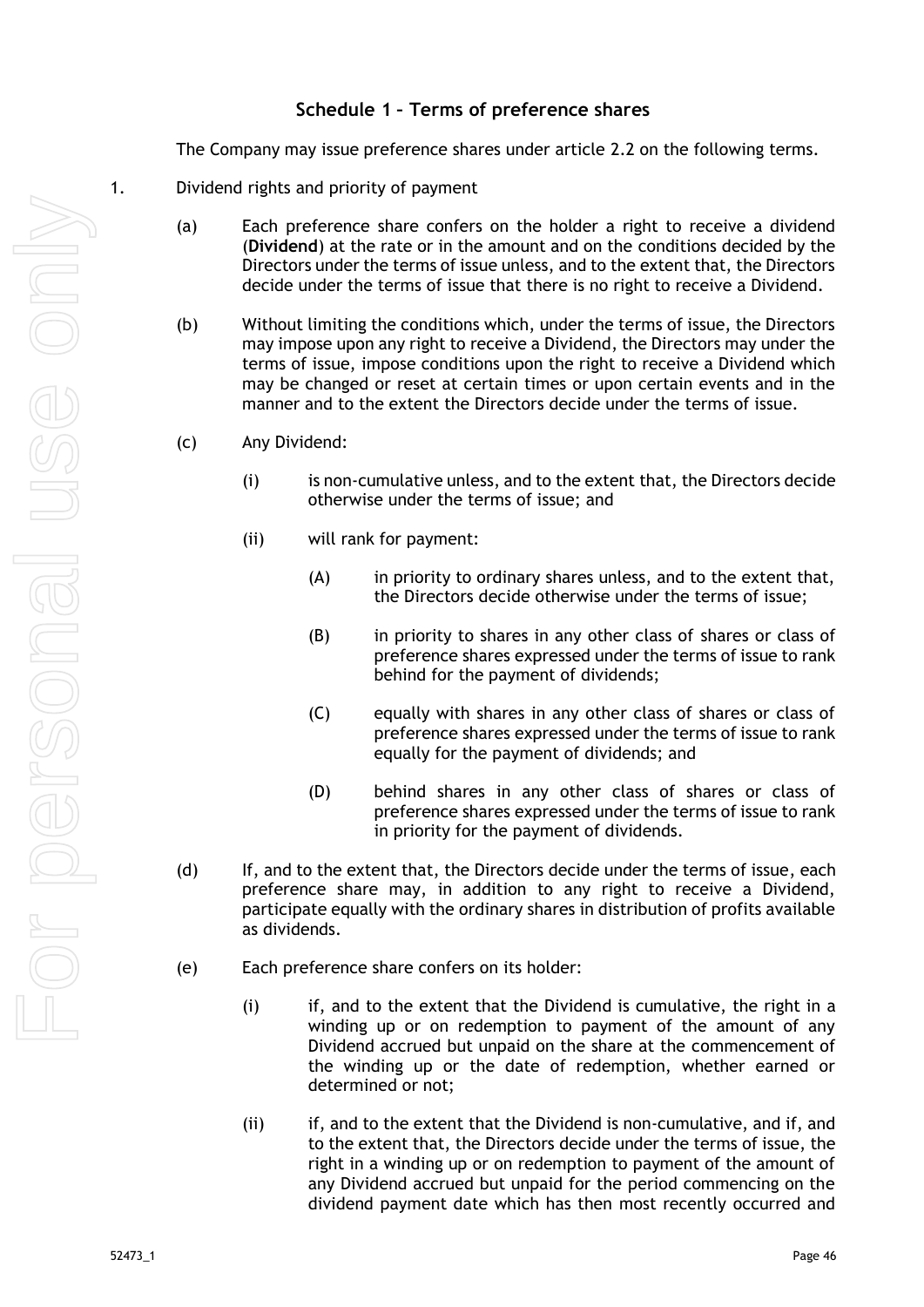## **Schedule 1 – Terms of preference shares**

The Company may issue preference shares under article 2.2 on the following terms.

- <span id="page-51-0"></span>1. Dividend rights and priority of payment
	- (a) Each preference share confers on the holder a right to receive a dividend (**Dividend**) at the rate or in the amount and on the conditions decided by the Directors under the terms of issue unless, and to the extent that, the Directors decide under the terms of issue that there is no right to receive a Dividend.
	- (b) Without limiting the conditions which, under the terms of issue, the Directors may impose upon any right to receive a Dividend, the Directors may under the terms of issue, impose conditions upon the right to receive a Dividend which may be changed or reset at certain times or upon certain events and in the manner and to the extent the Directors decide under the terms of issue.
	- (c) Any Dividend:
		- (i) is non-cumulative unless, and to the extent that, the Directors decide otherwise under the terms of issue; and
		- (ii) will rank for payment:
			- (A) in priority to ordinary shares unless, and to the extent that, the Directors decide otherwise under the terms of issue;
			- (B) in priority to shares in any other class of shares or class of preference shares expressed under the terms of issue to rank behind for the payment of dividends;
			- (C) equally with shares in any other class of shares or class of preference shares expressed under the terms of issue to rank equally for the payment of dividends; and
			- (D) behind shares in any other class of shares or class of preference shares expressed under the terms of issue to rank in priority for the payment of dividends.
	- (d) If, and to the extent that, the Directors decide under the terms of issue, each preference share may, in addition to any right to receive a Dividend, participate equally with the ordinary shares in distribution of profits available as dividends.
	- (e) Each preference share confers on its holder:
		- (i) if, and to the extent that the Dividend is cumulative, the right in a winding up or on redemption to payment of the amount of any Dividend accrued but unpaid on the share at the commencement of the winding up or the date of redemption, whether earned or determined or not;
		- (ii) if, and to the extent that the Dividend is non-cumulative, and if, and to the extent that, the Directors decide under the terms of issue, the right in a winding up or on redemption to payment of the amount of any Dividend accrued but unpaid for the period commencing on the dividend payment date which has then most recently occurred and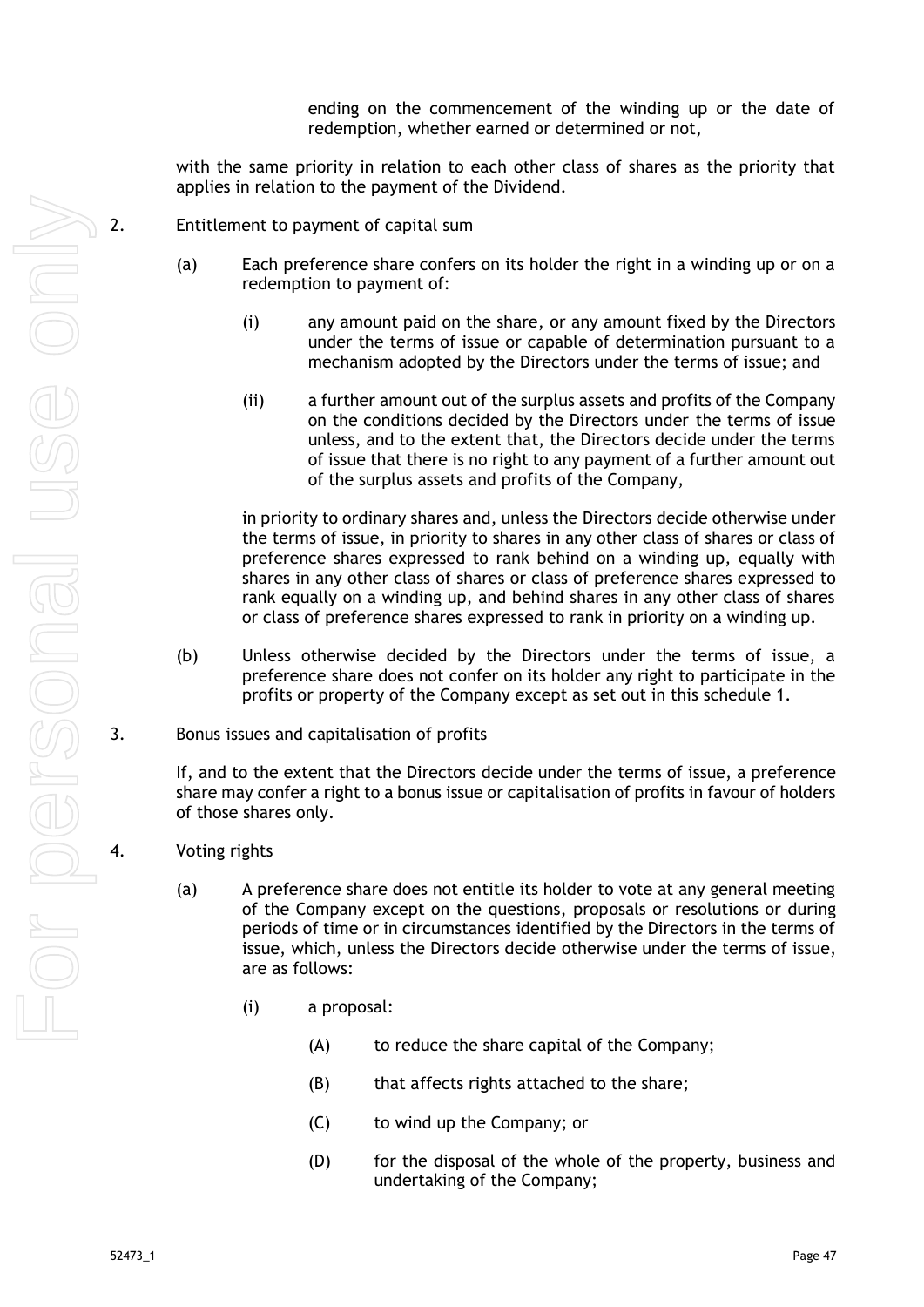ending on the commencement of the winding up or the date of redemption, whether earned or determined or not,

with the same priority in relation to each other class of shares as the priority that applies in relation to the payment of the Dividend.

- $\Omega$  2. Entitlement to payment of capital sum
	- (a) Each preference share confers on its holder the right in a winding up or on a redemption to payment of:
		- (i) any amount paid on the share, or any amount fixed by the Directors under the terms of issue or capable of determination pursuant to a mechanism adopted by the Directors under the terms of issue; and
		- (ii) a further amount out of the surplus assets and profits of the Company on the conditions decided by the Directors under the terms of issue unless, and to the extent that, the Directors decide under the terms of issue that there is no right to any payment of a further amount out of the surplus assets and profits of the Company,

in priority to ordinary shares and, unless the Directors decide otherwise under the terms of issue, in priority to shares in any other class of shares or class of preference shares expressed to rank behind on a winding up, equally with shares in any other class of shares or class of preference shares expressed to rank equally on a winding up, and behind shares in any other class of shares or class of preference shares expressed to rank in priority on a winding up.

- (b) Unless otherwise decided by the Directors under the terms of issue, a preference share does not confer on its holder any right to participate in the profits or property of the Company except as set out in this schedule 1.
- 3. Bonus issues and capitalisation of profits

If, and to the extent that the Directors decide under the terms of issue, a preference share may confer a right to a bonus issue or capitalisation of profits in favour of holders of those shares only.

- 4. Voting rights
	- (a) A preference share does not entitle its holder to vote at any general meeting of the Company except on the questions, proposals or resolutions or during periods of time or in circumstances identified by the Directors in the terms of issue, which, unless the Directors decide otherwise under the terms of issue, are as follows:
		- (i) a proposal:
			- (A) to reduce the share capital of the Company;
			- (B) that affects rights attached to the share;
			- (C) to wind up the Company; or
			- (D) for the disposal of the whole of the property, business and undertaking of the Company;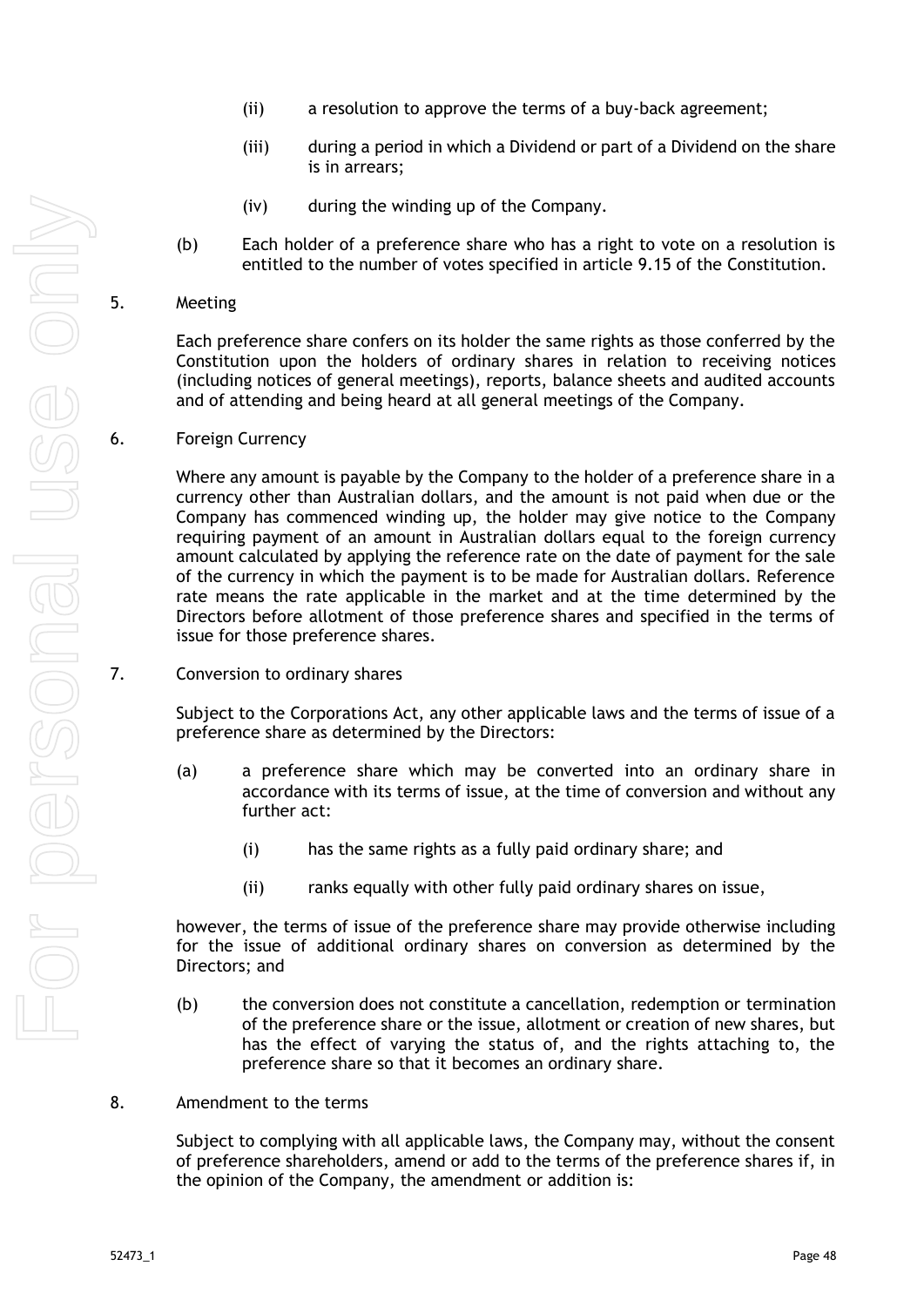- (ii) a resolution to approve the terms of a buy-back agreement;
- (iii) during a period in which a Dividend or part of a Dividend on the share is in arrears;
- (iv) during the winding up of the Company.
- (b) Each holder of a preference share who has a right to vote on a resolution is entitled to the number of votes specified in article [9.15](#page-26-3) of the Constitution.
- 5. Meeting

Each preference share confers on its holder the same rights as those conferred by the Constitution upon the holders of ordinary shares in relation to receiving notices (including notices of general meetings), reports, balance sheets and audited accounts and of attending and being heard at all general meetings of the Company.

6. Foreign Currency

Where any amount is payable by the Company to the holder of a preference share in a currency other than Australian dollars, and the amount is not paid when due or the Company has commenced winding up, the holder may give notice to the Company requiring payment of an amount in Australian dollars equal to the foreign currency amount calculated by applying the reference rate on the date of payment for the sale of the currency in which the payment is to be made for Australian dollars. Reference rate means the rate applicable in the market and at the time determined by the Directors before allotment of those preference shares and specified in the terms of issue for those preference shares.

7. Conversion to ordinary shares

Subject to the Corporations Act, any other applicable laws and the terms of issue of a preference share as determined by the Directors:

- (a) a preference share which may be converted into an ordinary share in accordance with its terms of issue, at the time of conversion and without any further act:
	- (i) has the same rights as a fully paid ordinary share; and
	- (ii) ranks equally with other fully paid ordinary shares on issue,

however, the terms of issue of the preference share may provide otherwise including for the issue of additional ordinary shares on conversion as determined by the Directors; and

- (b) the conversion does not constitute a cancellation, redemption or termination of the preference share or the issue, allotment or creation of new shares, but has the effect of varying the status of, and the rights attaching to, the preference share so that it becomes an ordinary share.
- 8. Amendment to the terms

Subject to complying with all applicable laws, the Company may, without the consent of preference shareholders, amend or add to the terms of the preference shares if, in the opinion of the Company, the amendment or addition is: